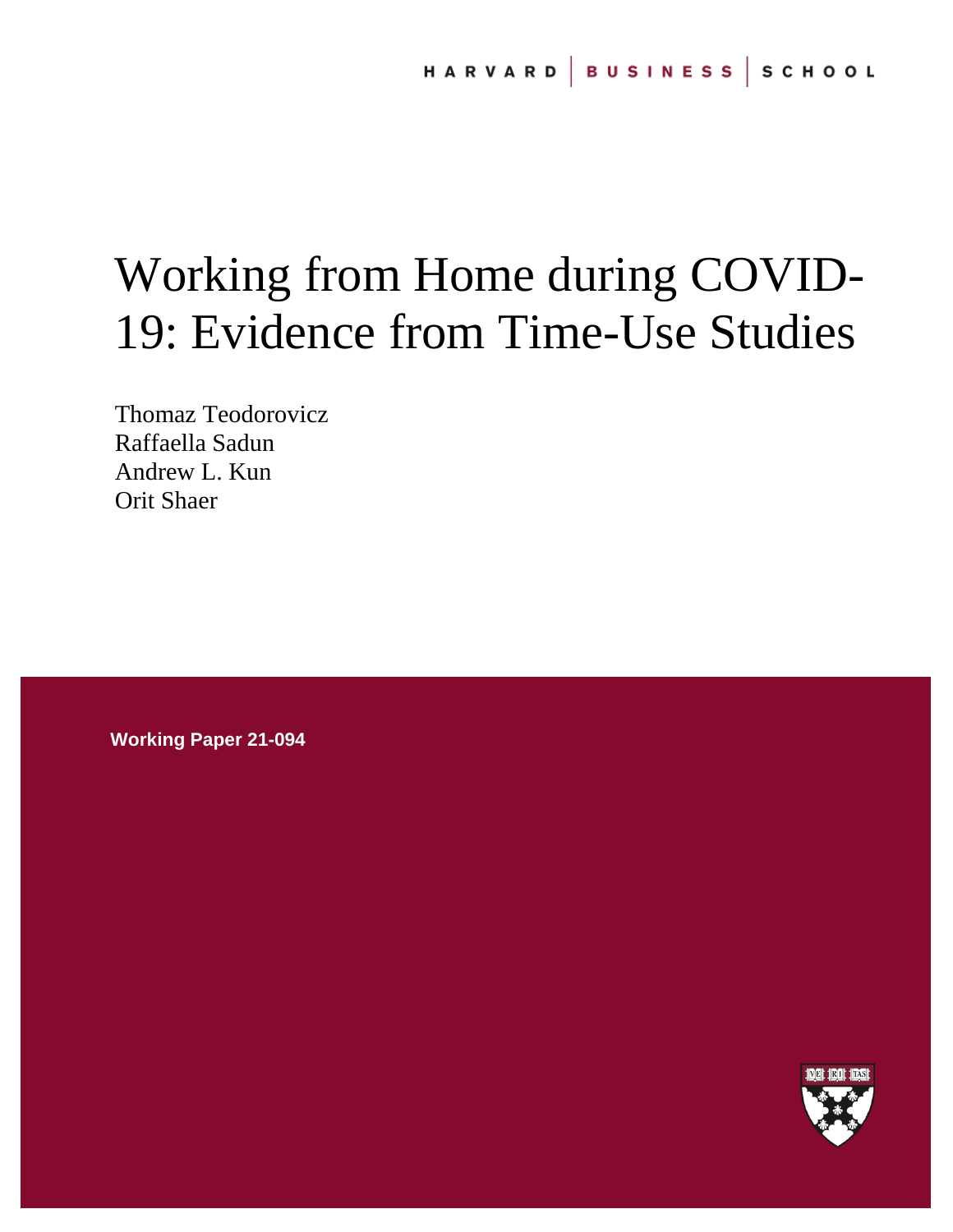# Working from Home during COVID-19: Evidence from Time-Use Studies

Thomaz Teodorovicz Raffaella Sadun Andrew L. Kun Orit Shaer

**Working Paper 21-094**

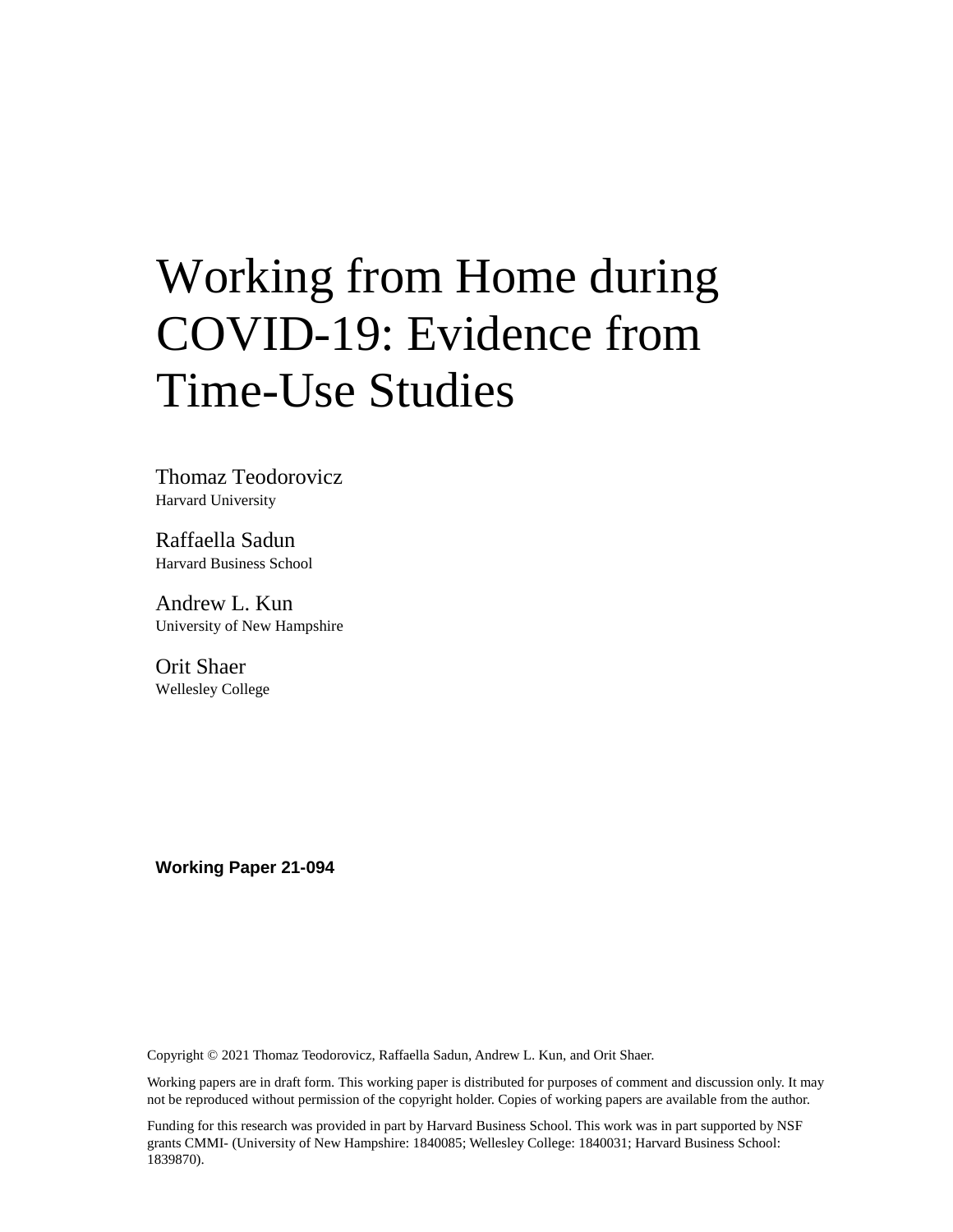# Working from Home during COVID-19: Evidence from Time-Use Studies

Thomaz Teodorovicz Harvard University

Raffaella Sadun Harvard Business School

Andrew L. Kun University of New Hampshire

Orit Shaer Wellesley College

**Working Paper 21-094**

Copyright © 2021 Thomaz Teodorovicz, Raffaella Sadun, Andrew L. Kun, and Orit Shaer.

Working papers are in draft form. This working paper is distributed for purposes of comment and discussion only. It may not be reproduced without permission of the copyright holder. Copies of working papers are available from the author.

Funding for this research was provided in part by Harvard Business School. This work was in part supported by NSF grants CMMI- (University of New Hampshire: 1840085; Wellesley College: 1840031; Harvard Business School: 1839870).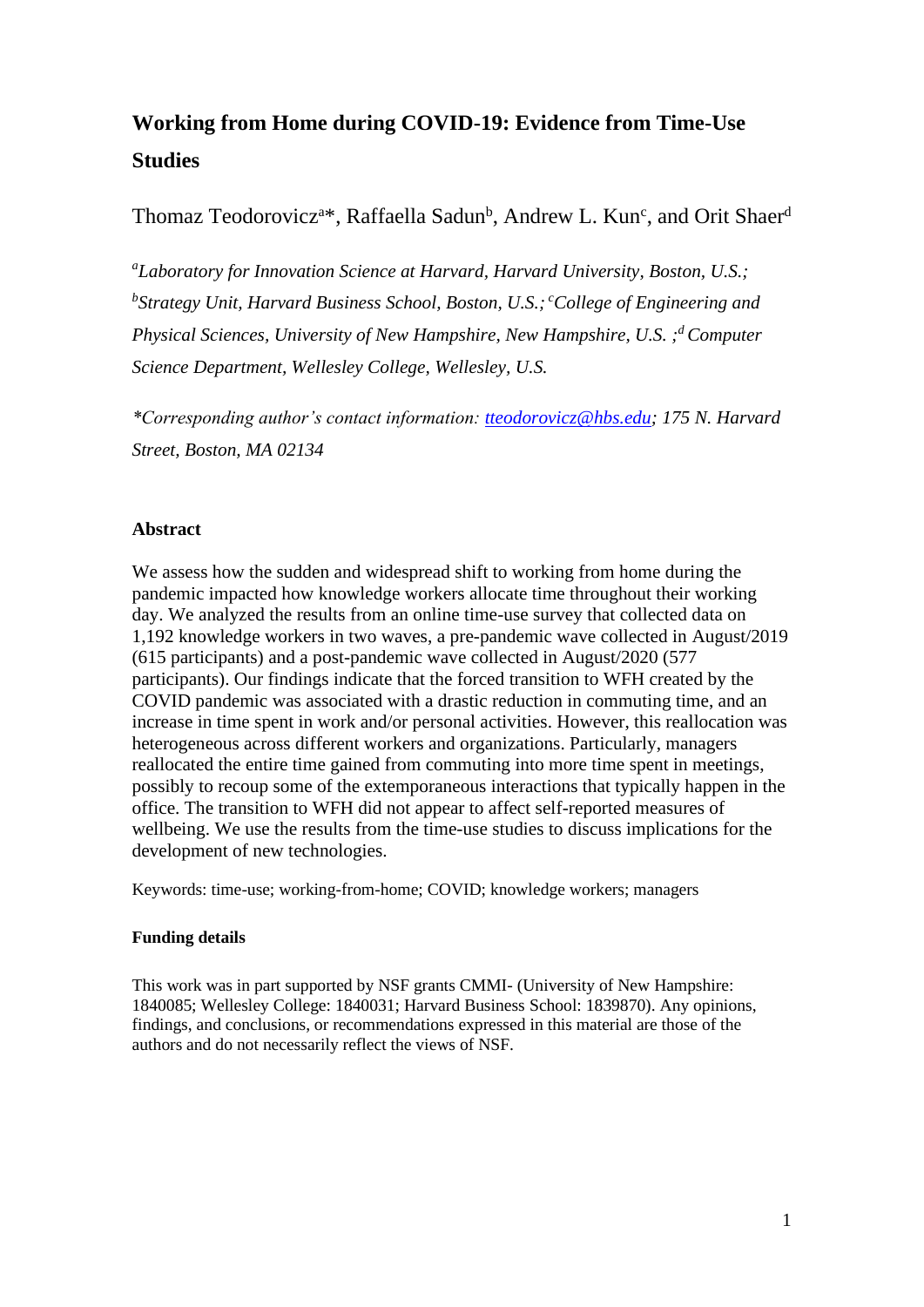## **Working from Home during COVID-19: Evidence from Time-Use Studies**

Thomaz Teodorovicz<sup>a\*</sup>, Raffaella Sadun<sup>b</sup>, Andrew L. Kun<sup>c</sup>, and Orit Shaer<sup>d</sup>

*<sup>a</sup>Laboratory for Innovation Science at Harvard, Harvard University, Boston, U.S.; b Strategy Unit, Harvard Business School, Boston, U.S.; <sup>c</sup>College of Engineering and Physical Sciences, University of New Hampshire, New Hampshire, U.S. ; <sup>d</sup> Computer Science Department, Wellesley College, Wellesley, U.S.*

*\*Corresponding author's contact information: [tteodorovicz@hbs.edu;](mailto:tteodorovicz@hbs.edu) 175 N. Harvard Street, Boston, MA 02134*

## **Abstract**

We assess how the sudden and widespread shift to working from home during the pandemic impacted how knowledge workers allocate time throughout their working day. We analyzed the results from an online time-use survey that collected data on 1,192 knowledge workers in two waves, a pre-pandemic wave collected in August/2019 (615 participants) and a post-pandemic wave collected in August/2020 (577 participants). Our findings indicate that the forced transition to WFH created by the COVID pandemic was associated with a drastic reduction in commuting time, and an increase in time spent in work and/or personal activities. However, this reallocation was heterogeneous across different workers and organizations. Particularly, managers reallocated the entire time gained from commuting into more time spent in meetings, possibly to recoup some of the extemporaneous interactions that typically happen in the office. The transition to WFH did not appear to affect self-reported measures of wellbeing. We use the results from the time-use studies to discuss implications for the development of new technologies.

Keywords: time-use; working-from-home; COVID; knowledge workers; managers

## **Funding details**

This work was in part supported by NSF grants CMMI- (University of New Hampshire: 1840085; Wellesley College: 1840031; Harvard Business School: 1839870). Any opinions, findings, and conclusions, or recommendations expressed in this material are those of the authors and do not necessarily reflect the views of NSF.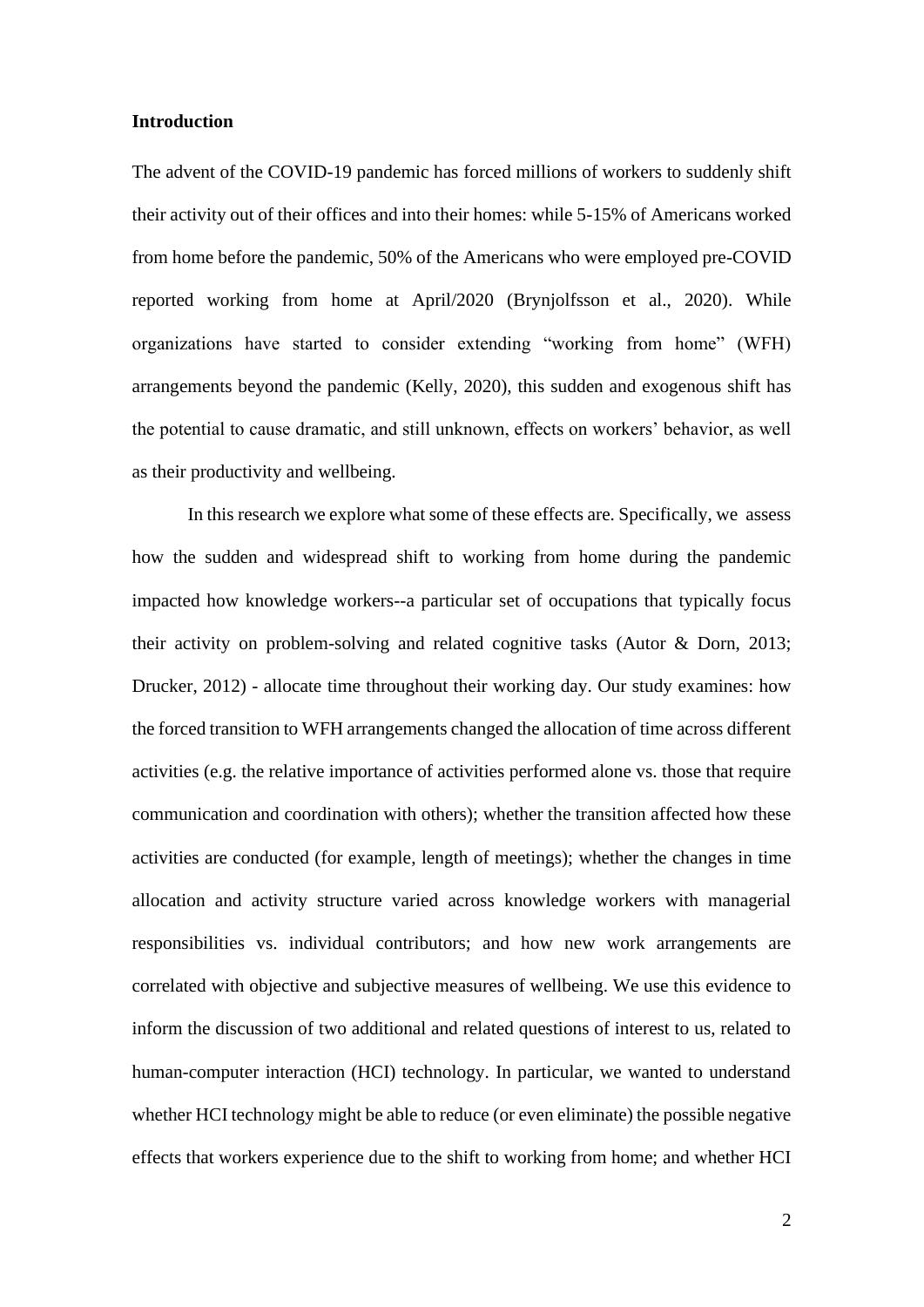#### **Introduction**

The advent of the COVID-19 pandemic has forced millions of workers to suddenly shift their activity out of their offices and into their homes: while 5-15% of Americans worked from home before the pandemic, 50% of the Americans who were employed pre-COVID reported working from home at April/2020 (Brynjolfsson et al., 2020). While organizations have started to consider extending "working from home" (WFH) arrangements beyond the pandemic (Kelly, 2020), this sudden and exogenous shift has the potential to cause dramatic, and still unknown, effects on workers' behavior, as well as their productivity and wellbeing.

In this research we explore what some of these effects are. Specifically, we assess how the sudden and widespread shift to working from home during the pandemic impacted how knowledge workers--a particular set of occupations that typically focus their activity on problem-solving and related cognitive tasks (Autor & Dorn, 2013; Drucker, 2012) - allocate time throughout their working day. Our study examines: how the forced transition to WFH arrangements changed the allocation of time across different activities (e.g. the relative importance of activities performed alone vs. those that require communication and coordination with others); whether the transition affected how these activities are conducted (for example, length of meetings); whether the changes in time allocation and activity structure varied across knowledge workers with managerial responsibilities vs. individual contributors; and how new work arrangements are correlated with objective and subjective measures of wellbeing. We use this evidence to inform the discussion of two additional and related questions of interest to us, related to human-computer interaction (HCI) technology. In particular, we wanted to understand whether HCI technology might be able to reduce (or even eliminate) the possible negative effects that workers experience due to the shift to working from home; and whether HCI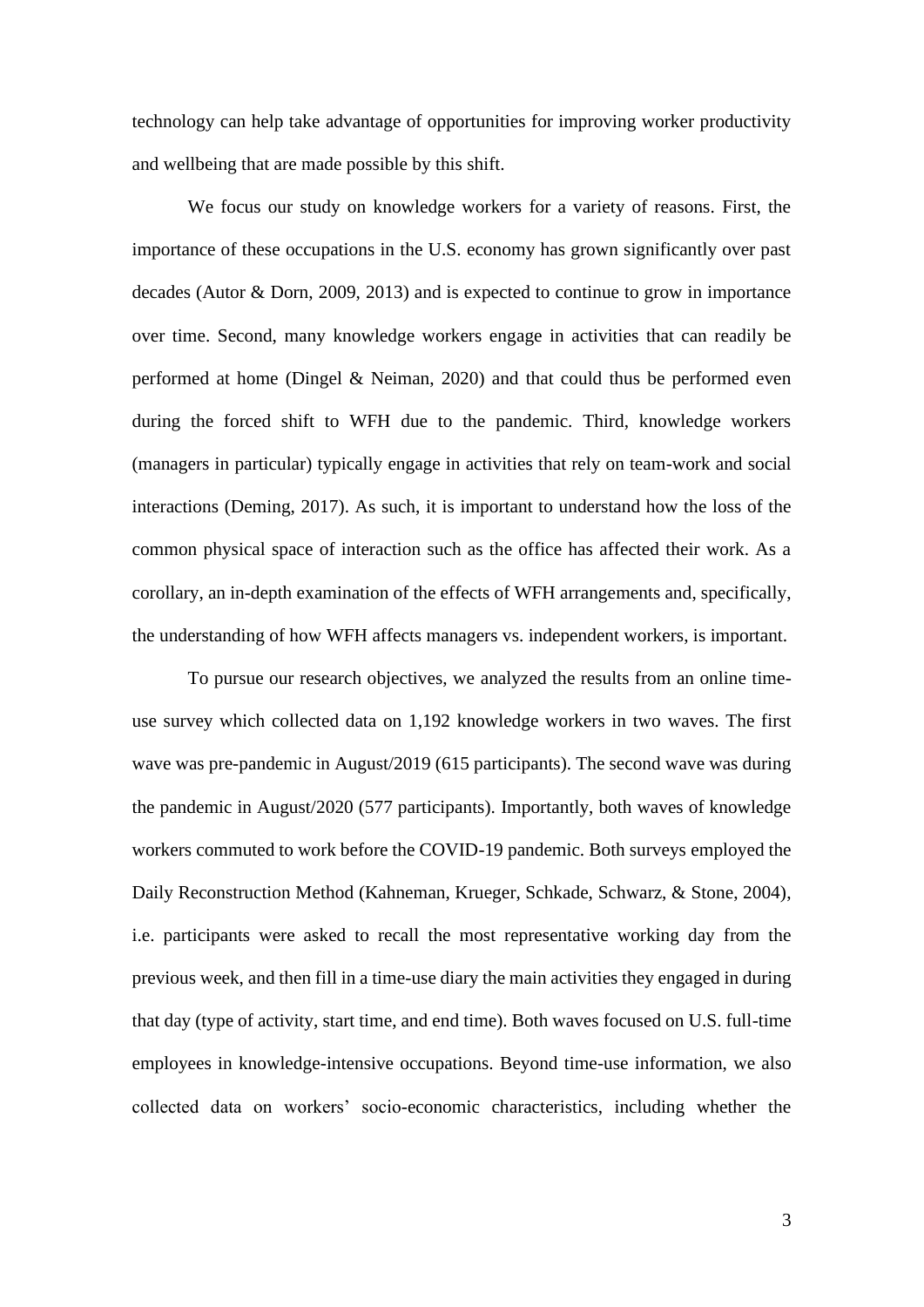technology can help take advantage of opportunities for improving worker productivity and wellbeing that are made possible by this shift.

We focus our study on knowledge workers for a variety of reasons. First, the importance of these occupations in the U.S. economy has grown significantly over past decades (Autor & Dorn, 2009, 2013) and is expected to continue to grow in importance over time. Second, many knowledge workers engage in activities that can readily be performed at home (Dingel & Neiman, 2020) and that could thus be performed even during the forced shift to WFH due to the pandemic. Third, knowledge workers (managers in particular) typically engage in activities that rely on team-work and social interactions (Deming, 2017). As such, it is important to understand how the loss of the common physical space of interaction such as the office has affected their work. As a corollary, an in-depth examination of the effects of WFH arrangements and, specifically, the understanding of how WFH affects managers vs. independent workers, is important.

To pursue our research objectives, we analyzed the results from an online timeuse survey which collected data on 1,192 knowledge workers in two waves. The first wave was pre-pandemic in August/2019 (615 participants). The second wave was during the pandemic in August/2020 (577 participants). Importantly, both waves of knowledge workers commuted to work before the COVID-19 pandemic. Both surveys employed the Daily Reconstruction Method (Kahneman, Krueger, Schkade, Schwarz, & Stone, 2004), i.e. participants were asked to recall the most representative working day from the previous week, and then fill in a time-use diary the main activities they engaged in during that day (type of activity, start time, and end time). Both waves focused on U.S. full-time employees in knowledge-intensive occupations. Beyond time-use information, we also collected data on workers' socio-economic characteristics, including whether the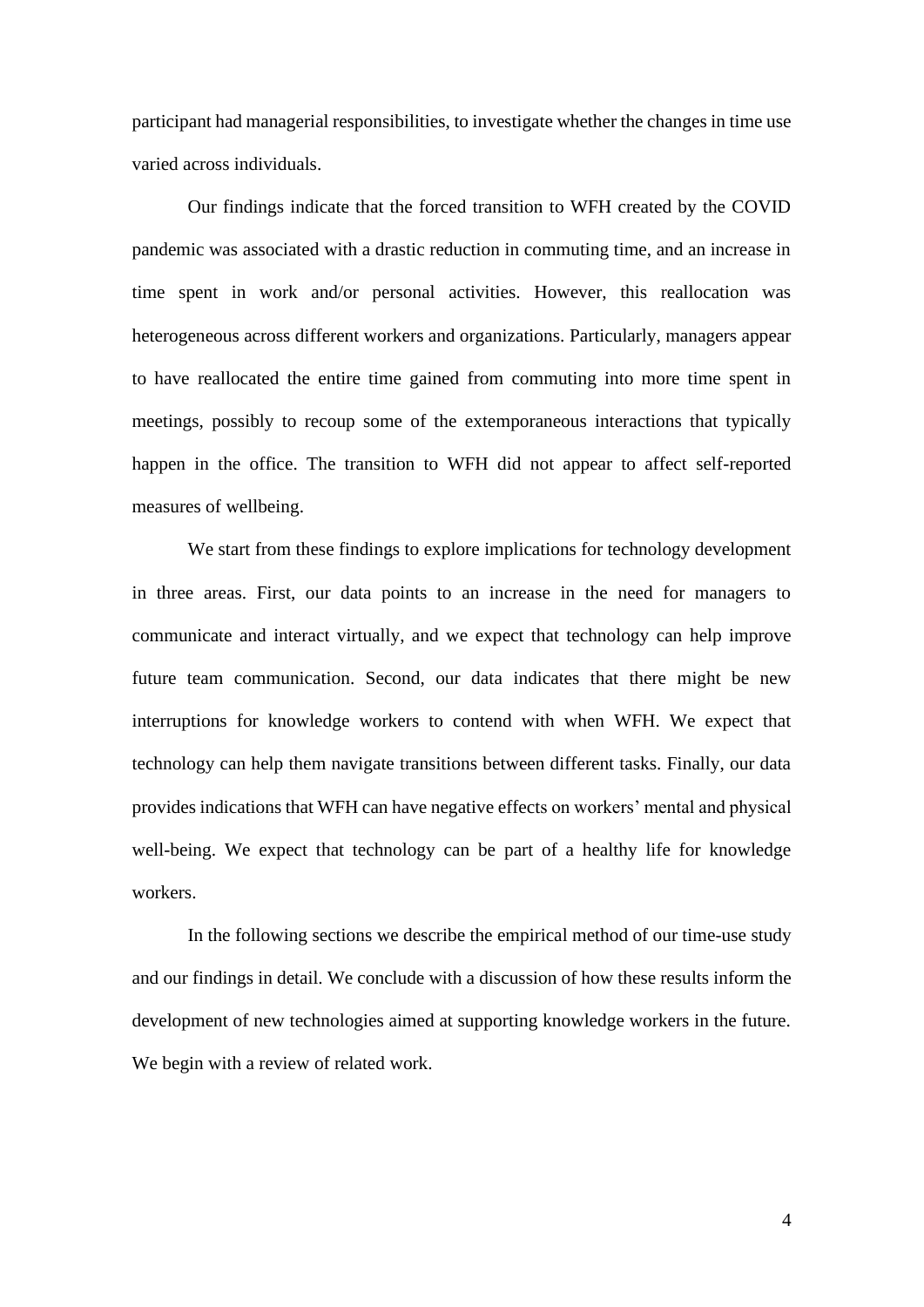participant had managerial responsibilities, to investigate whether the changes in time use varied across individuals.

Our findings indicate that the forced transition to WFH created by the COVID pandemic was associated with a drastic reduction in commuting time, and an increase in time spent in work and/or personal activities. However, this reallocation was heterogeneous across different workers and organizations. Particularly, managers appear to have reallocated the entire time gained from commuting into more time spent in meetings, possibly to recoup some of the extemporaneous interactions that typically happen in the office. The transition to WFH did not appear to affect self-reported measures of wellbeing.

We start from these findings to explore implications for technology development in three areas. First, our data points to an increase in the need for managers to communicate and interact virtually, and we expect that technology can help improve future team communication. Second, our data indicates that there might be new interruptions for knowledge workers to contend with when WFH. We expect that technology can help them navigate transitions between different tasks. Finally, our data provides indications that WFH can have negative effects on workers' mental and physical well-being. We expect that technology can be part of a healthy life for knowledge workers.

In the following sections we describe the empirical method of our time-use study and our findings in detail. We conclude with a discussion of how these results inform the development of new technologies aimed at supporting knowledge workers in the future. We begin with a review of related work.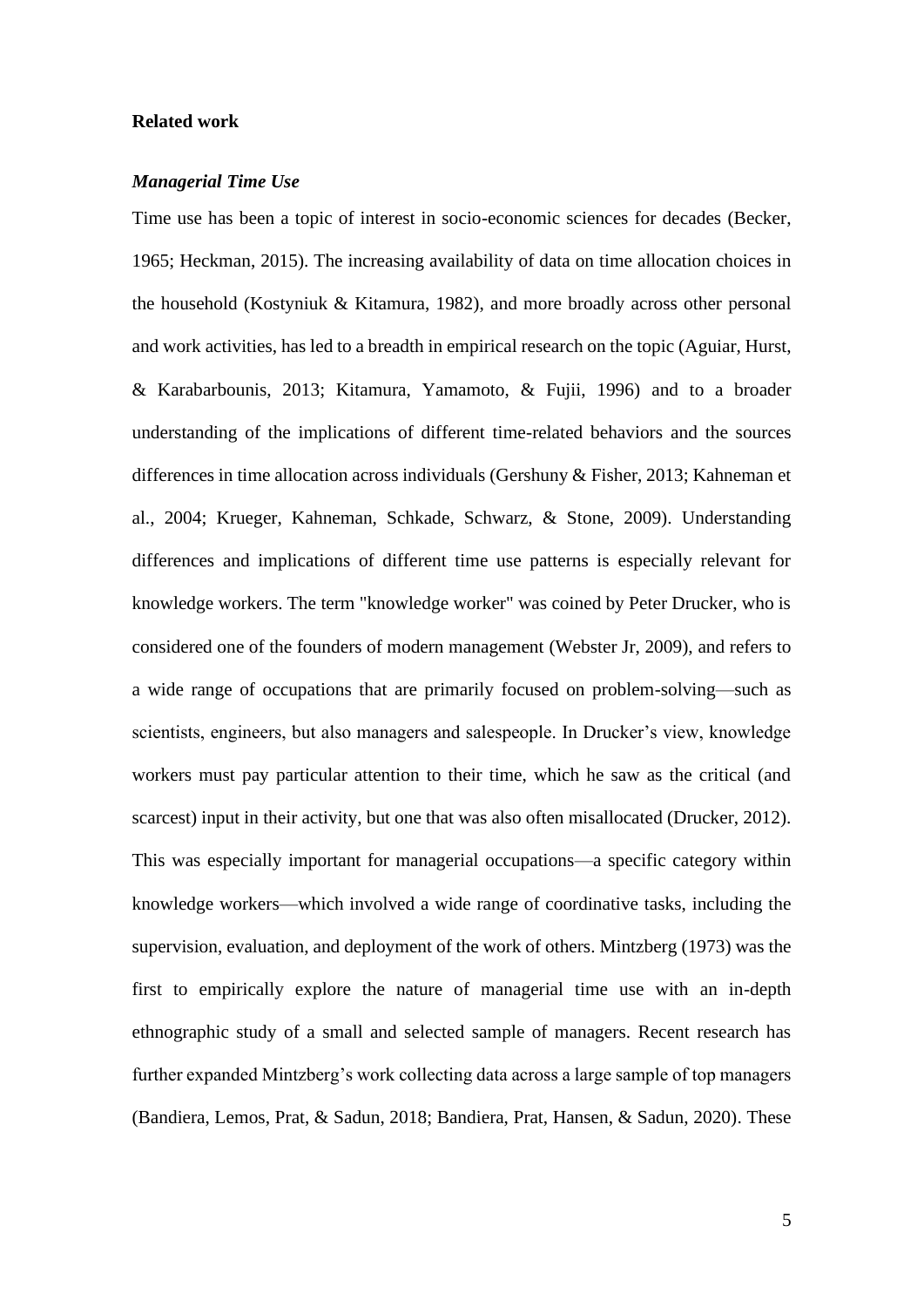#### **Related work**

#### *Managerial Time Use*

Time use has been a topic of interest in socio-economic sciences for decades (Becker, 1965; Heckman, 2015). The increasing availability of data on time allocation choices in the household (Kostyniuk & Kitamura, 1982), and more broadly across other personal and work activities, has led to a breadth in empirical research on the topic (Aguiar, Hurst, & Karabarbounis, 2013; Kitamura, Yamamoto, & Fujii, 1996) and to a broader understanding of the implications of different time-related behaviors and the sources differences in time allocation across individuals (Gershuny & Fisher, 2013; Kahneman et al., 2004; Krueger, Kahneman, Schkade, Schwarz, & Stone, 2009). Understanding differences and implications of different time use patterns is especially relevant for knowledge workers. The term "knowledge worker" was coined by Peter Drucker, who is considered one of the founders of modern management (Webster Jr, 2009), and refers to a wide range of occupations that are primarily focused on problem-solving—such as scientists, engineers, but also managers and salespeople. In Drucker's view, knowledge workers must pay particular attention to their time, which he saw as the critical (and scarcest) input in their activity, but one that was also often misallocated (Drucker, 2012). This was especially important for managerial occupations—a specific category within knowledge workers—which involved a wide range of coordinative tasks, including the supervision, evaluation, and deployment of the work of others. Mintzberg (1973) was the first to empirically explore the nature of managerial time use with an in-depth ethnographic study of a small and selected sample of managers. Recent research has further expanded Mintzberg's work collecting data across a large sample of top managers (Bandiera, Lemos, Prat, & Sadun, 2018; Bandiera, Prat, Hansen, & Sadun, 2020). These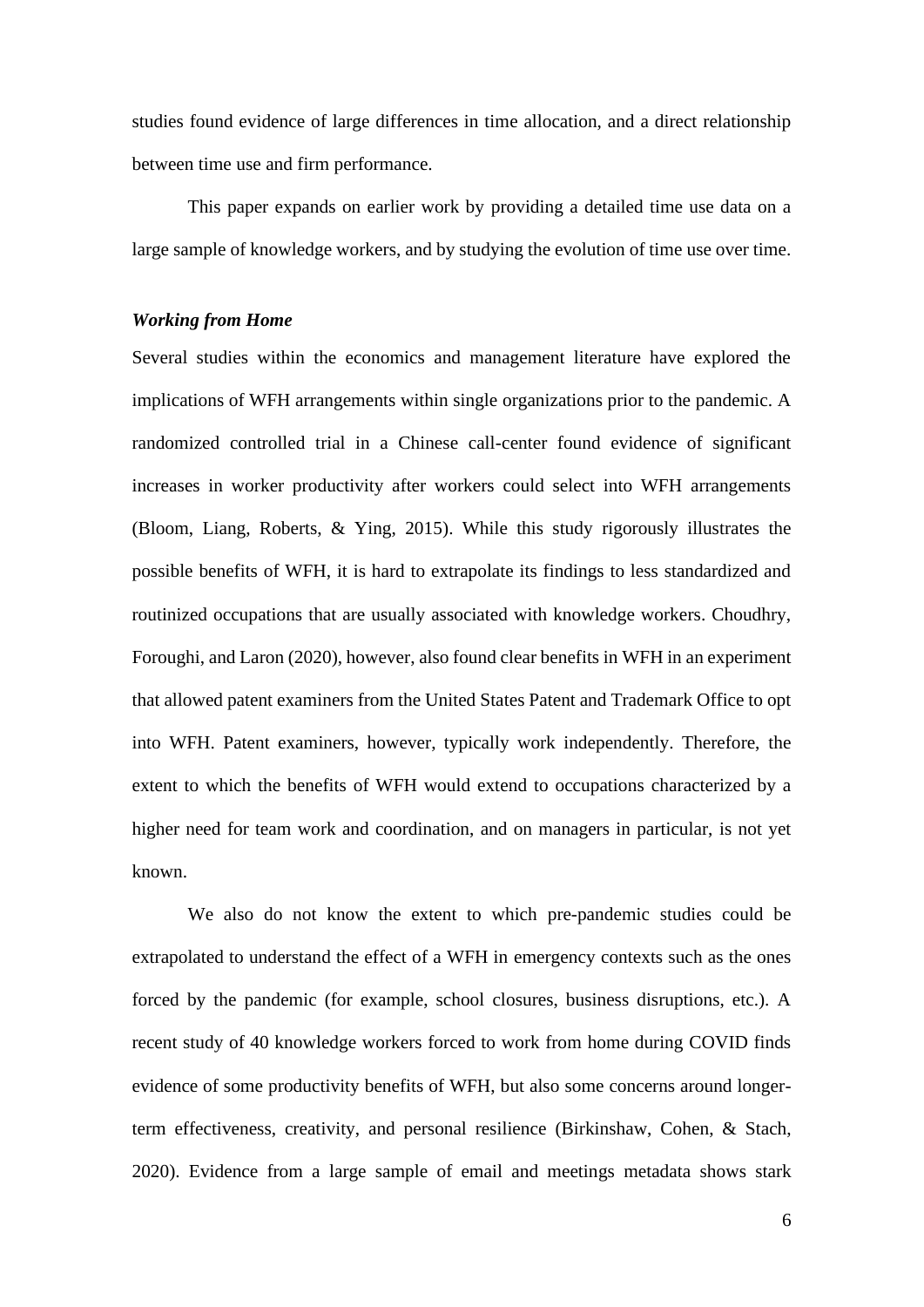studies found evidence of large differences in time allocation, and a direct relationship between time use and firm performance.

This paper expands on earlier work by providing a detailed time use data on a large sample of knowledge workers, and by studying the evolution of time use over time.

#### *Working from Home*

Several studies within the economics and management literature have explored the implications of WFH arrangements within single organizations prior to the pandemic. A randomized controlled trial in a Chinese call-center found evidence of significant increases in worker productivity after workers could select into WFH arrangements (Bloom, Liang, Roberts, & Ying, 2015). While this study rigorously illustrates the possible benefits of WFH, it is hard to extrapolate its findings to less standardized and routinized occupations that are usually associated with knowledge workers. Choudhry, Foroughi, and Laron (2020), however, also found clear benefits in WFH in an experiment that allowed patent examiners from the United States Patent and Trademark Office to opt into WFH. Patent examiners, however, typically work independently. Therefore, the extent to which the benefits of WFH would extend to occupations characterized by a higher need for team work and coordination, and on managers in particular, is not yet known.

We also do not know the extent to which pre-pandemic studies could be extrapolated to understand the effect of a WFH in emergency contexts such as the ones forced by the pandemic (for example, school closures, business disruptions, etc.). A recent study of 40 knowledge workers forced to work from home during COVID finds evidence of some productivity benefits of WFH, but also some concerns around longerterm effectiveness, creativity, and personal resilience (Birkinshaw, Cohen, & Stach, 2020). Evidence from a large sample of email and meetings metadata shows stark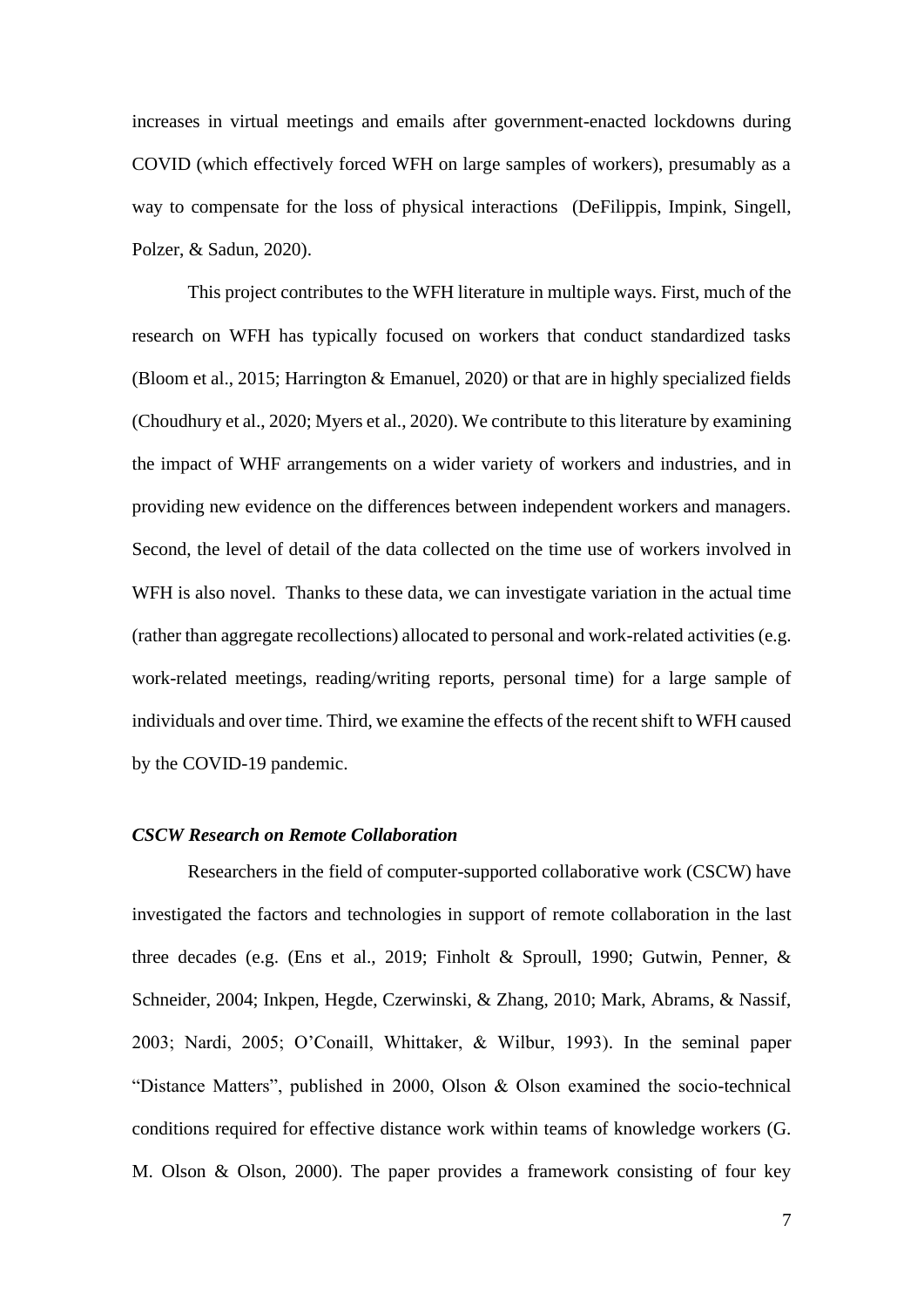increases in virtual meetings and emails after government-enacted lockdowns during COVID (which effectively forced WFH on large samples of workers), presumably as a way to compensate for the loss of physical interactions (DeFilippis, Impink, Singell, Polzer, & Sadun, 2020).

This project contributes to the WFH literature in multiple ways. First, much of the research on WFH has typically focused on workers that conduct standardized tasks (Bloom et al., 2015; Harrington & Emanuel, 2020) or that are in highly specialized fields (Choudhury et al., 2020; Myers et al., 2020). We contribute to this literature by examining the impact of WHF arrangements on a wider variety of workers and industries, and in providing new evidence on the differences between independent workers and managers. Second, the level of detail of the data collected on the time use of workers involved in WFH is also novel. Thanks to these data, we can investigate variation in the actual time (rather than aggregate recollections) allocated to personal and work-related activities (e.g. work-related meetings, reading/writing reports, personal time) for a large sample of individuals and over time. Third, we examine the effects of the recent shift to WFH caused by the COVID-19 pandemic.

#### *CSCW Research on Remote Collaboration*

Researchers in the field of computer-supported collaborative work (CSCW) have investigated the factors and technologies in support of remote collaboration in the last three decades (e.g. (Ens et al., 2019; Finholt & Sproull, 1990; Gutwin, Penner, & Schneider, 2004; Inkpen, Hegde, Czerwinski, & Zhang, 2010; Mark, Abrams, & Nassif, 2003; Nardi, 2005; O'Conaill, Whittaker, & Wilbur, 1993). In the seminal paper "Distance Matters", published in 2000, Olson & Olson examined the socio-technical conditions required for effective distance work within teams of knowledge workers (G. M. Olson & Olson, 2000). The paper provides a framework consisting of four key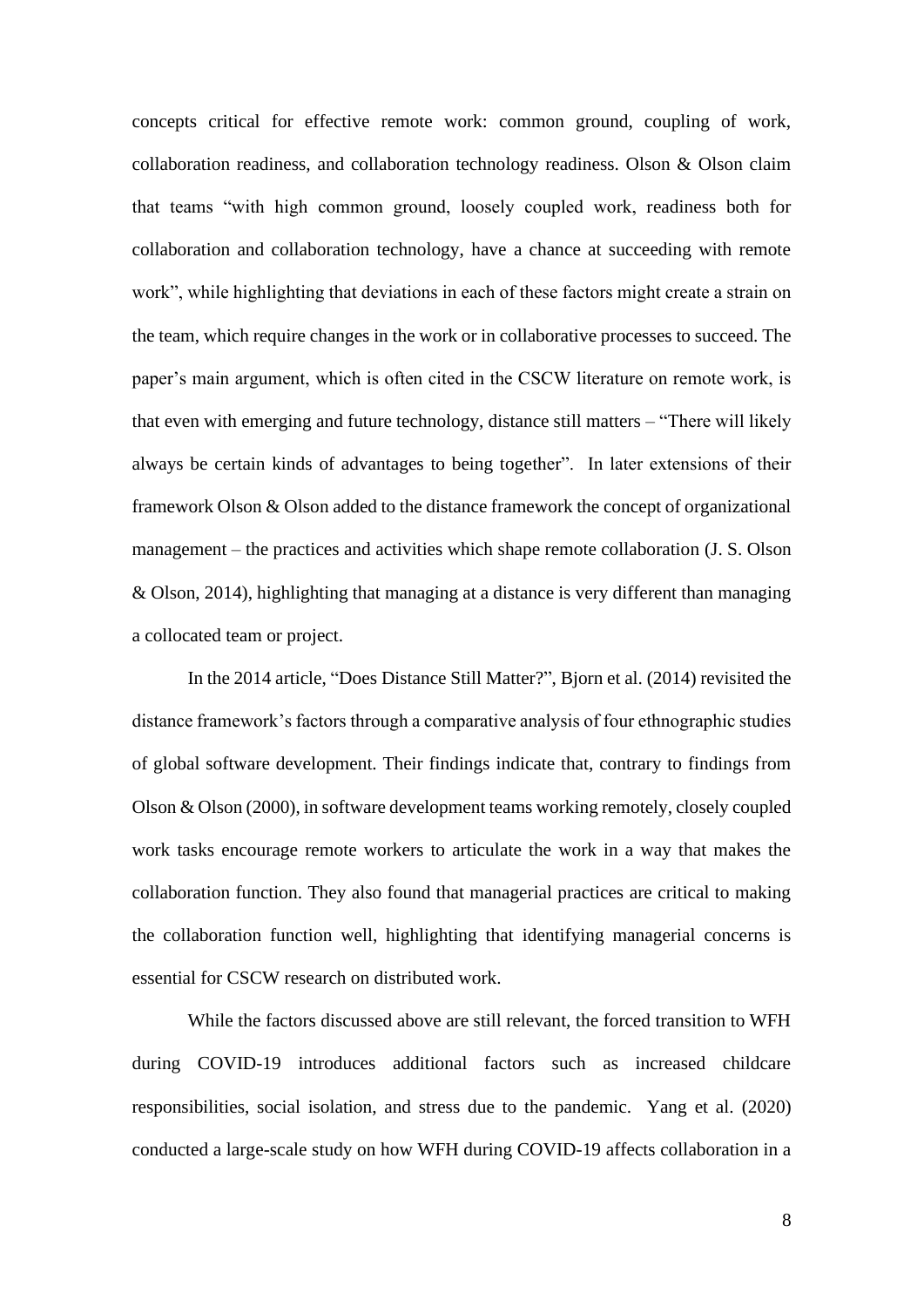concepts critical for effective remote work: common ground, coupling of work, collaboration readiness, and collaboration technology readiness. Olson & Olson claim that teams "with high common ground, loosely coupled work, readiness both for collaboration and collaboration technology, have a chance at succeeding with remote work", while highlighting that deviations in each of these factors might create a strain on the team, which require changes in the work or in collaborative processes to succeed. The paper's main argument, which is often cited in the CSCW literature on remote work, is that even with emerging and future technology, distance still matters – "There will likely always be certain kinds of advantages to being together". In later extensions of their framework Olson & Olson added to the distance framework the concept of organizational management – the practices and activities which shape remote collaboration (J. S. Olson & Olson, 2014), highlighting that managing at a distance is very different than managing a collocated team or project.

In the 2014 article, "Does Distance Still Matter?", Bjorn et al. (2014) revisited the distance framework's factors through a comparative analysis of four ethnographic studies of global software development. Their findings indicate that, contrary to findings from Olson & Olson (2000), in software development teams working remotely, closely coupled work tasks encourage remote workers to articulate the work in a way that makes the collaboration function. They also found that managerial practices are critical to making the collaboration function well, highlighting that identifying managerial concerns is essential for CSCW research on distributed work.

While the factors discussed above are still relevant, the forced transition to WFH during COVID-19 introduces additional factors such as increased childcare responsibilities, social isolation, and stress due to the pandemic. Yang et al. (2020) conducted a large-scale study on how WFH during COVID-19 affects collaboration in a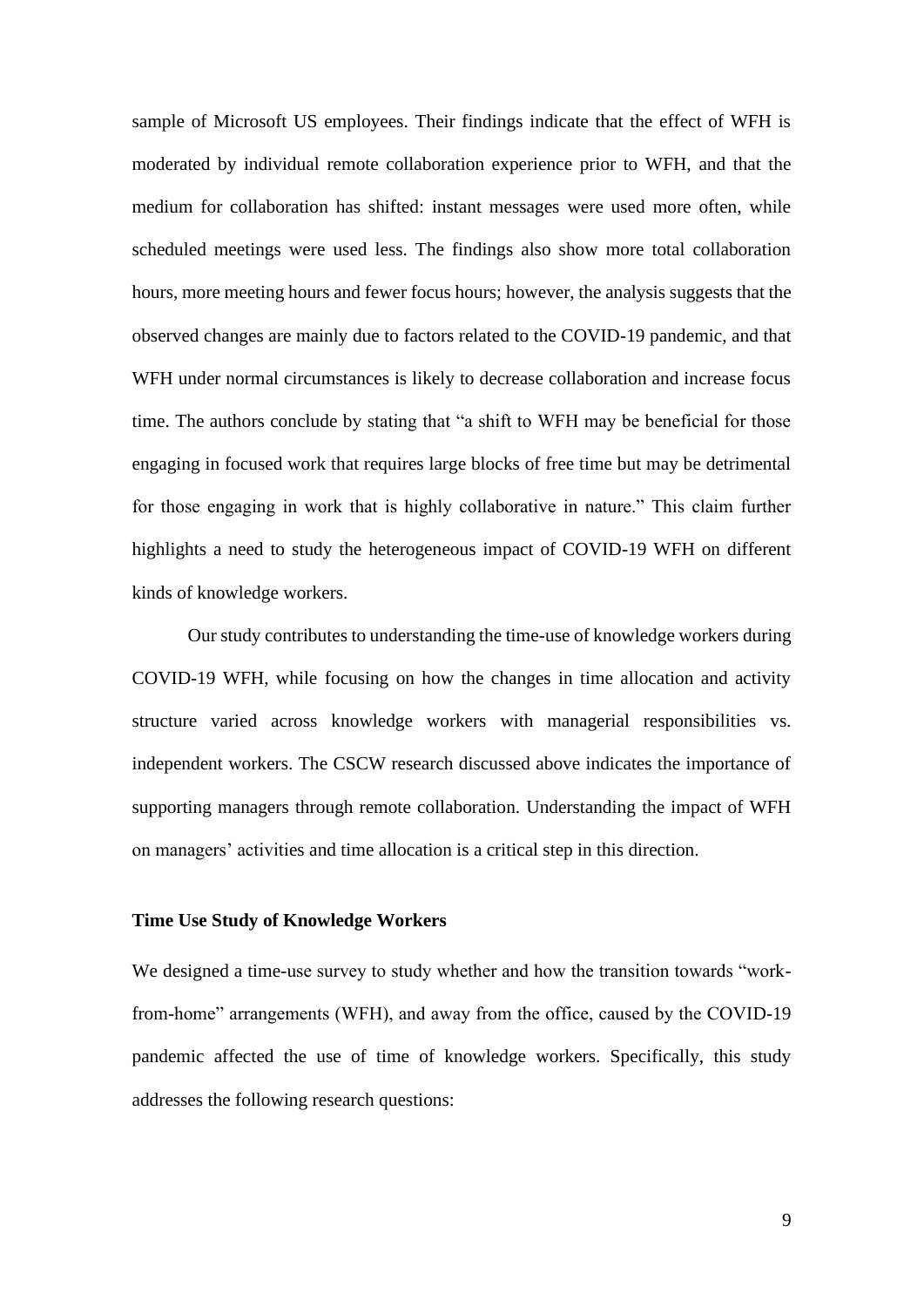sample of Microsoft US employees. Their findings indicate that the effect of WFH is moderated by individual remote collaboration experience prior to WFH, and that the medium for collaboration has shifted: instant messages were used more often, while scheduled meetings were used less. The findings also show more total collaboration hours, more meeting hours and fewer focus hours; however, the analysis suggests that the observed changes are mainly due to factors related to the COVID-19 pandemic, and that WFH under normal circumstances is likely to decrease collaboration and increase focus time. The authors conclude by stating that "a shift to WFH may be beneficial for those engaging in focused work that requires large blocks of free time but may be detrimental for those engaging in work that is highly collaborative in nature." This claim further highlights a need to study the heterogeneous impact of COVID-19 WFH on different kinds of knowledge workers.

Our study contributes to understanding the time-use of knowledge workers during COVID-19 WFH, while focusing on how the changes in time allocation and activity structure varied across knowledge workers with managerial responsibilities vs. independent workers. The CSCW research discussed above indicates the importance of supporting managers through remote collaboration. Understanding the impact of WFH on managers' activities and time allocation is a critical step in this direction.

#### **Time Use Study of Knowledge Workers**

We designed a time-use survey to study whether and how the transition towards "workfrom-home" arrangements (WFH), and away from the office, caused by the COVID-19 pandemic affected the use of time of knowledge workers. Specifically, this study addresses the following research questions: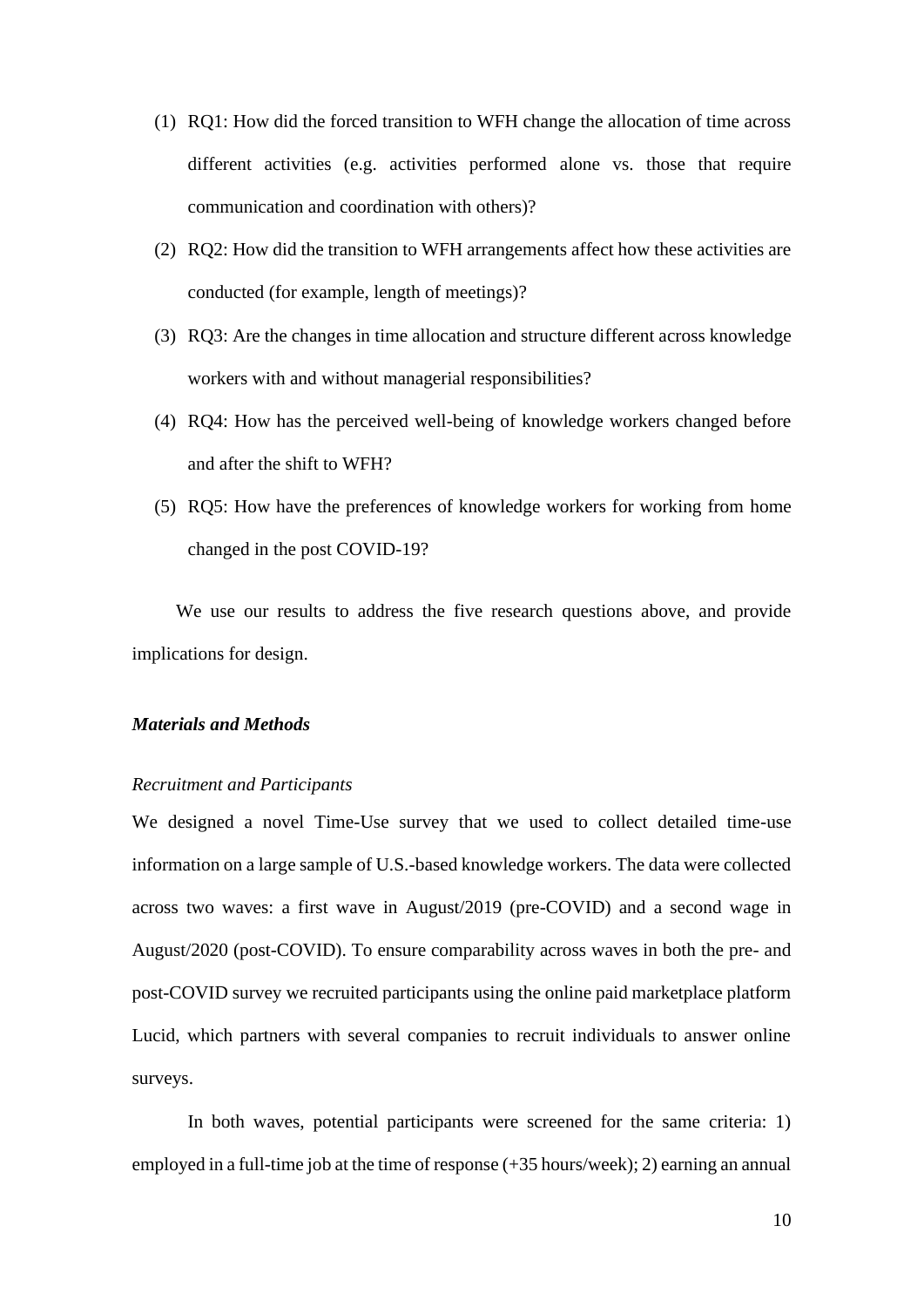- (1) RQ1: How did the forced transition to WFH change the allocation of time across different activities (e.g. activities performed alone vs. those that require communication and coordination with others)?
- (2) RQ2: How did the transition to WFH arrangements affect how these activities are conducted (for example, length of meetings)?
- (3) RQ3: Are the changes in time allocation and structure different across knowledge workers with and without managerial responsibilities?
- (4) RQ4: How has the perceived well-being of knowledge workers changed before and after the shift to WFH?
- (5) RQ5: How have the preferences of knowledge workers for working from home changed in the post COVID-19?

We use our results to address the five research questions above, and provide implications for design.

## *Materials and Methods*

#### *Recruitment and Participants*

We designed a novel Time-Use survey that we used to collect detailed time-use information on a large sample of U.S.-based knowledge workers. The data were collected across two waves: a first wave in August/2019 (pre-COVID) and a second wage in August/2020 (post-COVID). To ensure comparability across waves in both the pre- and post-COVID survey we recruited participants using the online paid marketplace platform Lucid, which partners with several companies to recruit individuals to answer online surveys.

In both waves, potential participants were screened for the same criteria: 1) employed in a full-time job at the time of response (+35 hours/week); 2) earning an annual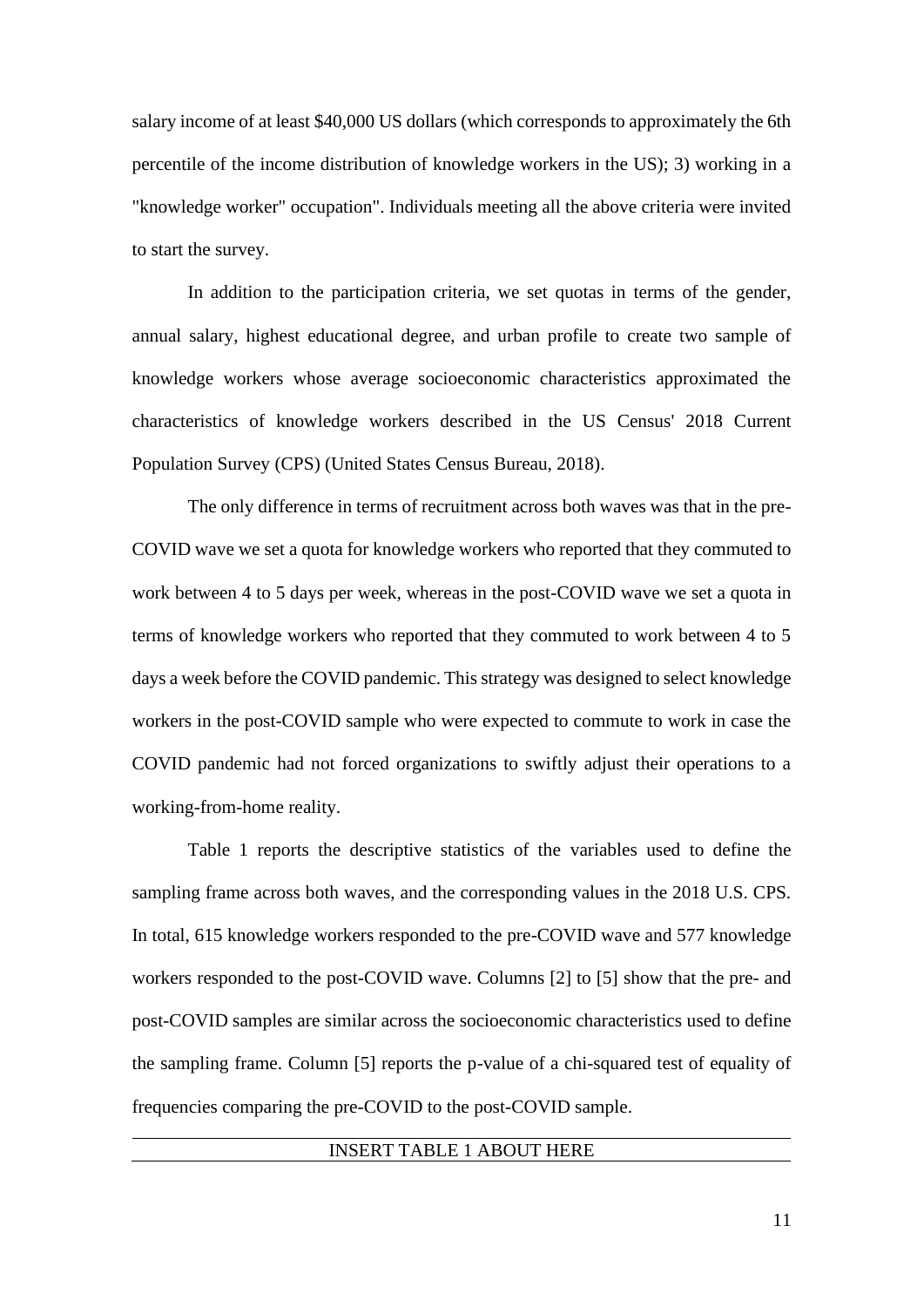salary income of at least \$40,000 US dollars (which corresponds to approximately the 6th percentile of the income distribution of knowledge workers in the US); 3) working in a "knowledge worker" occupation". Individuals meeting all the above criteria were invited to start the survey.

In addition to the participation criteria, we set quotas in terms of the gender, annual salary, highest educational degree, and urban profile to create two sample of knowledge workers whose average socioeconomic characteristics approximated the characteristics of knowledge workers described in the US Census' 2018 Current Population Survey (CPS) (United States Census Bureau, 2018).

The only difference in terms of recruitment across both waves was that in the pre-COVID wave we set a quota for knowledge workers who reported that they commuted to work between 4 to 5 days per week, whereas in the post-COVID wave we set a quota in terms of knowledge workers who reported that they commuted to work between 4 to 5 days a week before the COVID pandemic. This strategy was designed to select knowledge workers in the post-COVID sample who were expected to commute to work in case the COVID pandemic had not forced organizations to swiftly adjust their operations to a working-from-home reality.

Table 1 reports the descriptive statistics of the variables used to define the sampling frame across both waves, and the corresponding values in the 2018 U.S. CPS. In total, 615 knowledge workers responded to the pre-COVID wave and 577 knowledge workers responded to the post-COVID wave. Columns [2] to [5] show that the pre- and post-COVID samples are similar across the socioeconomic characteristics used to define the sampling frame. Column [5] reports the p-value of a chi-squared test of equality of frequencies comparing the pre-COVID to the post-COVID sample.

## INSERT TABLE 1 ABOUT HERE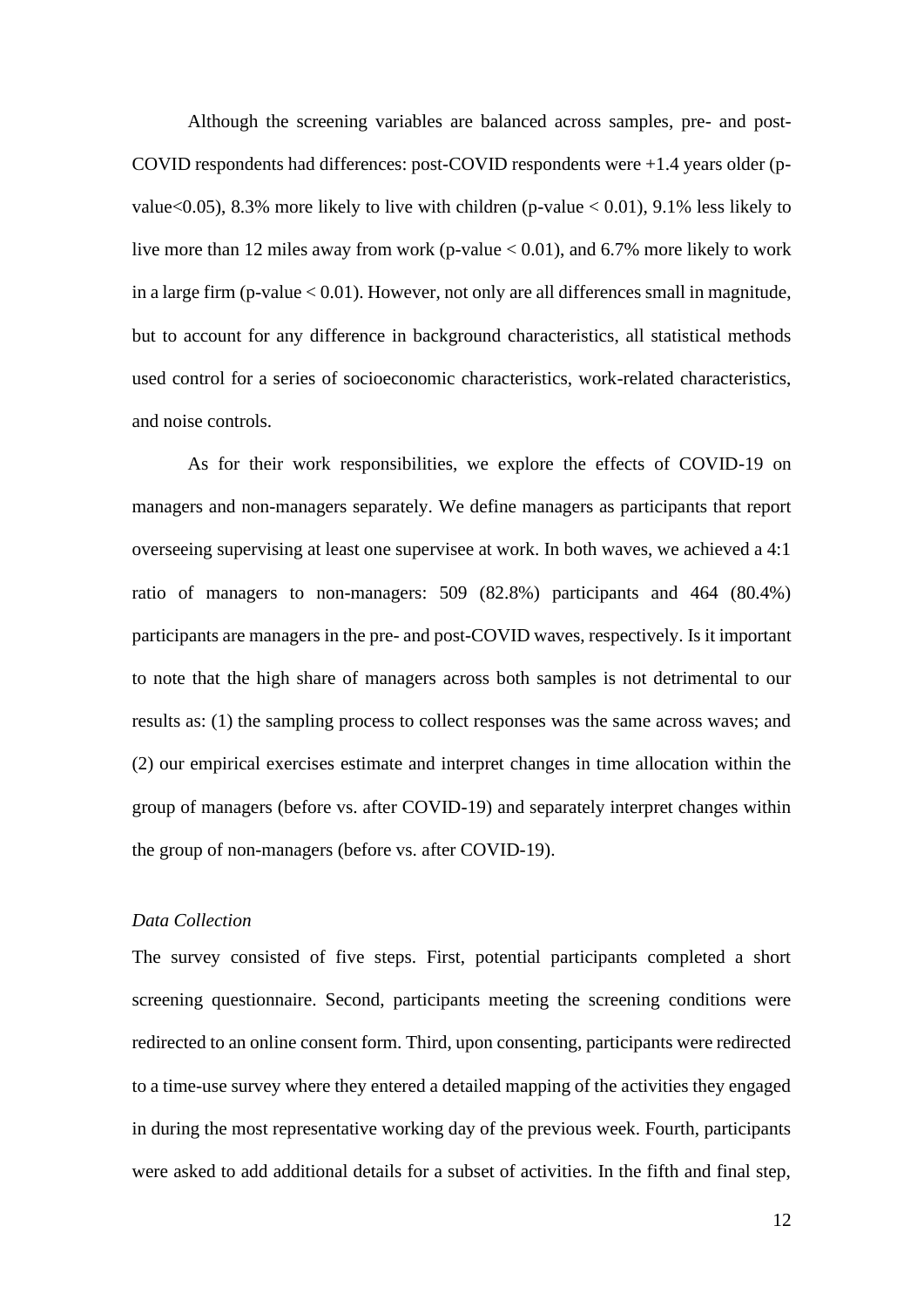Although the screening variables are balanced across samples, pre- and post-COVID respondents had differences: post-COVID respondents were +1.4 years older (pvalue<0.05), 8.3% more likely to live with children (p-value  $< 0.01$ ), 9.1% less likely to live more than 12 miles away from work (p-value  $< 0.01$ ), and 6.7% more likely to work in a large firm (p-value < 0.01). However, not only are all differences small in magnitude, but to account for any difference in background characteristics, all statistical methods used control for a series of socioeconomic characteristics, work-related characteristics, and noise controls.

As for their work responsibilities, we explore the effects of COVID-19 on managers and non-managers separately. We define managers as participants that report overseeing supervising at least one supervisee at work. In both waves, we achieved a 4:1 ratio of managers to non-managers: 509 (82.8%) participants and 464 (80.4%) participants are managers in the pre- and post-COVID waves, respectively. Is it important to note that the high share of managers across both samples is not detrimental to our results as: (1) the sampling process to collect responses was the same across waves; and (2) our empirical exercises estimate and interpret changes in time allocation within the group of managers (before vs. after COVID-19) and separately interpret changes within the group of non-managers (before vs. after COVID-19).

#### *Data Collection*

The survey consisted of five steps. First, potential participants completed a short screening questionnaire. Second, participants meeting the screening conditions were redirected to an online consent form. Third, upon consenting, participants were redirected to a time-use survey where they entered a detailed mapping of the activities they engaged in during the most representative working day of the previous week. Fourth, participants were asked to add additional details for a subset of activities. In the fifth and final step,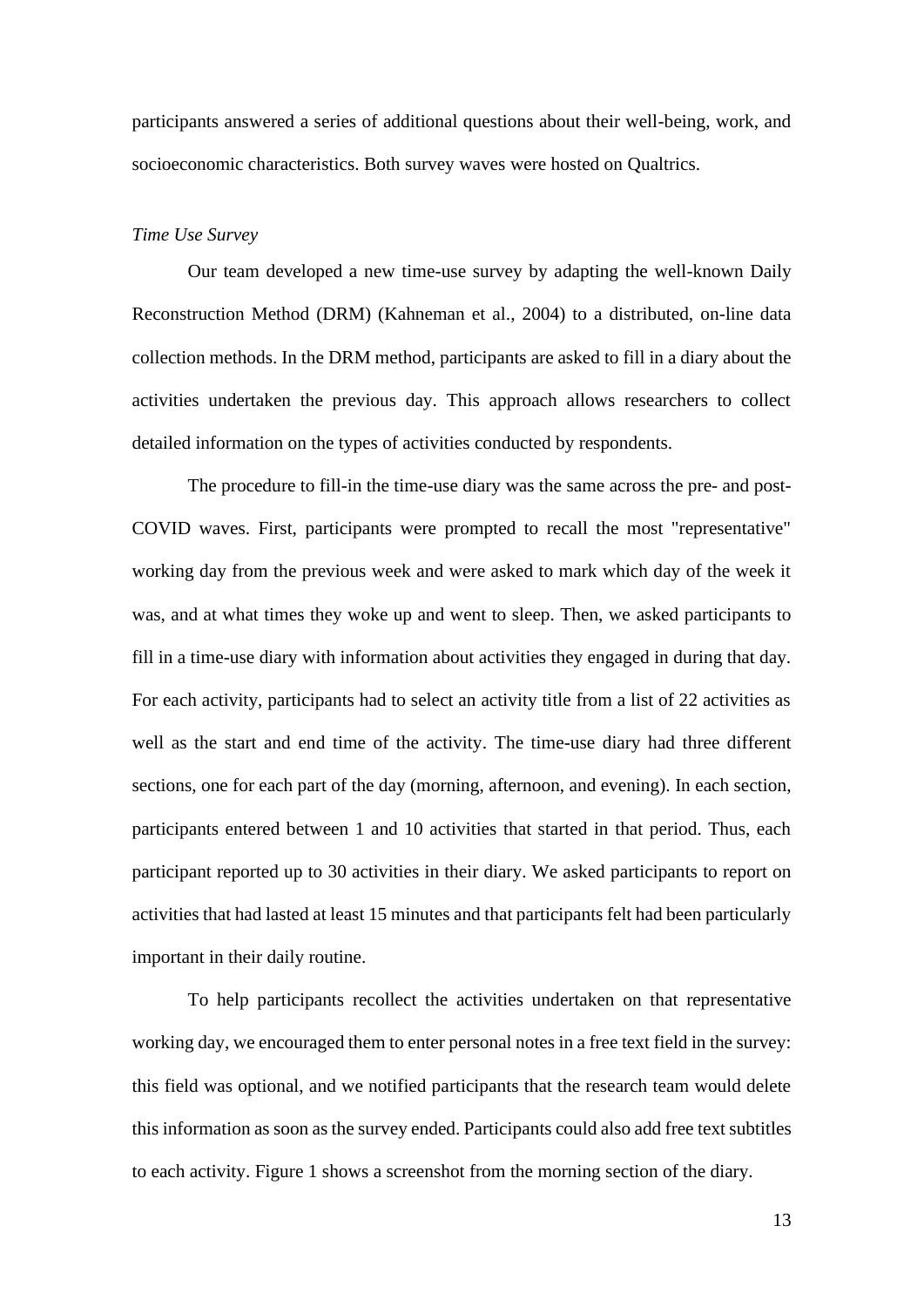participants answered a series of additional questions about their well-being, work, and socioeconomic characteristics. Both survey waves were hosted on Qualtrics.

## *Time Use Survey*

Our team developed a new time-use survey by adapting the well-known Daily Reconstruction Method (DRM) (Kahneman et al., 2004) to a distributed, on-line data collection methods. In the DRM method, participants are asked to fill in a diary about the activities undertaken the previous day. This approach allows researchers to collect detailed information on the types of activities conducted by respondents.

The procedure to fill-in the time-use diary was the same across the pre- and post-COVID waves. First, participants were prompted to recall the most "representative" working day from the previous week and were asked to mark which day of the week it was, and at what times they woke up and went to sleep. Then, we asked participants to fill in a time-use diary with information about activities they engaged in during that day. For each activity, participants had to select an activity title from a list of 22 activities as well as the start and end time of the activity. The time-use diary had three different sections, one for each part of the day (morning, afternoon, and evening). In each section, participants entered between 1 and 10 activities that started in that period. Thus, each participant reported up to 30 activities in their diary. We asked participants to report on activities that had lasted at least 15 minutes and that participants felt had been particularly important in their daily routine.

To help participants recollect the activities undertaken on that representative working day, we encouraged them to enter personal notes in a free text field in the survey: this field was optional, and we notified participants that the research team would delete this information as soon as the survey ended. Participants could also add free text subtitles to each activity. Figure 1 shows a screenshot from the morning section of the diary.

13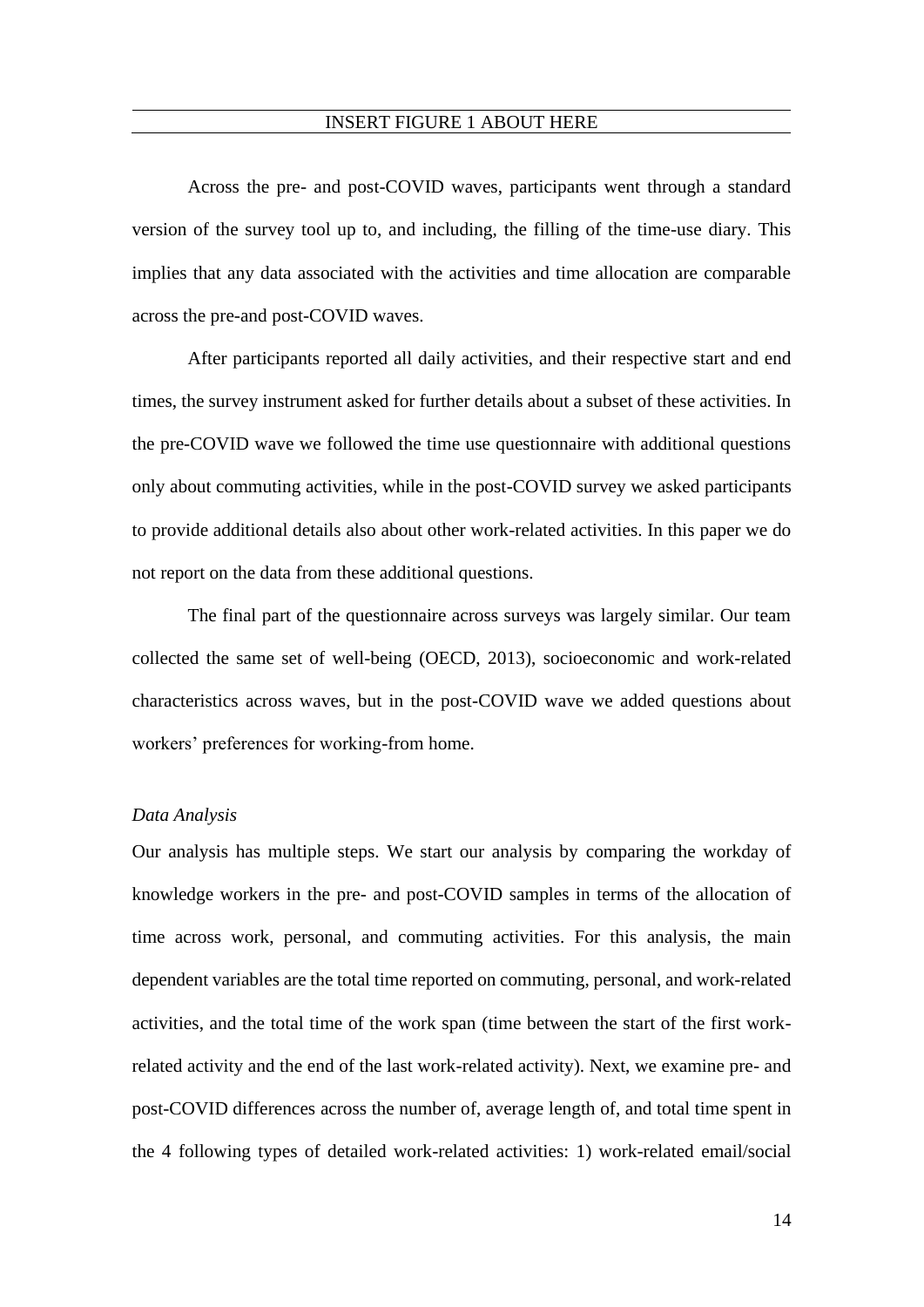#### INSERT FIGURE 1 ABOUT HERE

Across the pre- and post-COVID waves, participants went through a standard version of the survey tool up to, and including, the filling of the time-use diary. This implies that any data associated with the activities and time allocation are comparable across the pre-and post-COVID waves.

After participants reported all daily activities, and their respective start and end times, the survey instrument asked for further details about a subset of these activities. In the pre-COVID wave we followed the time use questionnaire with additional questions only about commuting activities, while in the post-COVID survey we asked participants to provide additional details also about other work-related activities. In this paper we do not report on the data from these additional questions.

The final part of the questionnaire across surveys was largely similar. Our team collected the same set of well-being (OECD, 2013), socioeconomic and work-related characteristics across waves, but in the post-COVID wave we added questions about workers' preferences for working-from home.

#### *Data Analysis*

Our analysis has multiple steps. We start our analysis by comparing the workday of knowledge workers in the pre- and post-COVID samples in terms of the allocation of time across work, personal, and commuting activities. For this analysis, the main dependent variables are the total time reported on commuting, personal, and work-related activities, and the total time of the work span (time between the start of the first workrelated activity and the end of the last work-related activity). Next, we examine pre- and post-COVID differences across the number of, average length of, and total time spent in the 4 following types of detailed work-related activities: 1) work-related email/social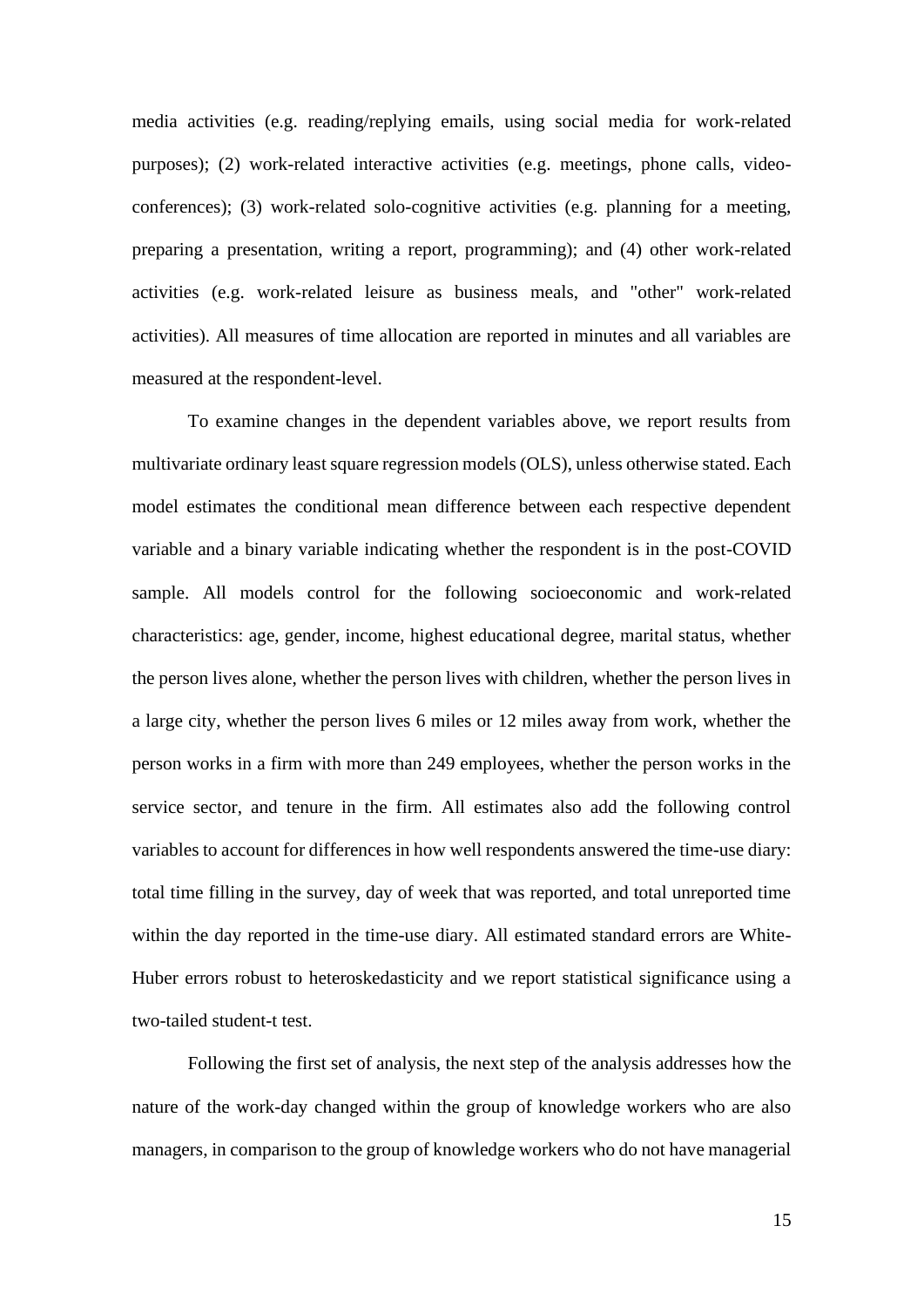media activities (e.g. reading/replying emails, using social media for work-related purposes); (2) work-related interactive activities (e.g. meetings, phone calls, videoconferences); (3) work-related solo-cognitive activities (e.g. planning for a meeting, preparing a presentation, writing a report, programming); and (4) other work-related activities (e.g. work-related leisure as business meals, and "other" work-related activities). All measures of time allocation are reported in minutes and all variables are measured at the respondent-level.

To examine changes in the dependent variables above, we report results from multivariate ordinary least square regression models (OLS), unless otherwise stated. Each model estimates the conditional mean difference between each respective dependent variable and a binary variable indicating whether the respondent is in the post-COVID sample. All models control for the following socioeconomic and work-related characteristics: age, gender, income, highest educational degree, marital status, whether the person lives alone, whether the person lives with children, whether the person lives in a large city, whether the person lives 6 miles or 12 miles away from work, whether the person works in a firm with more than 249 employees, whether the person works in the service sector, and tenure in the firm. All estimates also add the following control variables to account for differences in how well respondents answered the time-use diary: total time filling in the survey, day of week that was reported, and total unreported time within the day reported in the time-use diary. All estimated standard errors are White-Huber errors robust to heteroskedasticity and we report statistical significance using a two-tailed student-t test.

Following the first set of analysis, the next step of the analysis addresses how the nature of the work-day changed within the group of knowledge workers who are also managers, in comparison to the group of knowledge workers who do not have managerial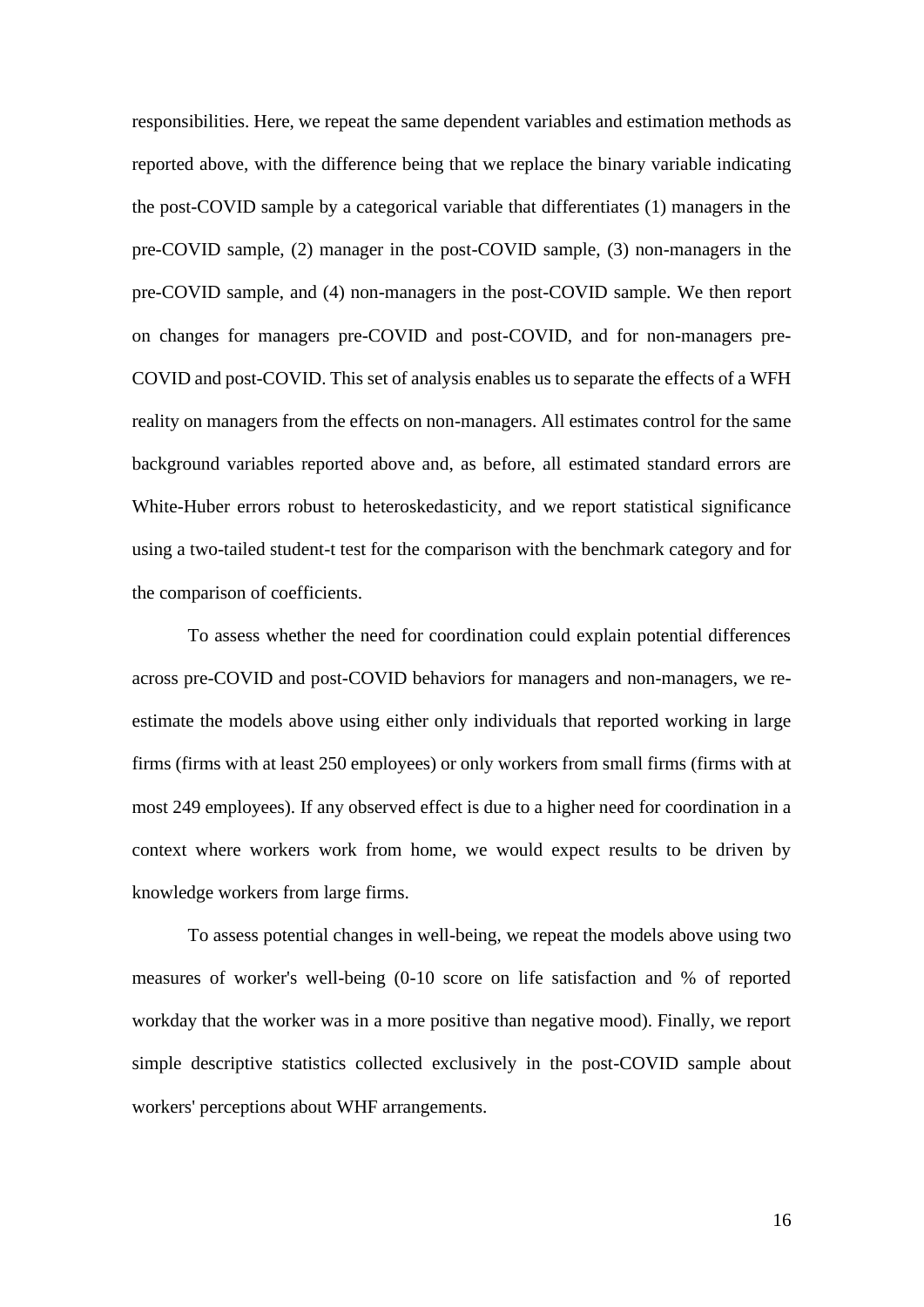responsibilities. Here, we repeat the same dependent variables and estimation methods as reported above, with the difference being that we replace the binary variable indicating the post-COVID sample by a categorical variable that differentiates (1) managers in the pre-COVID sample, (2) manager in the post-COVID sample, (3) non-managers in the pre-COVID sample, and (4) non-managers in the post-COVID sample. We then report on changes for managers pre-COVID and post-COVID, and for non-managers pre-COVID and post-COVID. This set of analysis enables us to separate the effects of a WFH reality on managers from the effects on non-managers. All estimates control for the same background variables reported above and, as before, all estimated standard errors are White-Huber errors robust to heteroskedasticity, and we report statistical significance using a two-tailed student-t test for the comparison with the benchmark category and for the comparison of coefficients.

To assess whether the need for coordination could explain potential differences across pre-COVID and post-COVID behaviors for managers and non-managers, we reestimate the models above using either only individuals that reported working in large firms (firms with at least 250 employees) or only workers from small firms (firms with at most 249 employees). If any observed effect is due to a higher need for coordination in a context where workers work from home, we would expect results to be driven by knowledge workers from large firms.

To assess potential changes in well-being, we repeat the models above using two measures of worker's well-being (0-10 score on life satisfaction and % of reported workday that the worker was in a more positive than negative mood). Finally, we report simple descriptive statistics collected exclusively in the post-COVID sample about workers' perceptions about WHF arrangements.

16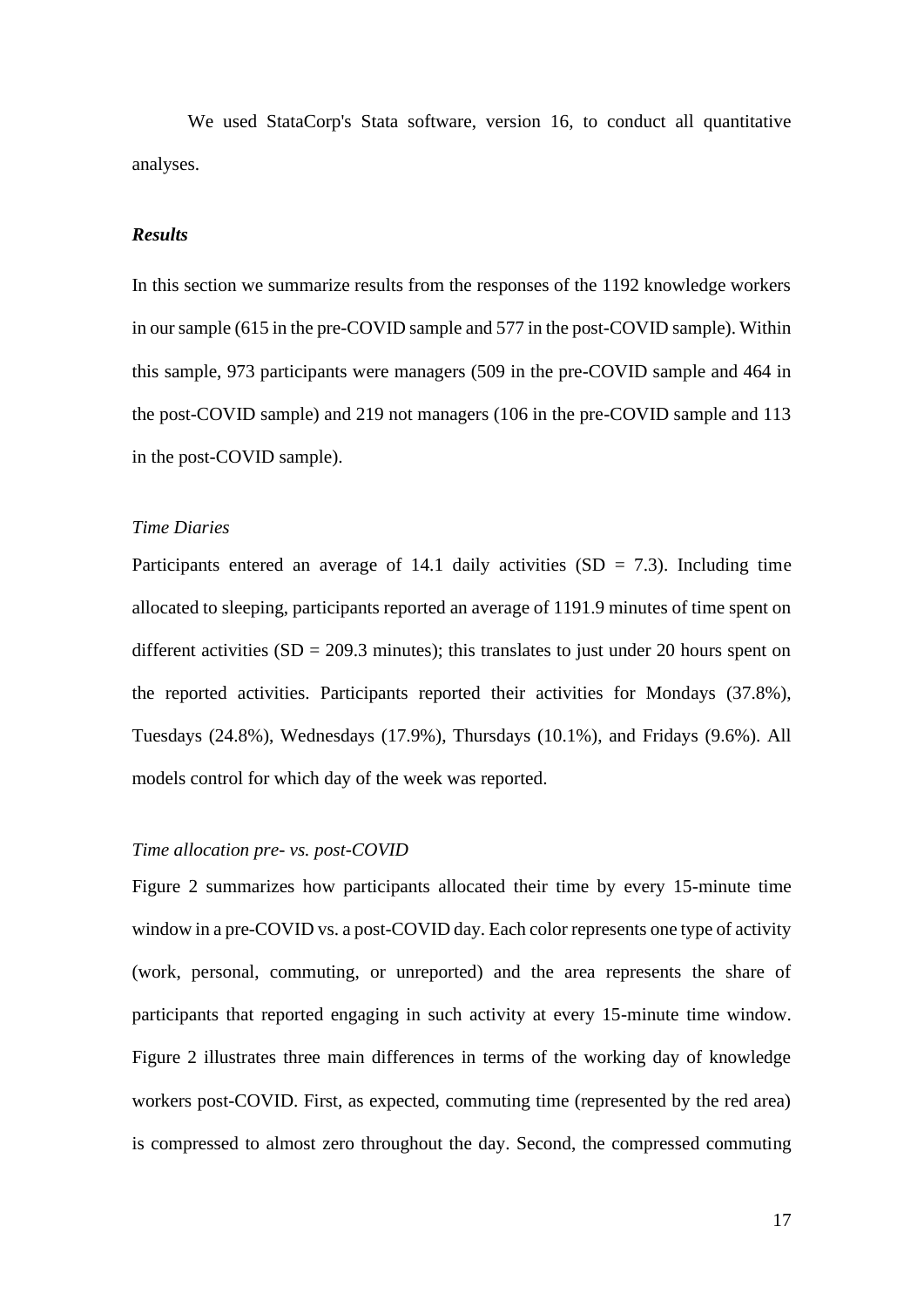We used StataCorp's Stata software, version 16, to conduct all quantitative analyses.

#### *Results*

In this section we summarize results from the responses of the 1192 knowledge workers in our sample (615 in the pre-COVID sample and 577 in the post-COVID sample). Within this sample, 973 participants were managers (509 in the pre-COVID sample and 464 in the post-COVID sample) and 219 not managers (106 in the pre-COVID sample and 113 in the post-COVID sample).

#### *Time Diaries*

Participants entered an average of 14.1 daily activities  $(SD = 7.3)$ . Including time allocated to sleeping, participants reported an average of 1191.9 minutes of time spent on different activities  $(SD = 209.3 \text{ minutes})$ ; this translates to just under 20 hours spent on the reported activities. Participants reported their activities for Mondays (37.8%), Tuesdays (24.8%), Wednesdays (17.9%), Thursdays (10.1%), and Fridays (9.6%). All models control for which day of the week was reported.

## *Time allocation pre- vs. post-COVID*

Figure 2 summarizes how participants allocated their time by every 15-minute time window in a pre-COVID vs. a post-COVID day. Each color represents one type of activity (work, personal, commuting, or unreported) and the area represents the share of participants that reported engaging in such activity at every 15-minute time window. Figure 2 illustrates three main differences in terms of the working day of knowledge workers post-COVID. First, as expected, commuting time (represented by the red area) is compressed to almost zero throughout the day. Second, the compressed commuting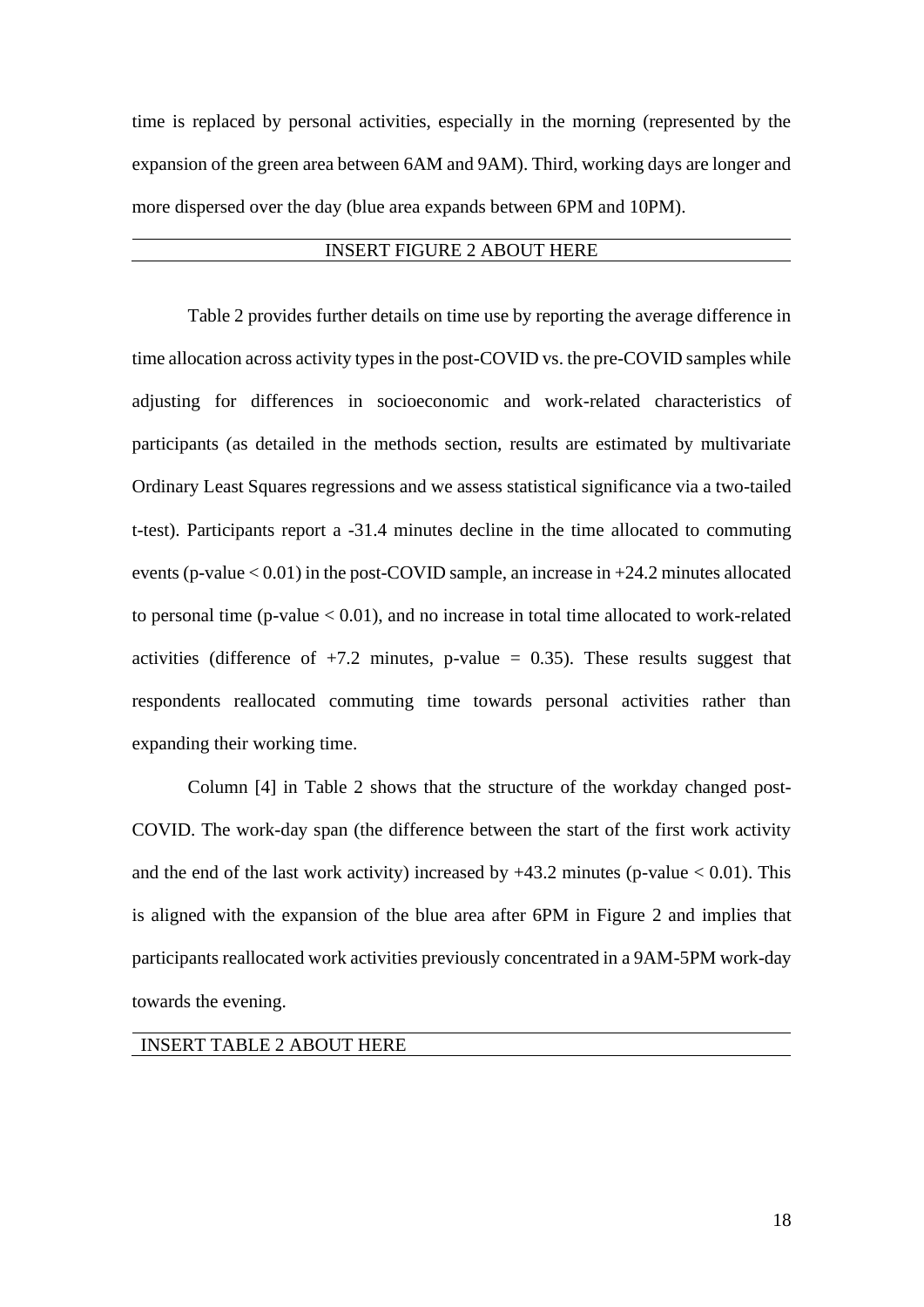time is replaced by personal activities, especially in the morning (represented by the expansion of the green area between 6AM and 9AM). Third, working days are longer and more dispersed over the day (blue area expands between 6PM and 10PM).

## INSERT FIGURE 2 ABOUT HERE

Table 2 provides further details on time use by reporting the average difference in time allocation across activity types in the post-COVID vs. the pre-COVID samples while adjusting for differences in socioeconomic and work-related characteristics of participants (as detailed in the methods section, results are estimated by multivariate Ordinary Least Squares regressions and we assess statistical significance via a two-tailed t-test). Participants report a -31.4 minutes decline in the time allocated to commuting events (p-value < 0.01) in the post-COVID sample, an increase in +24.2 minutes allocated to personal time ( $p$ -value  $< 0.01$ ), and no increase in total time allocated to work-related activities (difference of  $+7.2$  minutes, p-value = 0.35). These results suggest that respondents reallocated commuting time towards personal activities rather than expanding their working time.

Column [4] in Table 2 shows that the structure of the workday changed post-COVID. The work-day span (the difference between the start of the first work activity and the end of the last work activity) increased by  $+43.2$  minutes (p-value  $< 0.01$ ). This is aligned with the expansion of the blue area after 6PM in Figure 2 and implies that participants reallocated work activities previously concentrated in a 9AM-5PM work-day towards the evening.

## INSERT TABLE 2 ABOUT HERE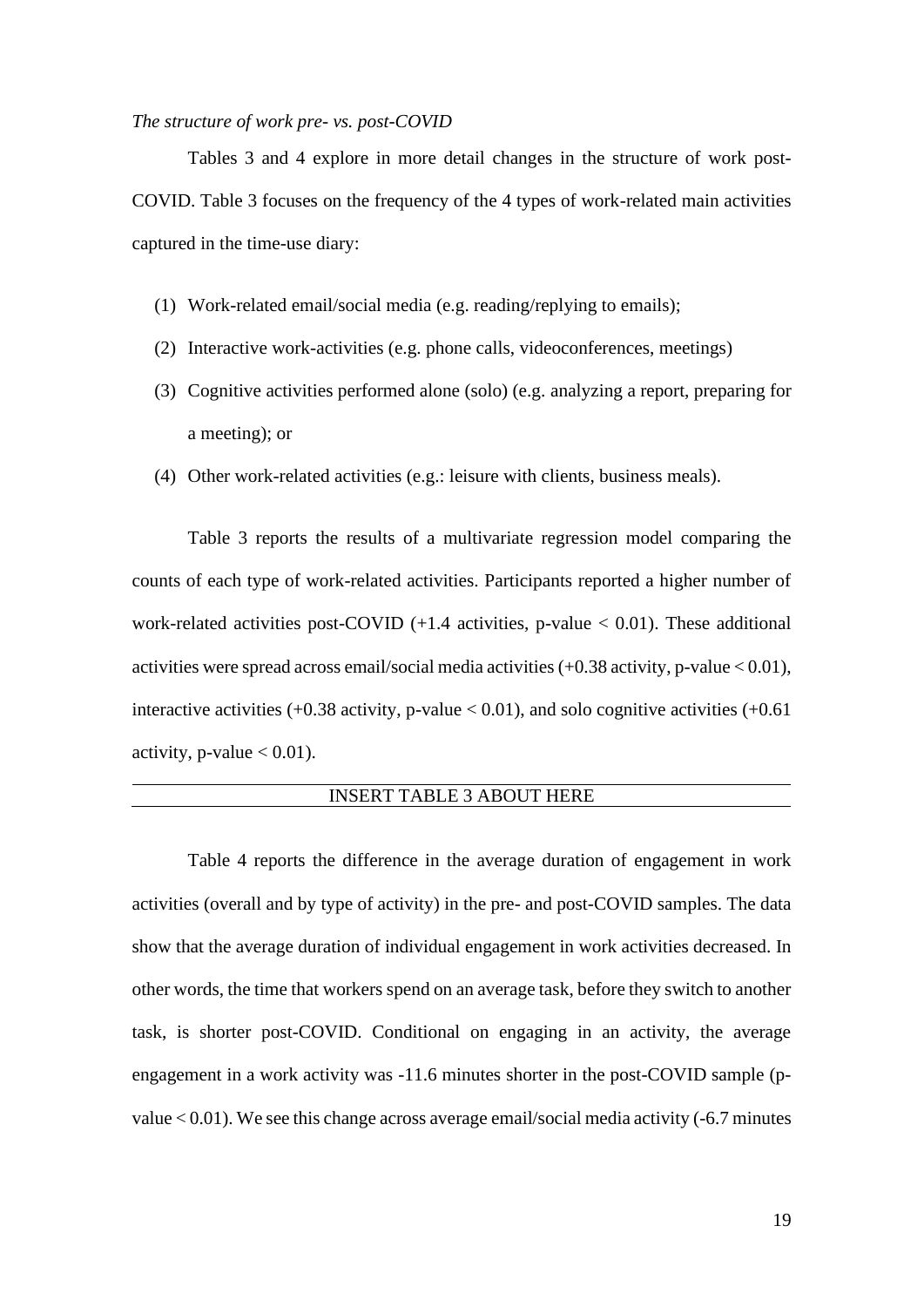#### *The structure of work pre- vs. post-COVID*

Tables 3 and 4 explore in more detail changes in the structure of work post-COVID. Table 3 focuses on the frequency of the 4 types of work-related main activities captured in the time-use diary:

- (1) Work-related email/social media (e.g. reading/replying to emails);
- (2) Interactive work-activities (e.g. phone calls, videoconferences, meetings)
- (3) Cognitive activities performed alone (solo) (e.g. analyzing a report, preparing for a meeting); or
- (4) Other work-related activities (e.g.: leisure with clients, business meals).

Table 3 reports the results of a multivariate regression model comparing the counts of each type of work-related activities. Participants reported a higher number of work-related activities post-COVID  $(+1.4$  activities, p-value  $< 0.01$ ). These additional activities were spread across email/social media activities  $(+0.38$  activity, p-value  $< 0.01$ ), interactive activities  $(+0.38$  activity, p-value  $< 0.01$ ), and solo cognitive activities  $(+0.61)$ activity, p-value  $< 0.01$ ).

## INSERT TABLE 3 ABOUT HERE

Table 4 reports the difference in the average duration of engagement in work activities (overall and by type of activity) in the pre- and post-COVID samples. The data show that the average duration of individual engagement in work activities decreased. In other words, the time that workers spend on an average task, before they switch to another task, is shorter post-COVID. Conditional on engaging in an activity, the average engagement in a work activity was -11.6 minutes shorter in the post-COVID sample (pvalue < 0.01). We see this change across average email/social media activity (-6.7 minutes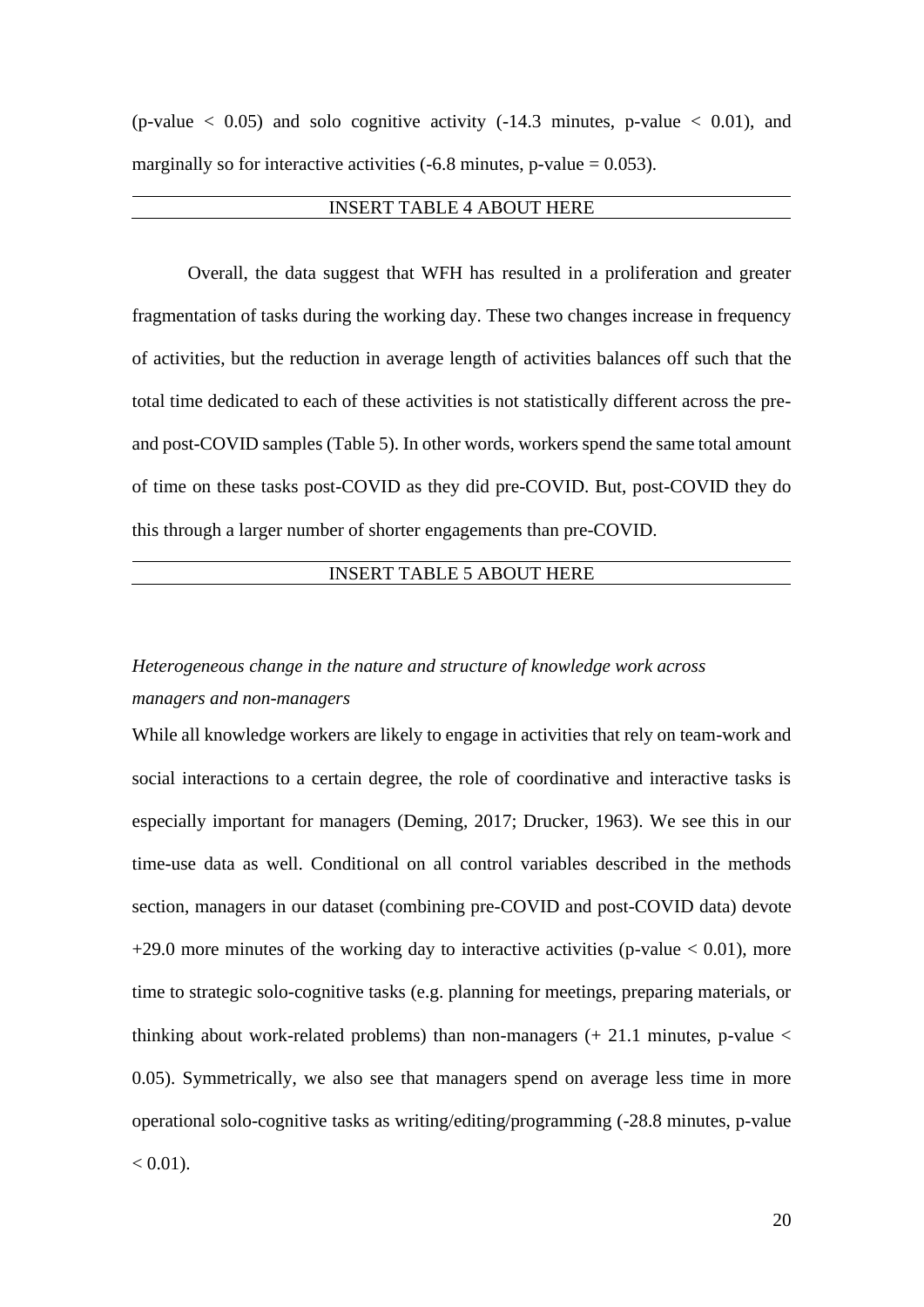(p-value  $\langle 0.05 \rangle$  and solo cognitive activity (-14.3 minutes, p-value  $\langle 0.01 \rangle$ , and marginally so for interactive activities  $(-6.8 \text{ minutes}, \text{p-value} = 0.053)$ .

#### INSERT TABLE 4 ABOUT HERE

Overall, the data suggest that WFH has resulted in a proliferation and greater fragmentation of tasks during the working day. These two changes increase in frequency of activities, but the reduction in average length of activities balances off such that the total time dedicated to each of these activities is not statistically different across the preand post-COVID samples (Table 5). In other words, workers spend the same total amount of time on these tasks post-COVID as they did pre-COVID. But, post-COVID they do this through a larger number of shorter engagements than pre-COVID.

## INSERT TABLE 5 ABOUT HERE

## *Heterogeneous change in the nature and structure of knowledge work across managers and non-managers*

While all knowledge workers are likely to engage in activities that rely on team-work and social interactions to a certain degree, the role of coordinative and interactive tasks is especially important for managers (Deming, 2017; Drucker, 1963). We see this in our time-use data as well. Conditional on all control variables described in the methods section, managers in our dataset (combining pre-COVID and post-COVID data) devote  $+29.0$  more minutes of the working day to interactive activities (p-value  $< 0.01$ ), more time to strategic solo-cognitive tasks (e.g. planning for meetings, preparing materials, or thinking about work-related problems) than non-managers  $(+ 21.1$  minutes, p-value < 0.05). Symmetrically, we also see that managers spend on average less time in more operational solo-cognitive tasks as writing/editing/programming (-28.8 minutes, p-value  $< 0.01$ ).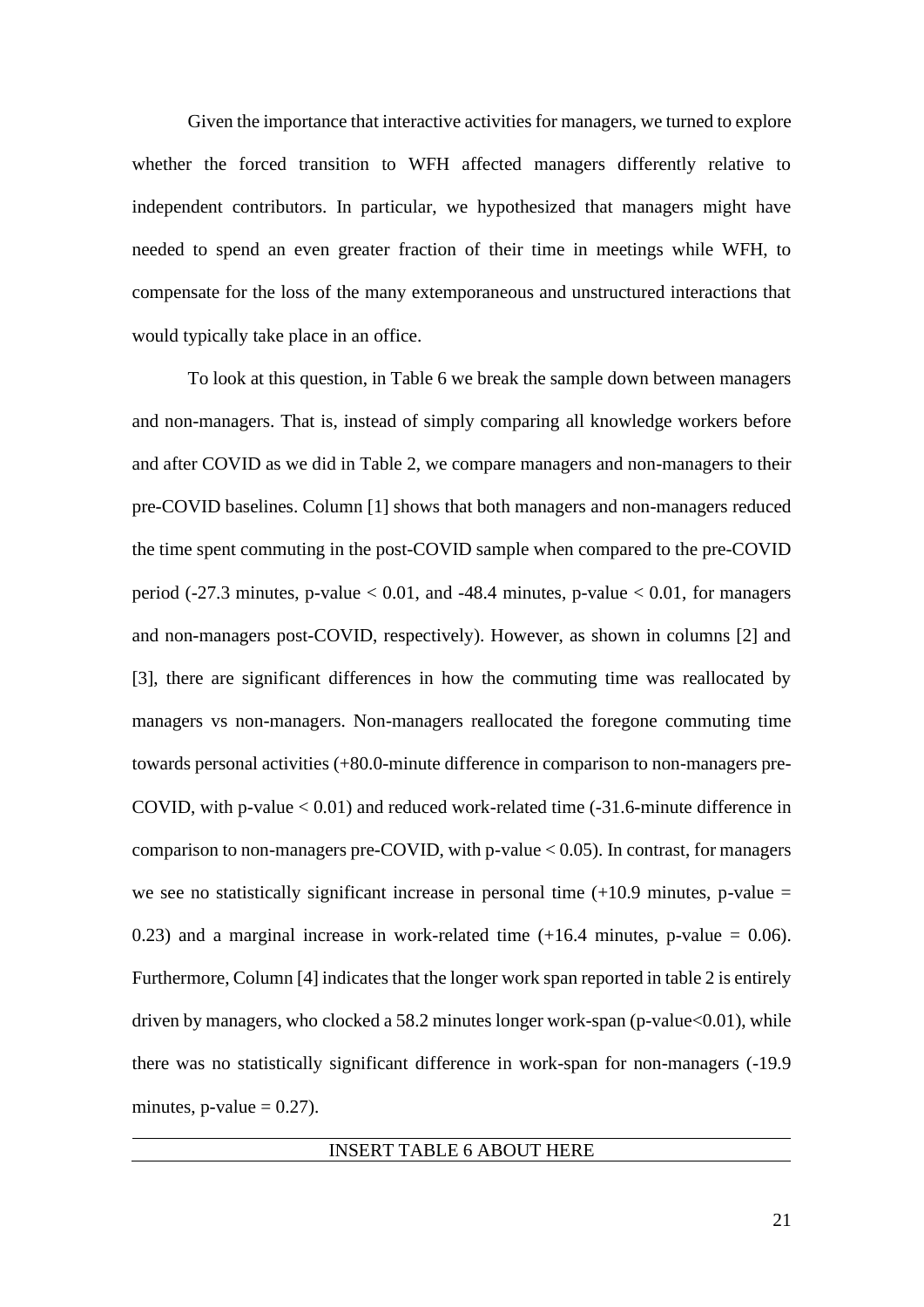Given the importance that interactive activities for managers, we turned to explore whether the forced transition to WFH affected managers differently relative to independent contributors. In particular, we hypothesized that managers might have needed to spend an even greater fraction of their time in meetings while WFH, to compensate for the loss of the many extemporaneous and unstructured interactions that would typically take place in an office.

To look at this question, in Table 6 we break the sample down between managers and non-managers. That is, instead of simply comparing all knowledge workers before and after COVID as we did in Table 2, we compare managers and non-managers to their pre-COVID baselines. Column [1] shows that both managers and non-managers reduced the time spent commuting in the post-COVID sample when compared to the pre-COVID period (-27.3 minutes, p-value  $< 0.01$ , and -48.4 minutes, p-value  $< 0.01$ , for managers and non-managers post-COVID, respectively). However, as shown in columns [2] and [3], there are significant differences in how the commuting time was reallocated by managers vs non-managers. Non-managers reallocated the foregone commuting time towards personal activities (+80.0-minute difference in comparison to non-managers pre-COVID, with p-value  $< 0.01$ ) and reduced work-related time  $(-31.6$ -minute difference in comparison to non-managers pre-COVID, with  $p$ -value  $< 0.05$ ). In contrast, for managers we see no statistically significant increase in personal time  $(+10.9 \text{ minutes}, \text{p-value} =$ 0.23) and a marginal increase in work-related time  $(+16.4 \text{ minutes}, \text{p-value} = 0.06)$ . Furthermore, Column [4] indicates that the longer work span reported in table 2 is entirely driven by managers, who clocked a 58.2 minutes longer work-span (p-value $<0.01$ ), while there was no statistically significant difference in work-span for non-managers (-19.9 minutes, p-value  $= 0.27$ ).

#### INSERT TABLE 6 ABOUT HERE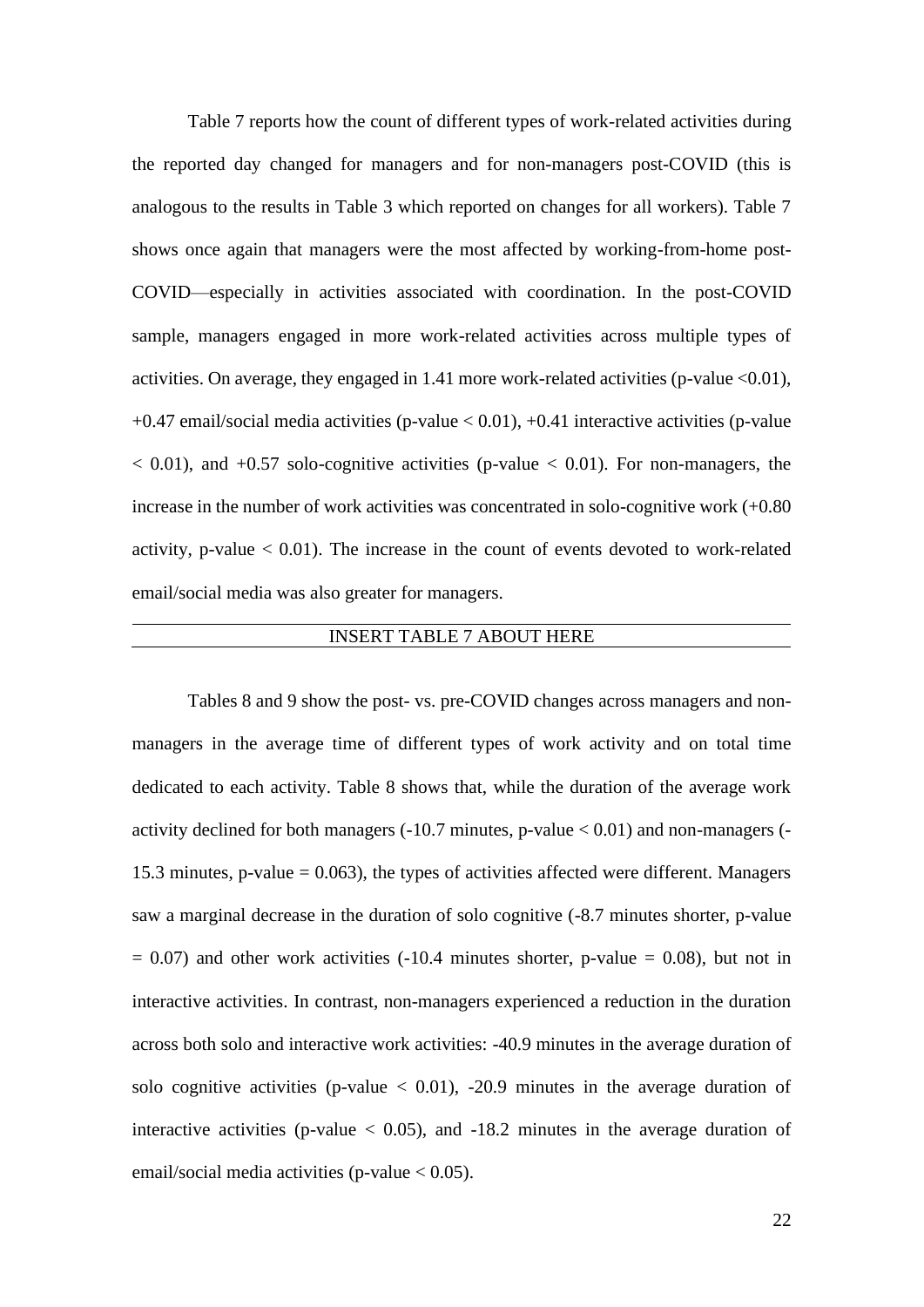Table 7 reports how the count of different types of work-related activities during the reported day changed for managers and for non-managers post-COVID (this is analogous to the results in Table 3 which reported on changes for all workers). Table 7 shows once again that managers were the most affected by working-from-home post-COVID—especially in activities associated with coordination. In the post-COVID sample, managers engaged in more work-related activities across multiple types of activities. On average, they engaged in 1.41 more work-related activities (p-value <0.01), +0.47 email/social media activities (p-value < 0.01), +0.41 interactive activities (p-value  $< 0.01$ ), and  $+0.57$  solo-cognitive activities (p-value  $< 0.01$ ). For non-managers, the increase in the number of work activities was concentrated in solo-cognitive work (+0.80 activity, p-value  $< 0.01$ ). The increase in the count of events devoted to work-related email/social media was also greater for managers.

## INSERT TABLE 7 ABOUT HERE

Tables 8 and 9 show the post- vs. pre-COVID changes across managers and nonmanagers in the average time of different types of work activity and on total time dedicated to each activity. Table 8 shows that, while the duration of the average work activity declined for both managers  $(-10.7 \text{ minutes}, p-value < 0.01)$  and non-managers  $(-10.7 \text{ minutes}, p-value < 0.01)$ 15.3 minutes, p-value  $= 0.063$ ), the types of activities affected were different. Managers saw a marginal decrease in the duration of solo cognitive (-8.7 minutes shorter, p-value  $= 0.07$ ) and other work activities (-10.4 minutes shorter, p-value  $= 0.08$ ), but not in interactive activities. In contrast, non-managers experienced a reduction in the duration across both solo and interactive work activities: -40.9 minutes in the average duration of solo cognitive activities (p-value  $< 0.01$ ), -20.9 minutes in the average duration of interactive activities (p-value  $< 0.05$ ), and  $-18.2$  minutes in the average duration of email/social media activities (p-value  $< 0.05$ ).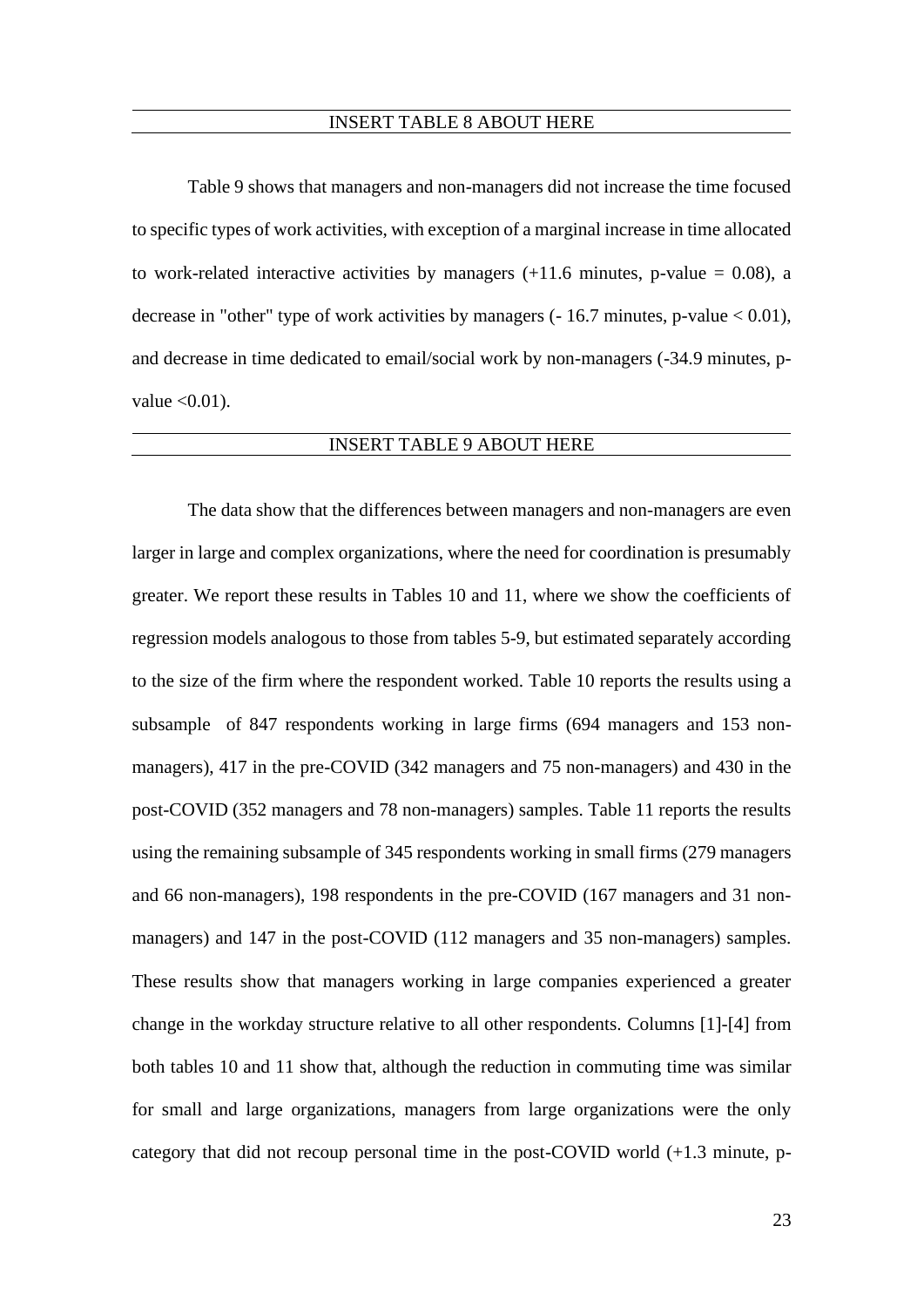#### INSERT TABLE 8 ABOUT HERE

Table 9 shows that managers and non-managers did not increase the time focused to specific types of work activities, with exception of a marginal increase in time allocated to work-related interactive activities by managers  $(+11.6 \text{ minutes}, \text{p-value} = 0.08)$ , a decrease in "other" type of work activities by managers  $(-16.7 \text{ minutes}, p-value < 0.01)$ , and decrease in time dedicated to email/social work by non-managers (-34.9 minutes, pvalue  $< 0.01$ ).

#### INSERT TABLE 9 ABOUT HERE

The data show that the differences between managers and non-managers are even larger in large and complex organizations, where the need for coordination is presumably greater. We report these results in Tables 10 and 11, where we show the coefficients of regression models analogous to those from tables 5-9, but estimated separately according to the size of the firm where the respondent worked. Table 10 reports the results using a subsample of 847 respondents working in large firms (694 managers and 153 nonmanagers), 417 in the pre-COVID (342 managers and 75 non-managers) and 430 in the post-COVID (352 managers and 78 non-managers) samples. Table 11 reports the results using the remaining subsample of 345 respondents working in small firms (279 managers and 66 non-managers), 198 respondents in the pre-COVID (167 managers and 31 nonmanagers) and 147 in the post-COVID (112 managers and 35 non-managers) samples. These results show that managers working in large companies experienced a greater change in the workday structure relative to all other respondents. Columns [1]-[4] from both tables 10 and 11 show that, although the reduction in commuting time was similar for small and large organizations, managers from large organizations were the only category that did not recoup personal time in the post-COVID world (+1.3 minute, p-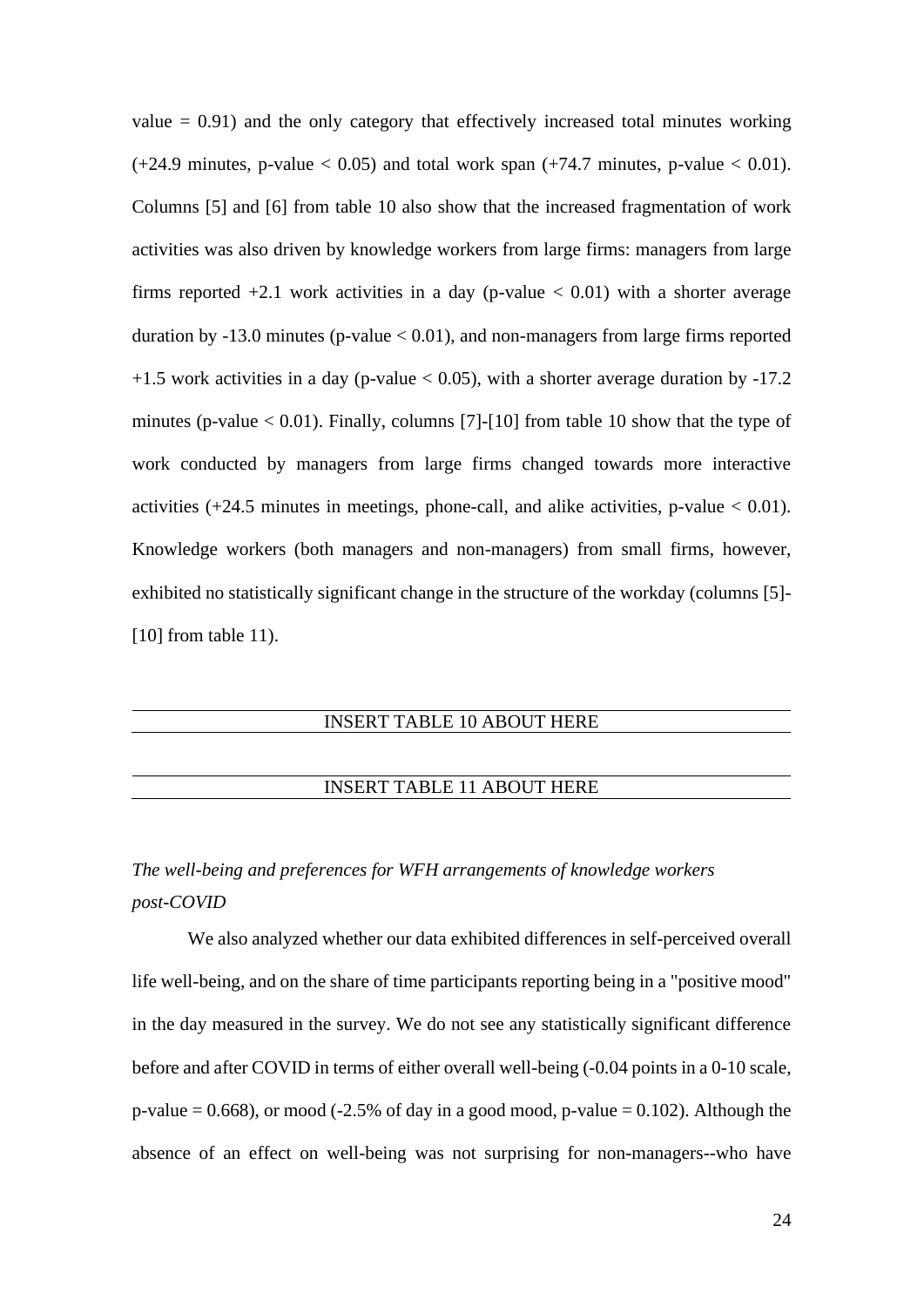value  $= 0.91$ ) and the only category that effectively increased total minutes working  $(+24.9 \text{ minutes}, \text{p-value} < 0.05)$  and total work span  $(+74.7 \text{ minutes}, \text{p-value} < 0.01)$ . Columns [5] and [6] from table 10 also show that the increased fragmentation of work activities was also driven by knowledge workers from large firms: managers from large firms reported  $+2.1$  work activities in a day (p-value  $< 0.01$ ) with a shorter average duration by  $-13.0$  minutes (p-value  $< 0.01$ ), and non-managers from large firms reported  $+1.5$  work activities in a day (p-value  $< 0.05$ ), with a shorter average duration by  $-17.2$ minutes (p-value  $< 0.01$ ). Finally, columns [7]-[10] from table 10 show that the type of work conducted by managers from large firms changed towards more interactive activities  $(+24.5 \text{ minutes in meetings, phone-call, and alike activities, p-value} < 0.01$ . Knowledge workers (both managers and non-managers) from small firms, however, exhibited no statistically significant change in the structure of the workday (columns [5]- [10] from table 11).

## INSERT TABLE 10 ABOUT HERE

#### INSERT TABLE 11 ABOUT HERE

## *The well-being and preferences for WFH arrangements of knowledge workers post-COVID*

We also analyzed whether our data exhibited differences in self-perceived overall life well-being, and on the share of time participants reporting being in a "positive mood" in the day measured in the survey. We do not see any statistically significant difference before and after COVID in terms of either overall well-being (-0.04 points in a 0-10 scale, p-value  $= 0.668$ ), or mood (-2.5% of day in a good mood, p-value  $= 0.102$ ). Although the absence of an effect on well-being was not surprising for non-managers--who have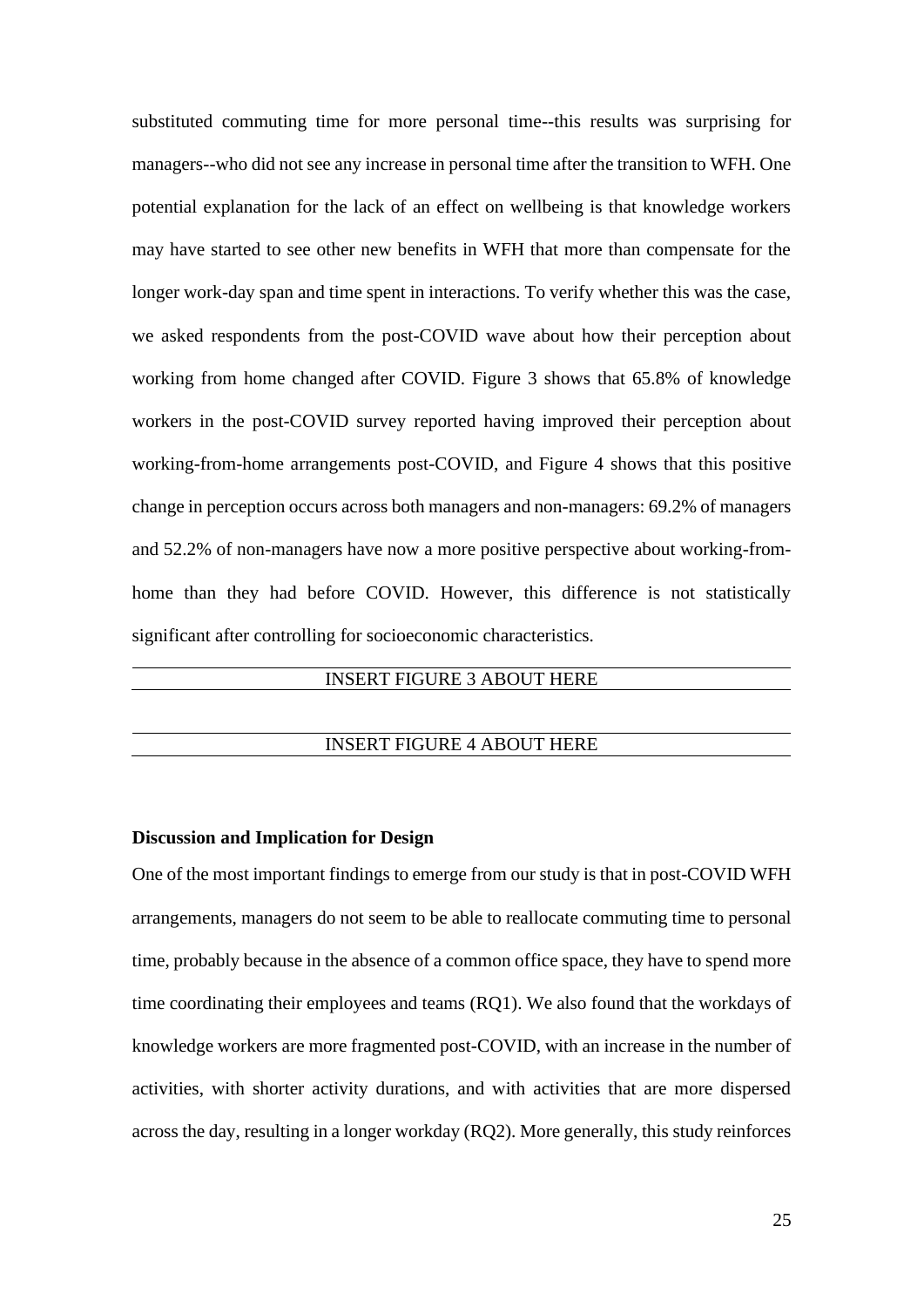substituted commuting time for more personal time--this results was surprising for managers--who did not see any increase in personal time after the transition to WFH. One potential explanation for the lack of an effect on wellbeing is that knowledge workers may have started to see other new benefits in WFH that more than compensate for the longer work-day span and time spent in interactions. To verify whether this was the case, we asked respondents from the post-COVID wave about how their perception about working from home changed after COVID. Figure 3 shows that 65.8% of knowledge workers in the post-COVID survey reported having improved their perception about working-from-home arrangements post-COVID, and Figure 4 shows that this positive change in perception occurs across both managers and non-managers: 69.2% of managers and 52.2% of non-managers have now a more positive perspective about working-fromhome than they had before COVID. However, this difference is not statistically significant after controlling for socioeconomic characteristics.

## INSERT FIGURE 3 ABOUT HERE

#### INSERT FIGURE 4 ABOUT HERE

#### **Discussion and Implication for Design**

One of the most important findings to emerge from our study is that in post-COVID WFH arrangements, managers do not seem to be able to reallocate commuting time to personal time, probably because in the absence of a common office space, they have to spend more time coordinating their employees and teams (RQ1). We also found that the workdays of knowledge workers are more fragmented post-COVID, with an increase in the number of activities, with shorter activity durations, and with activities that are more dispersed across the day, resulting in a longer workday (RQ2). More generally, this study reinforces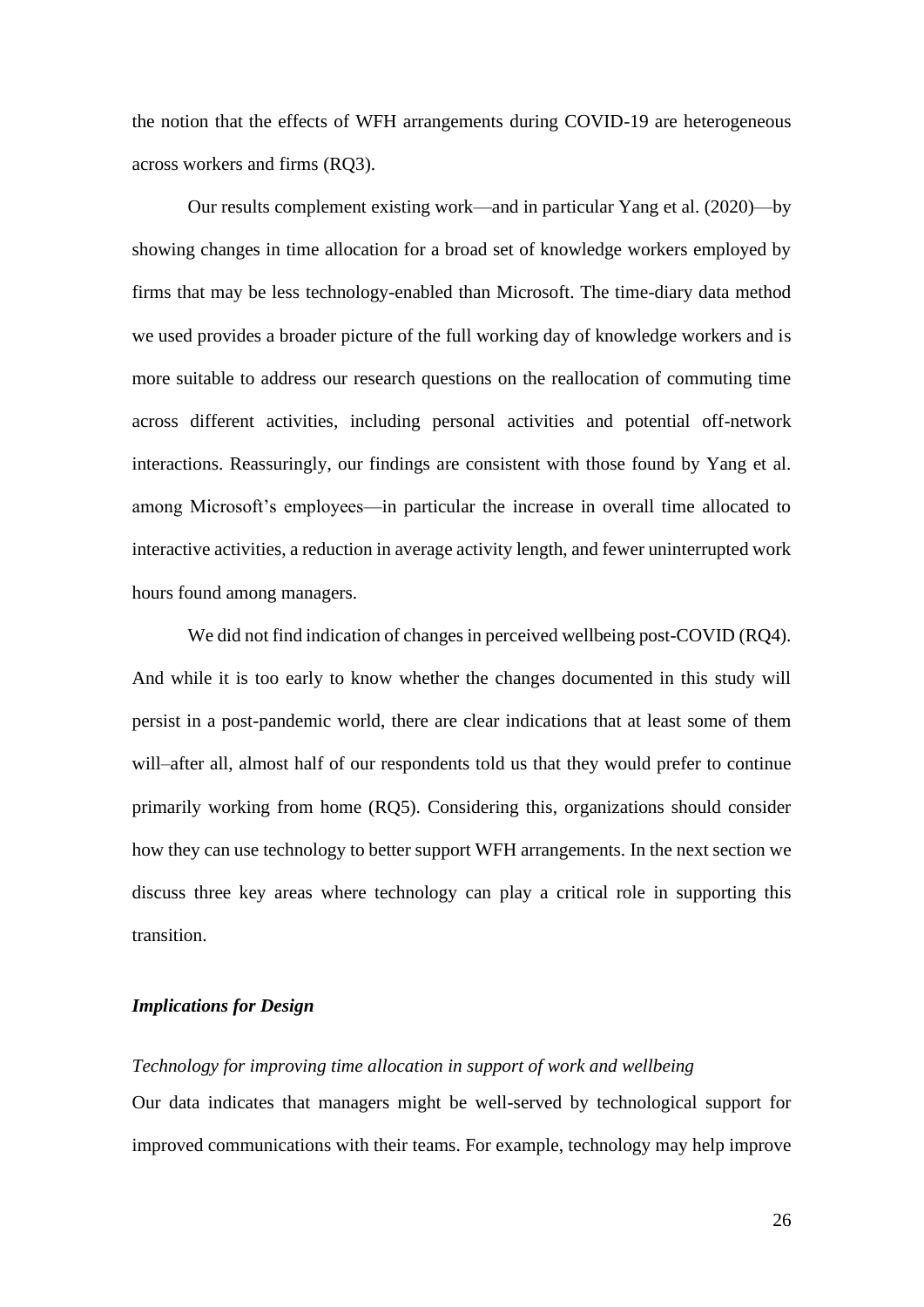the notion that the effects of WFH arrangements during COVID-19 are heterogeneous across workers and firms (RQ3).

Our results complement existing work—and in particular Yang et al. (2020)—by showing changes in time allocation for a broad set of knowledge workers employed by firms that may be less technology-enabled than Microsoft. The time-diary data method we used provides a broader picture of the full working day of knowledge workers and is more suitable to address our research questions on the reallocation of commuting time across different activities, including personal activities and potential off-network interactions. Reassuringly, our findings are consistent with those found by Yang et al. among Microsoft's employees—in particular the increase in overall time allocated to interactive activities, a reduction in average activity length, and fewer uninterrupted work hours found among managers.

We did not find indication of changes in perceived wellbeing post-COVID (RQ4). And while it is too early to know whether the changes documented in this study will persist in a post-pandemic world, there are clear indications that at least some of them will–after all, almost half of our respondents told us that they would prefer to continue primarily working from home (RQ5). Considering this, organizations should consider how they can use technology to better support WFH arrangements. In the next section we discuss three key areas where technology can play a critical role in supporting this transition.

#### *Implications for Design*

## *Technology for improving time allocation in support of work and wellbeing*

Our data indicates that managers might be well-served by technological support for improved communications with their teams. For example, technology may help improve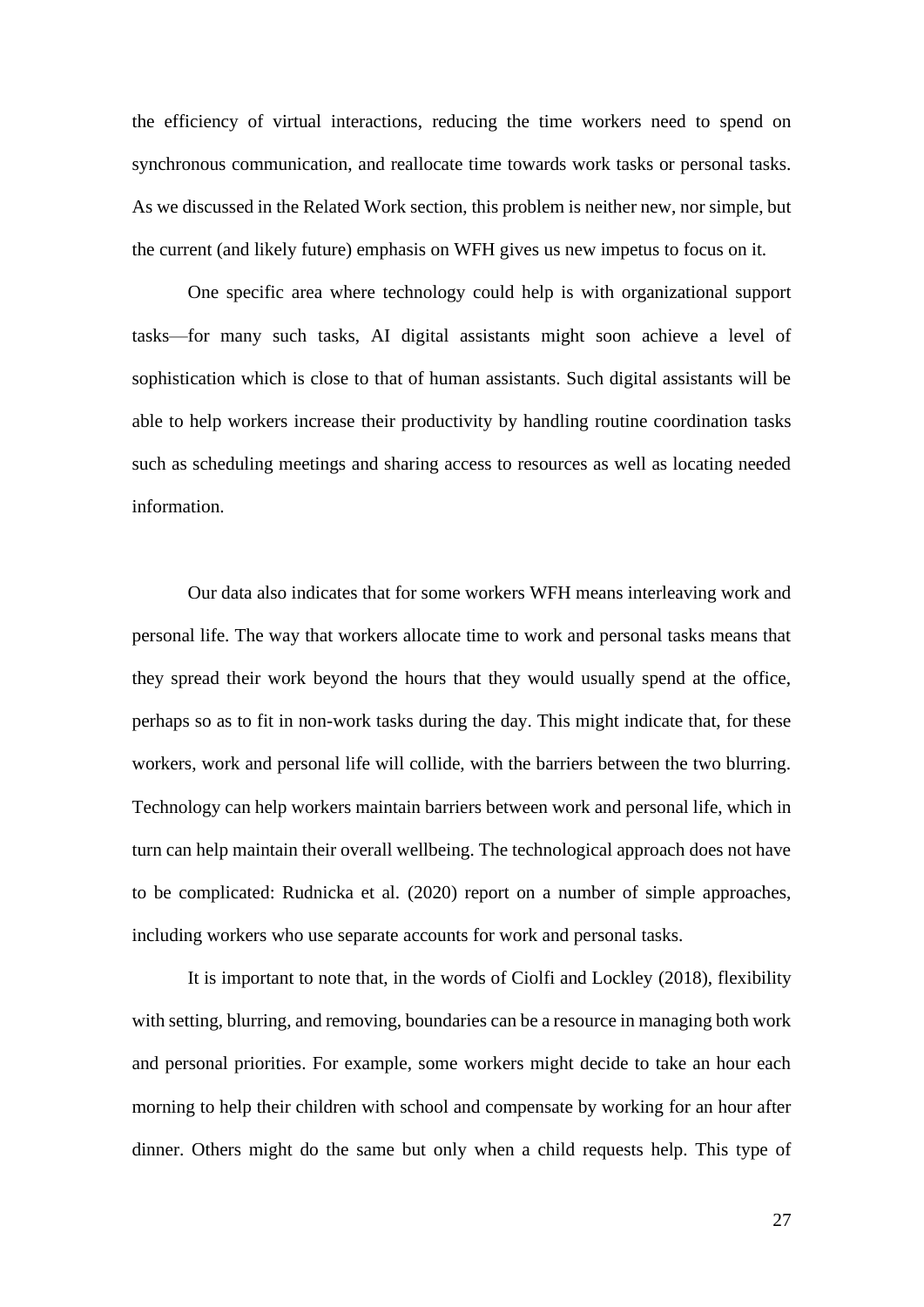the efficiency of virtual interactions, reducing the time workers need to spend on synchronous communication, and reallocate time towards work tasks or personal tasks. As we discussed in the Related Work section, this problem is neither new, nor simple, but the current (and likely future) emphasis on WFH gives us new impetus to focus on it.

One specific area where technology could help is with organizational support tasks—for many such tasks, AI digital assistants might soon achieve a level of sophistication which is close to that of human assistants. Such digital assistants will be able to help workers increase their productivity by handling routine coordination tasks such as scheduling meetings and sharing access to resources as well as locating needed information.

Our data also indicates that for some workers WFH means interleaving work and personal life. The way that workers allocate time to work and personal tasks means that they spread their work beyond the hours that they would usually spend at the office, perhaps so as to fit in non-work tasks during the day. This might indicate that, for these workers, work and personal life will collide, with the barriers between the two blurring. Technology can help workers maintain barriers between work and personal life, which in turn can help maintain their overall wellbeing. The technological approach does not have to be complicated: Rudnicka et al. (2020) report on a number of simple approaches, including workers who use separate accounts for work and personal tasks.

It is important to note that, in the words of Ciolfi and Lockley (2018), flexibility with setting, blurring, and removing, boundaries can be a resource in managing both work and personal priorities. For example, some workers might decide to take an hour each morning to help their children with school and compensate by working for an hour after dinner. Others might do the same but only when a child requests help. This type of

27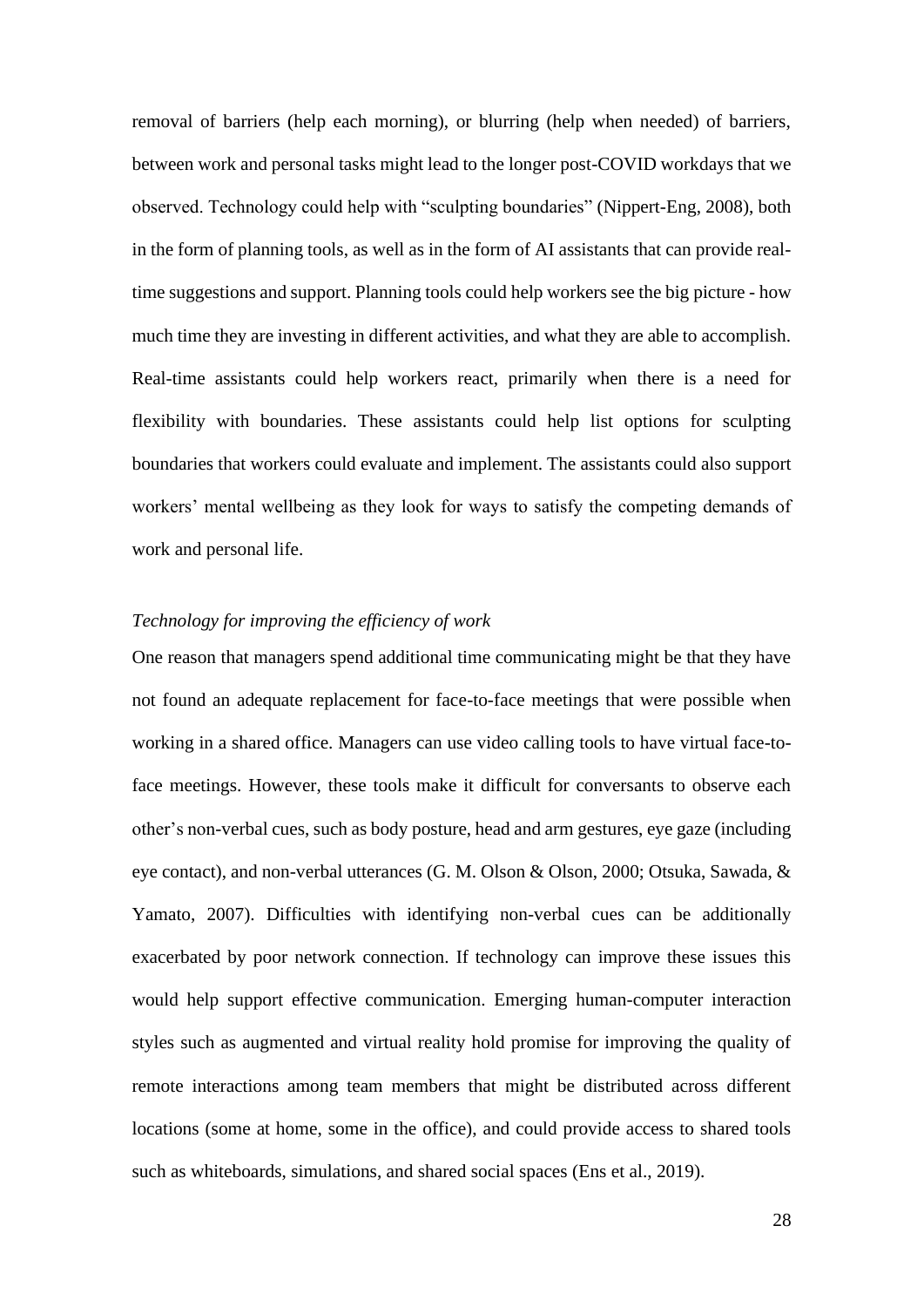removal of barriers (help each morning), or blurring (help when needed) of barriers, between work and personal tasks might lead to the longer post-COVID workdays that we observed. Technology could help with "sculpting boundaries" (Nippert-Eng, 2008), both in the form of planning tools, as well as in the form of AI assistants that can provide realtime suggestions and support. Planning tools could help workers see the big picture - how much time they are investing in different activities, and what they are able to accomplish. Real-time assistants could help workers react, primarily when there is a need for flexibility with boundaries. These assistants could help list options for sculpting boundaries that workers could evaluate and implement. The assistants could also support workers' mental wellbeing as they look for ways to satisfy the competing demands of work and personal life.

## *Technology for improving the efficiency of work*

One reason that managers spend additional time communicating might be that they have not found an adequate replacement for face-to-face meetings that were possible when working in a shared office. Managers can use video calling tools to have virtual face-toface meetings. However, these tools make it difficult for conversants to observe each other's non-verbal cues, such as body posture, head and arm gestures, eye gaze (including eye contact), and non-verbal utterances (G. M. Olson & Olson, 2000; Otsuka, Sawada, & Yamato, 2007). Difficulties with identifying non-verbal cues can be additionally exacerbated by poor network connection. If technology can improve these issues this would help support effective communication. Emerging human-computer interaction styles such as augmented and virtual reality hold promise for improving the quality of remote interactions among team members that might be distributed across different locations (some at home, some in the office), and could provide access to shared tools such as whiteboards, simulations, and shared social spaces (Ens et al., 2019).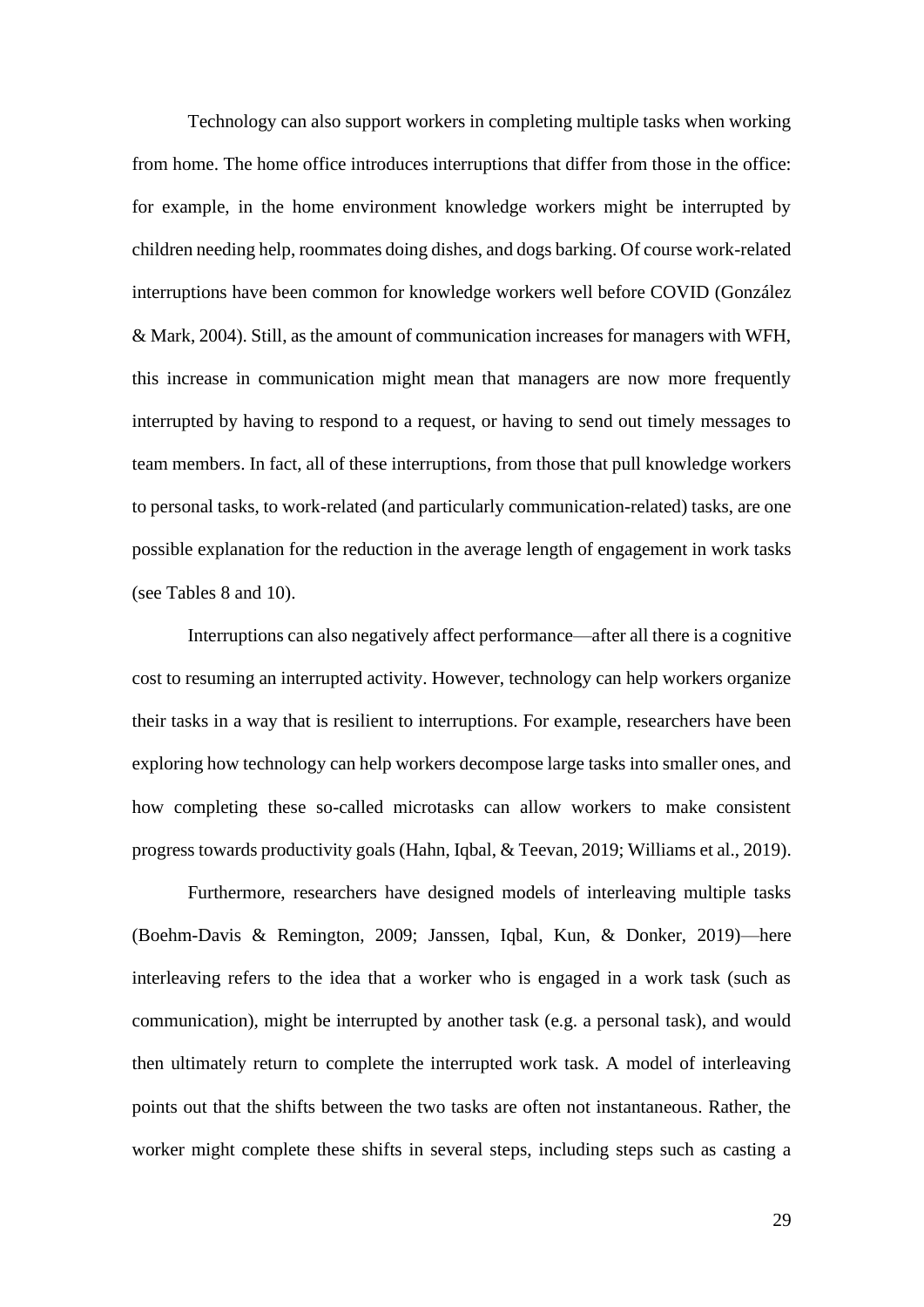Technology can also support workers in completing multiple tasks when working from home. The home office introduces interruptions that differ from those in the office: for example, in the home environment knowledge workers might be interrupted by children needing help, roommates doing dishes, and dogs barking. Of course work-related interruptions have been common for knowledge workers well before COVID (González & Mark, 2004). Still, as the amount of communication increases for managers with WFH, this increase in communication might mean that managers are now more frequently interrupted by having to respond to a request, or having to send out timely messages to team members. In fact, all of these interruptions, from those that pull knowledge workers to personal tasks, to work-related (and particularly communication-related) tasks, are one possible explanation for the reduction in the average length of engagement in work tasks (see Tables 8 and 10).

Interruptions can also negatively affect performance—after all there is a cognitive cost to resuming an interrupted activity. However, technology can help workers organize their tasks in a way that is resilient to interruptions. For example, researchers have been exploring how technology can help workers decompose large tasks into smaller ones, and how completing these so-called microtasks can allow workers to make consistent progress towards productivity goals (Hahn, Iqbal, & Teevan, 2019; Williams et al., 2019).

Furthermore, researchers have designed models of interleaving multiple tasks (Boehm-Davis & Remington, 2009; Janssen, Iqbal, Kun, & Donker, 2019)—here interleaving refers to the idea that a worker who is engaged in a work task (such as communication), might be interrupted by another task (e.g. a personal task), and would then ultimately return to complete the interrupted work task. A model of interleaving points out that the shifts between the two tasks are often not instantaneous. Rather, the worker might complete these shifts in several steps, including steps such as casting a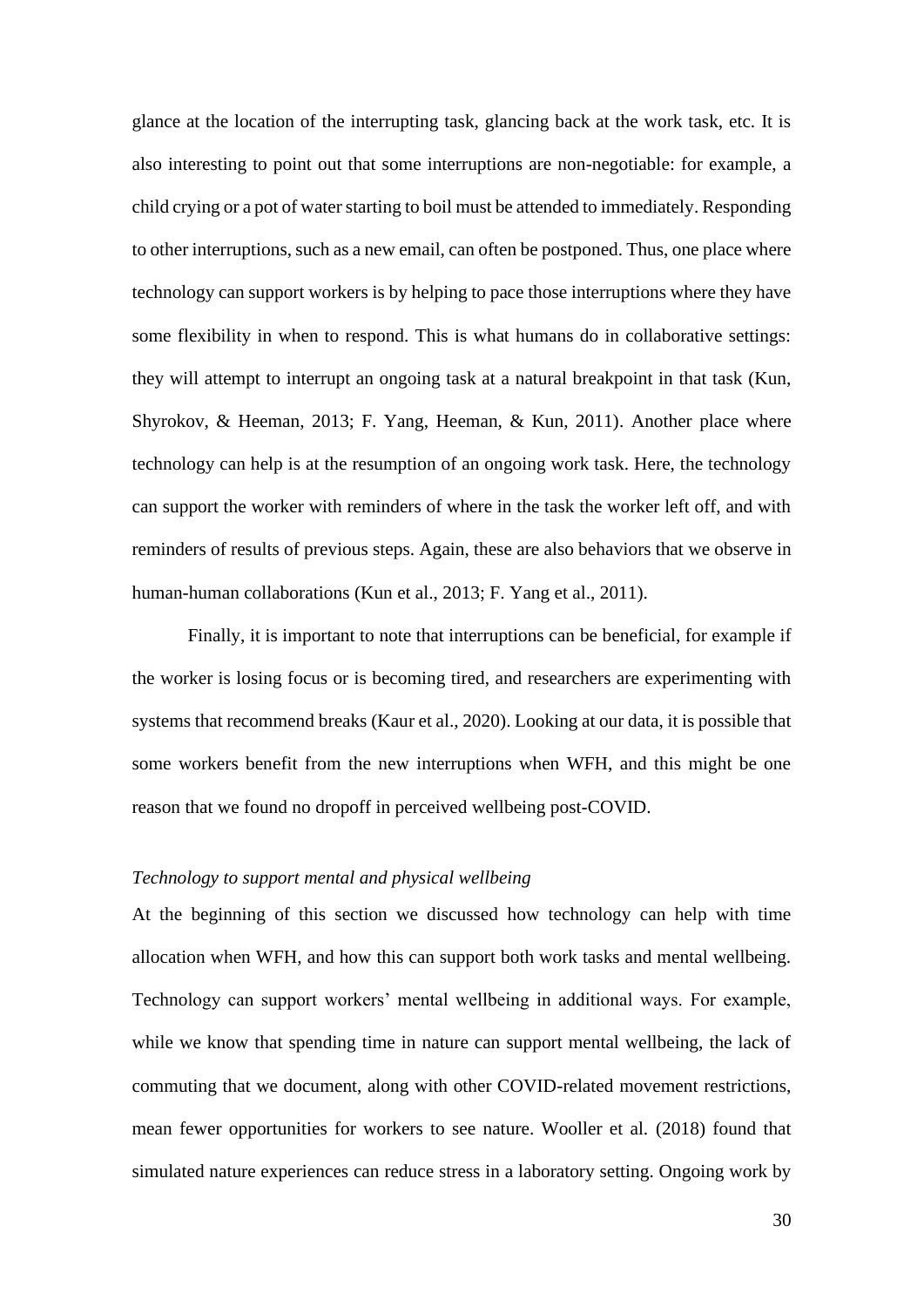glance at the location of the interrupting task, glancing back at the work task, etc. It is also interesting to point out that some interruptions are non-negotiable: for example, a child crying or a pot of water starting to boil must be attended to immediately. Responding to other interruptions, such as a new email, can often be postponed. Thus, one place where technology can support workers is by helping to pace those interruptions where they have some flexibility in when to respond. This is what humans do in collaborative settings: they will attempt to interrupt an ongoing task at a natural breakpoint in that task (Kun, Shyrokov, & Heeman, 2013; F. Yang, Heeman, & Kun, 2011). Another place where technology can help is at the resumption of an ongoing work task. Here, the technology can support the worker with reminders of where in the task the worker left off, and with reminders of results of previous steps. Again, these are also behaviors that we observe in human-human collaborations (Kun et al., 2013; F. Yang et al., 2011).

Finally, it is important to note that interruptions can be beneficial, for example if the worker is losing focus or is becoming tired, and researchers are experimenting with systems that recommend breaks (Kaur et al., 2020). Looking at our data, it is possible that some workers benefit from the new interruptions when WFH, and this might be one reason that we found no dropoff in perceived wellbeing post-COVID.

#### *Technology to support mental and physical wellbeing*

At the beginning of this section we discussed how technology can help with time allocation when WFH, and how this can support both work tasks and mental wellbeing. Technology can support workers' mental wellbeing in additional ways. For example, while we know that spending time in nature can support mental wellbeing, the lack of commuting that we document, along with other COVID-related movement restrictions, mean fewer opportunities for workers to see nature. Wooller et al. (2018) found that simulated nature experiences can reduce stress in a laboratory setting. Ongoing work by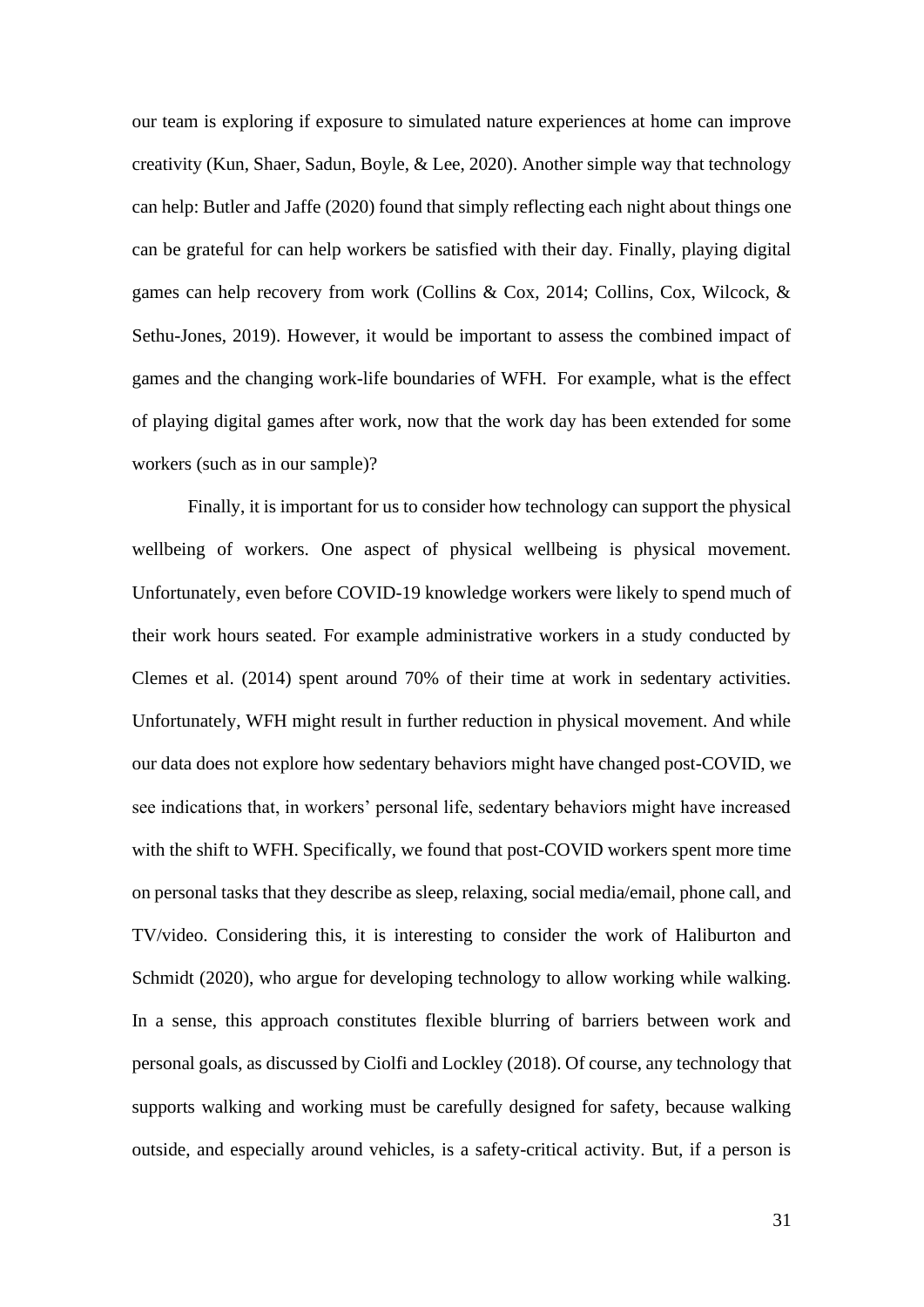our team is exploring if exposure to simulated nature experiences at home can improve creativity (Kun, Shaer, Sadun, Boyle, & Lee, 2020). Another simple way that technology can help: Butler and Jaffe (2020) found that simply reflecting each night about things one can be grateful for can help workers be satisfied with their day. Finally, playing digital games can help recovery from work (Collins & Cox, 2014; Collins, Cox, Wilcock, & Sethu-Jones, 2019). However, it would be important to assess the combined impact of games and the changing work-life boundaries of WFH. For example, what is the effect of playing digital games after work, now that the work day has been extended for some workers (such as in our sample)?

Finally, it is important for us to consider how technology can support the physical wellbeing of workers. One aspect of physical wellbeing is physical movement. Unfortunately, even before COVID-19 knowledge workers were likely to spend much of their work hours seated. For example administrative workers in a study conducted by Clemes et al. (2014) spent around 70% of their time at work in sedentary activities. Unfortunately, WFH might result in further reduction in physical movement. And while our data does not explore how sedentary behaviors might have changed post-COVID, we see indications that, in workers' personal life, sedentary behaviors might have increased with the shift to WFH. Specifically, we found that post-COVID workers spent more time on personal tasks that they describe as sleep, relaxing, social media/email, phone call, and TV/video. Considering this, it is interesting to consider the work of Haliburton and Schmidt (2020), who argue for developing technology to allow working while walking. In a sense, this approach constitutes flexible blurring of barriers between work and personal goals, as discussed by Ciolfi and Lockley (2018). Of course, any technology that supports walking and working must be carefully designed for safety, because walking outside, and especially around vehicles, is a safety-critical activity. But, if a person is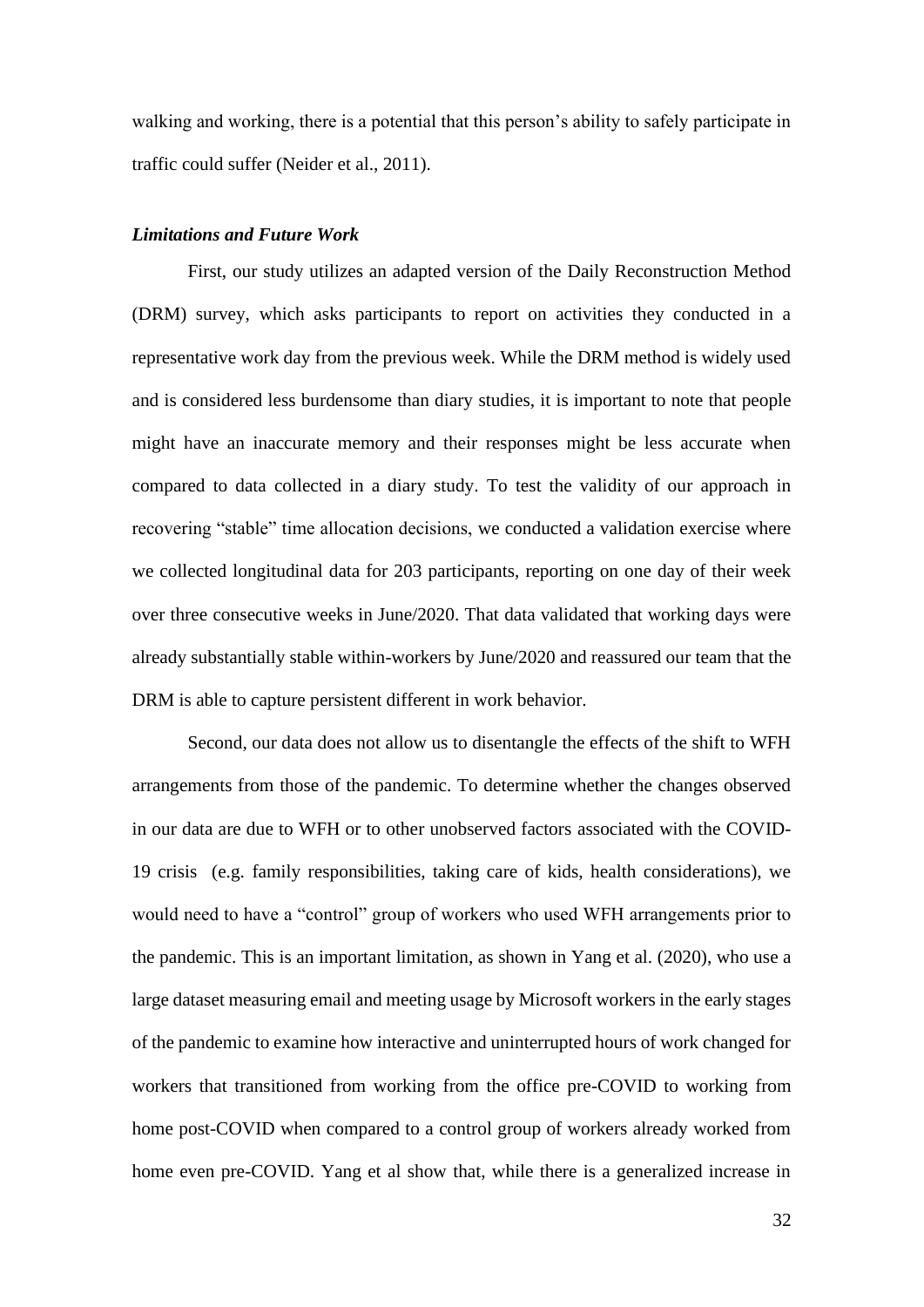walking and working, there is a potential that this person's ability to safely participate in traffic could suffer (Neider et al., 2011).

#### *Limitations and Future Work*

First, our study utilizes an adapted version of the Daily Reconstruction Method (DRM) survey, which asks participants to report on activities they conducted in a representative work day from the previous week. While the DRM method is widely used and is considered less burdensome than diary studies, it is important to note that people might have an inaccurate memory and their responses might be less accurate when compared to data collected in a diary study. To test the validity of our approach in recovering "stable" time allocation decisions, we conducted a validation exercise where we collected longitudinal data for 203 participants, reporting on one day of their week over three consecutive weeks in June/2020. That data validated that working days were already substantially stable within-workers by June/2020 and reassured our team that the DRM is able to capture persistent different in work behavior.

Second, our data does not allow us to disentangle the effects of the shift to WFH arrangements from those of the pandemic. To determine whether the changes observed in our data are due to WFH or to other unobserved factors associated with the COVID-19 crisis (e.g. family responsibilities, taking care of kids, health considerations), we would need to have a "control" group of workers who used WFH arrangements prior to the pandemic. This is an important limitation, as shown in Yang et al. (2020), who use a large dataset measuring email and meeting usage by Microsoft workers in the early stages of the pandemic to examine how interactive and uninterrupted hours of work changed for workers that transitioned from working from the office pre-COVID to working from home post-COVID when compared to a control group of workers already worked from home even pre-COVID. Yang et al show that, while there is a generalized increase in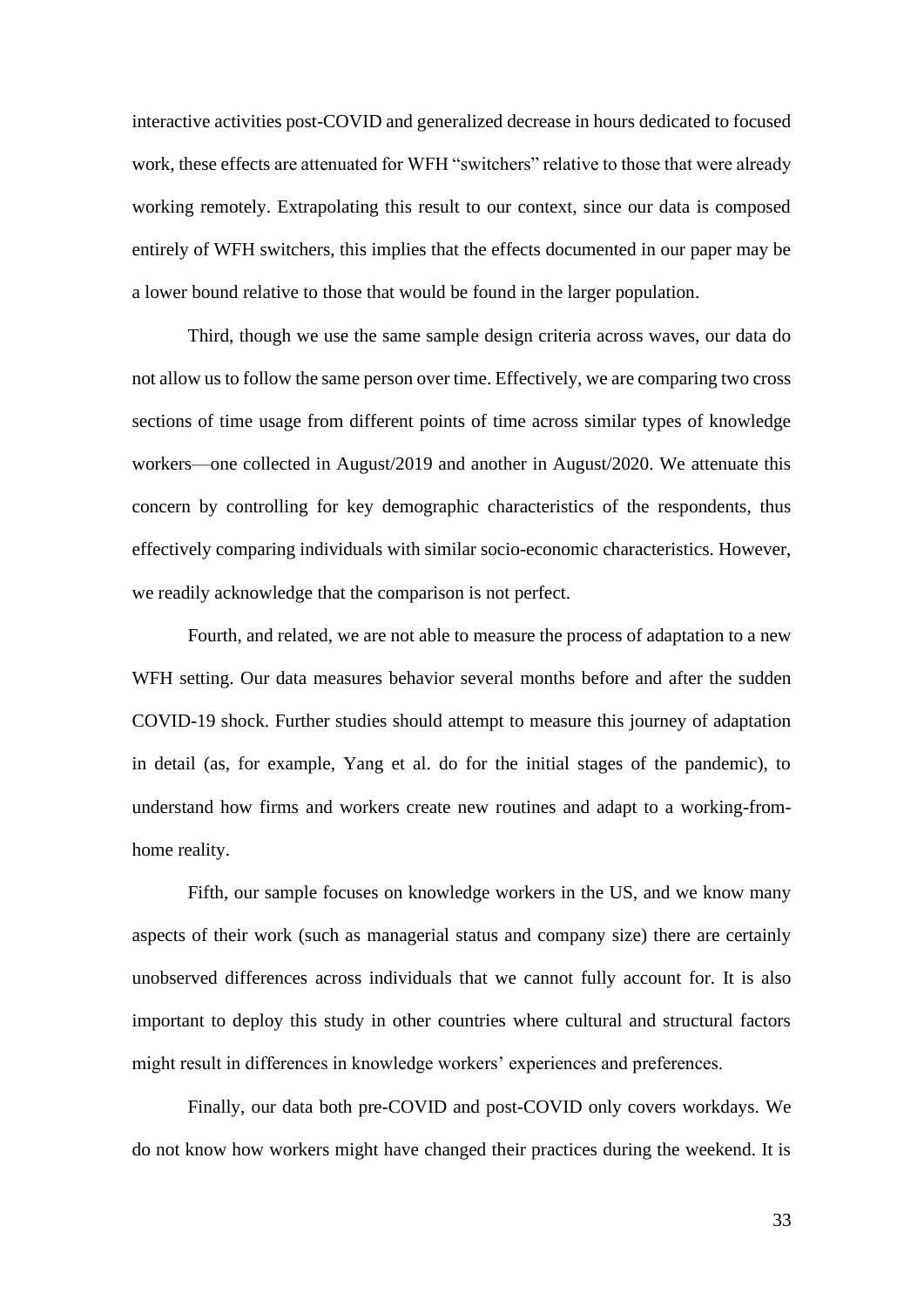interactive activities post-COVID and generalized decrease in hours dedicated to focused work, these effects are attenuated for WFH "switchers" relative to those that were already working remotely. Extrapolating this result to our context, since our data is composed entirely of WFH switchers, this implies that the effects documented in our paper may be a lower bound relative to those that would be found in the larger population.

Third, though we use the same sample design criteria across waves, our data do not allow us to follow the same person over time. Effectively, we are comparing two cross sections of time usage from different points of time across similar types of knowledge workers—one collected in August/2019 and another in August/2020. We attenuate this concern by controlling for key demographic characteristics of the respondents, thus effectively comparing individuals with similar socio-economic characteristics. However, we readily acknowledge that the comparison is not perfect.

Fourth, and related, we are not able to measure the process of adaptation to a new WFH setting. Our data measures behavior several months before and after the sudden COVID-19 shock. Further studies should attempt to measure this journey of adaptation in detail (as, for example, Yang et al. do for the initial stages of the pandemic), to understand how firms and workers create new routines and adapt to a working-fromhome reality.

Fifth, our sample focuses on knowledge workers in the US, and we know many aspects of their work (such as managerial status and company size) there are certainly unobserved differences across individuals that we cannot fully account for. It is also important to deploy this study in other countries where cultural and structural factors might result in differences in knowledge workers' experiences and preferences.

Finally, our data both pre-COVID and post-COVID only covers workdays. We do not know how workers might have changed their practices during the weekend. It is

33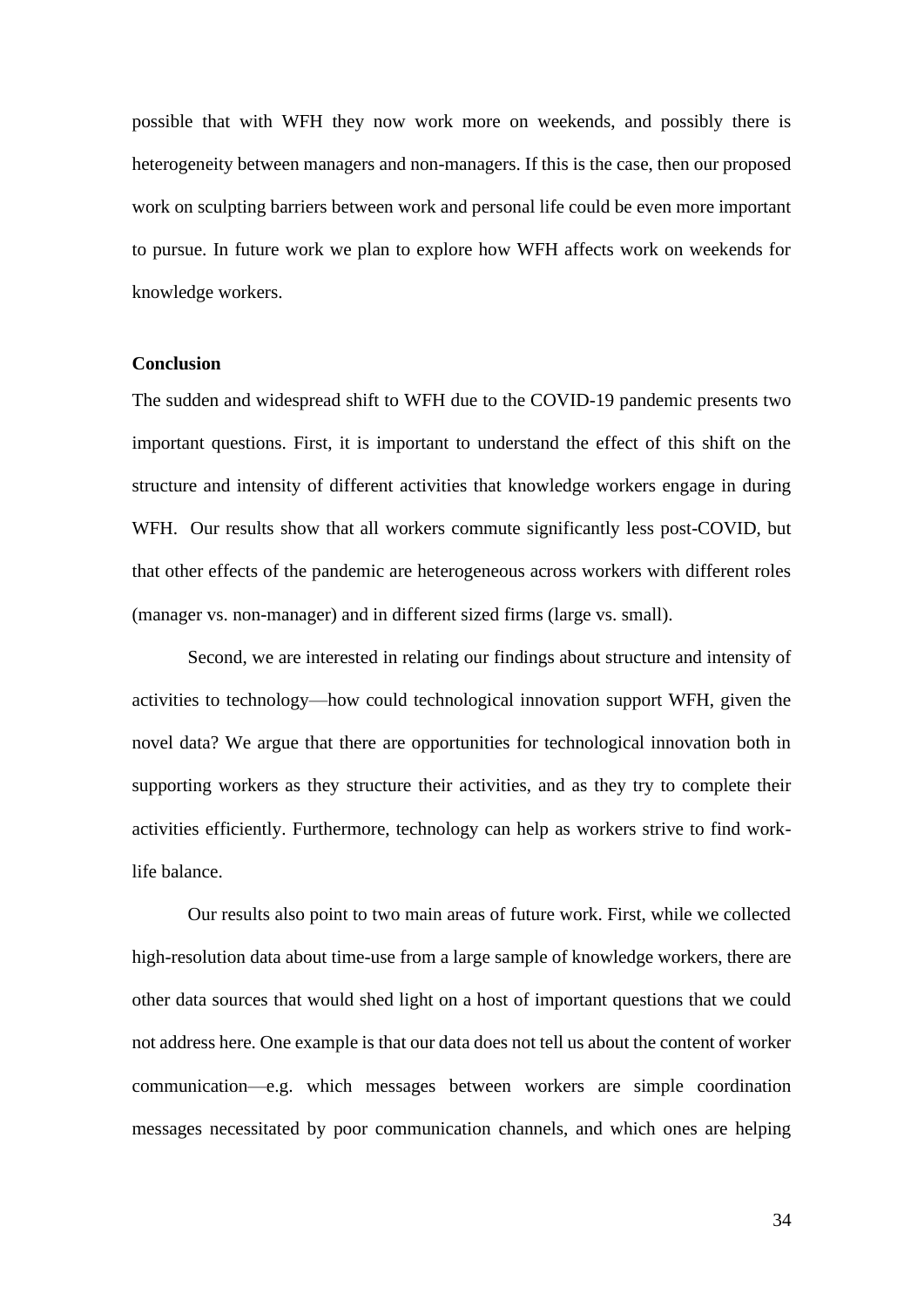possible that with WFH they now work more on weekends, and possibly there is heterogeneity between managers and non-managers. If this is the case, then our proposed work on sculpting barriers between work and personal life could be even more important to pursue. In future work we plan to explore how WFH affects work on weekends for knowledge workers.

#### **Conclusion**

The sudden and widespread shift to WFH due to the COVID-19 pandemic presents two important questions. First, it is important to understand the effect of this shift on the structure and intensity of different activities that knowledge workers engage in during WFH. Our results show that all workers commute significantly less post-COVID, but that other effects of the pandemic are heterogeneous across workers with different roles (manager vs. non-manager) and in different sized firms (large vs. small).

Second, we are interested in relating our findings about structure and intensity of activities to technology—how could technological innovation support WFH, given the novel data? We argue that there are opportunities for technological innovation both in supporting workers as they structure their activities, and as they try to complete their activities efficiently. Furthermore, technology can help as workers strive to find worklife balance.

Our results also point to two main areas of future work. First, while we collected high-resolution data about time-use from a large sample of knowledge workers, there are other data sources that would shed light on a host of important questions that we could not address here. One example is that our data does not tell us about the content of worker communication—e.g. which messages between workers are simple coordination messages necessitated by poor communication channels, and which ones are helping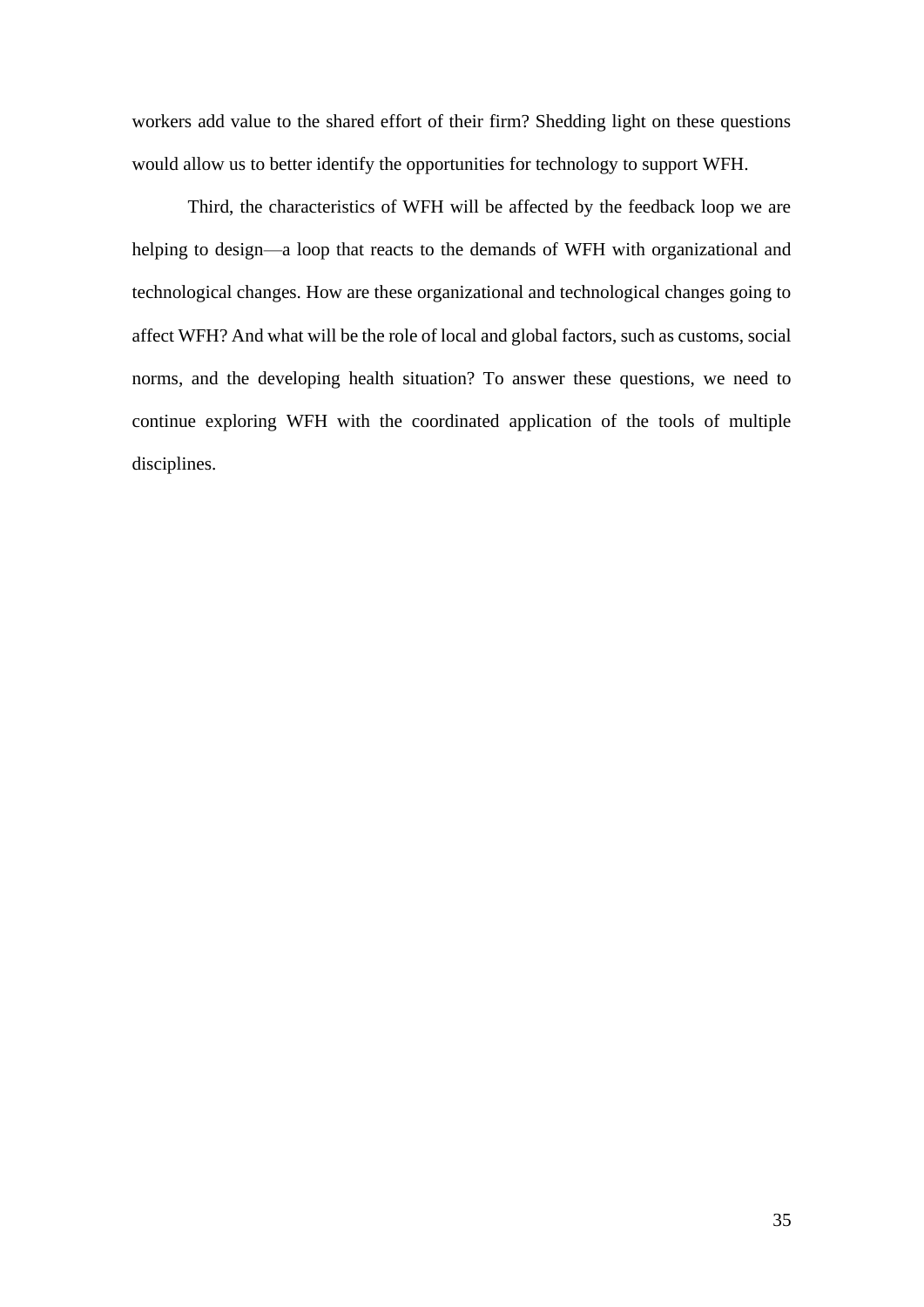workers add value to the shared effort of their firm? Shedding light on these questions would allow us to better identify the opportunities for technology to support WFH.

Third, the characteristics of WFH will be affected by the feedback loop we are helping to design—a loop that reacts to the demands of WFH with organizational and technological changes. How are these organizational and technological changes going to affect WFH? And what will be the role of local and global factors, such as customs, social norms, and the developing health situation? To answer these questions, we need to continue exploring WFH with the coordinated application of the tools of multiple disciplines.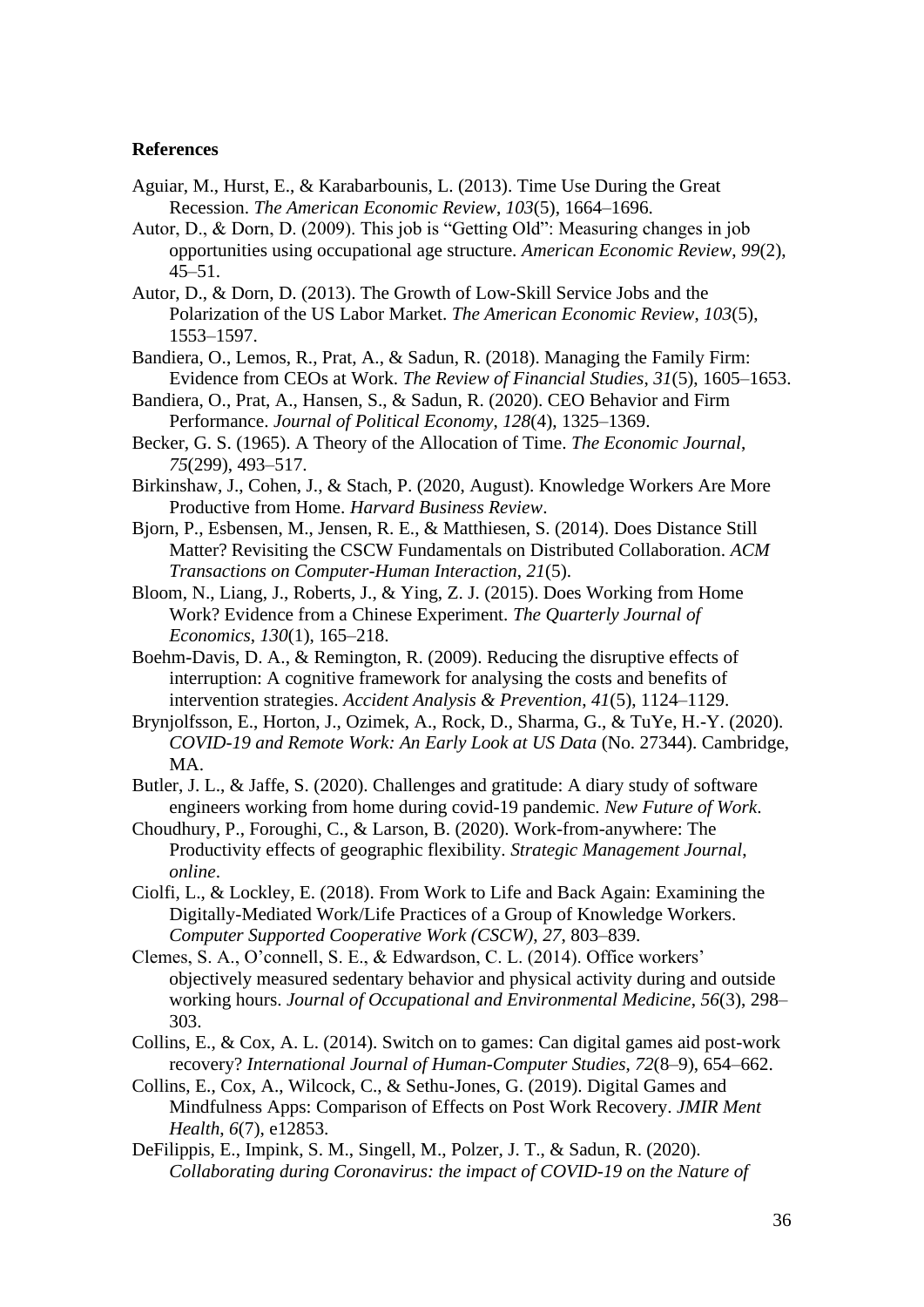#### **References**

- Aguiar, M., Hurst, E., & Karabarbounis, L. (2013). Time Use During the Great Recession. *The American Economic Review*, *103*(5), 1664–1696.
- Autor, D., & Dorn, D. (2009). This job is "Getting Old": Measuring changes in job opportunities using occupational age structure. *American Economic Review*, *99*(2), 45–51.
- Autor, D., & Dorn, D. (2013). The Growth of Low-Skill Service Jobs and the Polarization of the US Labor Market. *The American Economic Review*, *103*(5), 1553–1597.
- Bandiera, O., Lemos, R., Prat, A., & Sadun, R. (2018). Managing the Family Firm: Evidence from CEOs at Work. *The Review of Financial Studies*, *31*(5), 1605–1653.
- Bandiera, O., Prat, A., Hansen, S., & Sadun, R. (2020). CEO Behavior and Firm Performance. *Journal of Political Economy*, *128*(4), 1325–1369.
- Becker, G. S. (1965). A Theory of the Allocation of Time. *The Economic Journal*, *75*(299), 493–517.
- Birkinshaw, J., Cohen, J., & Stach, P. (2020, August). Knowledge Workers Are More Productive from Home. *Harvard Business Review*.
- Bjorn, P., Esbensen, M., Jensen, R. E., & Matthiesen, S. (2014). Does Distance Still Matter? Revisiting the CSCW Fundamentals on Distributed Collaboration. *ACM Transactions on Computer-Human Interaction*, *21*(5).
- Bloom, N., Liang, J., Roberts, J., & Ying, Z. J. (2015). Does Working from Home Work? Evidence from a Chinese Experiment. *The Quarterly Journal of Economics*, *130*(1), 165–218.
- Boehm-Davis, D. A., & Remington, R. (2009). Reducing the disruptive effects of interruption: A cognitive framework for analysing the costs and benefits of intervention strategies. *Accident Analysis & Prevention*, *41*(5), 1124–1129.
- Brynjolfsson, E., Horton, J., Ozimek, A., Rock, D., Sharma, G., & TuYe, H.-Y. (2020). *COVID-19 and Remote Work: An Early Look at US Data* (No. 27344). Cambridge, MA.
- Butler, J. L., & Jaffe, S. (2020). Challenges and gratitude: A diary study of software engineers working from home during covid-19 pandemic. *New Future of Work*.
- Choudhury, P., Foroughi, C., & Larson, B. (2020). Work-from-anywhere: The Productivity effects of geographic flexibility. *Strategic Management Journal*, *online*.
- Ciolfi, L., & Lockley, E. (2018). From Work to Life and Back Again: Examining the Digitally-Mediated Work/Life Practices of a Group of Knowledge Workers. *Computer Supported Cooperative Work (CSCW)*, *27*, 803–839.
- Clemes, S. A., O'connell, S. E., & Edwardson, C. L. (2014). Office workers' objectively measured sedentary behavior and physical activity during and outside working hours. *Journal of Occupational and Environmental Medicine*, *56*(3), 298– 303.
- Collins, E., & Cox, A. L. (2014). Switch on to games: Can digital games aid post-work recovery? *International Journal of Human-Computer Studies*, *72*(8–9), 654–662.
- Collins, E., Cox, A., Wilcock, C., & Sethu-Jones, G. (2019). Digital Games and Mindfulness Apps: Comparison of Effects on Post Work Recovery. *JMIR Ment Health*, *6*(7), e12853.
- DeFilippis, E., Impink, S. M., Singell, M., Polzer, J. T., & Sadun, R. (2020). *Collaborating during Coronavirus: the impact of COVID-19 on the Nature of*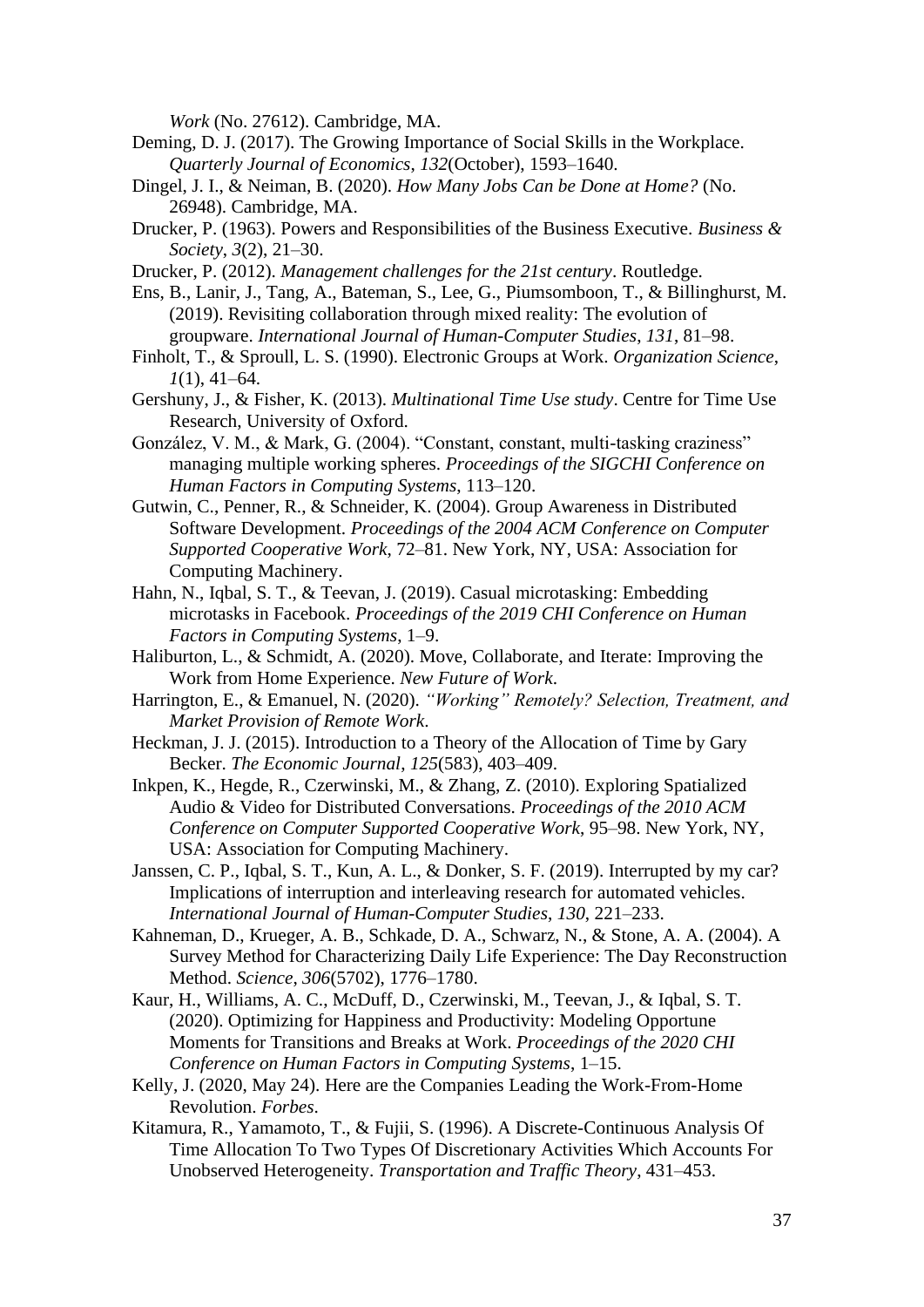*Work* (No. 27612). Cambridge, MA.

- Deming, D. J. (2017). The Growing Importance of Social Skills in the Workplace. *Quarterly Journal of Economics*, *132*(October), 1593–1640.
- Dingel, J. I., & Neiman, B. (2020). *How Many Jobs Can be Done at Home?* (No. 26948). Cambridge, MA.
- Drucker, P. (1963). Powers and Responsibilities of the Business Executive. *Business & Society*, *3*(2), 21–30.
- Drucker, P. (2012). *Management challenges for the 21st century*. Routledge.
- Ens, B., Lanir, J., Tang, A., Bateman, S., Lee, G., Piumsomboon, T., & Billinghurst, M. (2019). Revisiting collaboration through mixed reality: The evolution of groupware. *International Journal of Human-Computer Studies*, *131*, 81–98.
- Finholt, T., & Sproull, L. S. (1990). Electronic Groups at Work. *Organization Science*, *1*(1), 41–64.
- Gershuny, J., & Fisher, K. (2013). *Multinational Time Use study*. Centre for Time Use Research, University of Oxford.
- González, V. M., & Mark, G. (2004). "Constant, constant, multi-tasking craziness" managing multiple working spheres. *Proceedings of the SIGCHI Conference on Human Factors in Computing Systems*, 113–120.
- Gutwin, C., Penner, R., & Schneider, K. (2004). Group Awareness in Distributed Software Development. *Proceedings of the 2004 ACM Conference on Computer Supported Cooperative Work*, 72–81. New York, NY, USA: Association for Computing Machinery.
- Hahn, N., Iqbal, S. T., & Teevan, J. (2019). Casual microtasking: Embedding microtasks in Facebook. *Proceedings of the 2019 CHI Conference on Human Factors in Computing Systems*, 1–9.
- Haliburton, L., & Schmidt, A. (2020). Move, Collaborate, and Iterate: Improving the Work from Home Experience. *New Future of Work*.
- Harrington, E., & Emanuel, N. (2020). *"Working" Remotely? Selection, Treatment, and Market Provision of Remote Work*.
- Heckman, J. J. (2015). Introduction to a Theory of the Allocation of Time by Gary Becker. *The Economic Journal*, *125*(583), 403–409.
- Inkpen, K., Hegde, R., Czerwinski, M., & Zhang, Z. (2010). Exploring Spatialized Audio & Video for Distributed Conversations. *Proceedings of the 2010 ACM Conference on Computer Supported Cooperative Work*, 95–98. New York, NY, USA: Association for Computing Machinery.

Janssen, C. P., Iqbal, S. T., Kun, A. L., & Donker, S. F. (2019). Interrupted by my car? Implications of interruption and interleaving research for automated vehicles. *International Journal of Human-Computer Studies*, *130*, 221–233.

- Kahneman, D., Krueger, A. B., Schkade, D. A., Schwarz, N., & Stone, A. A. (2004). A Survey Method for Characterizing Daily Life Experience: The Day Reconstruction Method. *Science*, *306*(5702), 1776–1780.
- Kaur, H., Williams, A. C., McDuff, D., Czerwinski, M., Teevan, J., & Iqbal, S. T. (2020). Optimizing for Happiness and Productivity: Modeling Opportune Moments for Transitions and Breaks at Work. *Proceedings of the 2020 CHI Conference on Human Factors in Computing Systems*, 1–15.
- Kelly, J. (2020, May 24). Here are the Companies Leading the Work-From-Home Revolution. *Forbes*.
- Kitamura, R., Yamamoto, T., & Fujii, S. (1996). A Discrete-Continuous Analysis Of Time Allocation To Two Types Of Discretionary Activities Which Accounts For Unobserved Heterogeneity. *Transportation and Traffic Theory*, 431–453.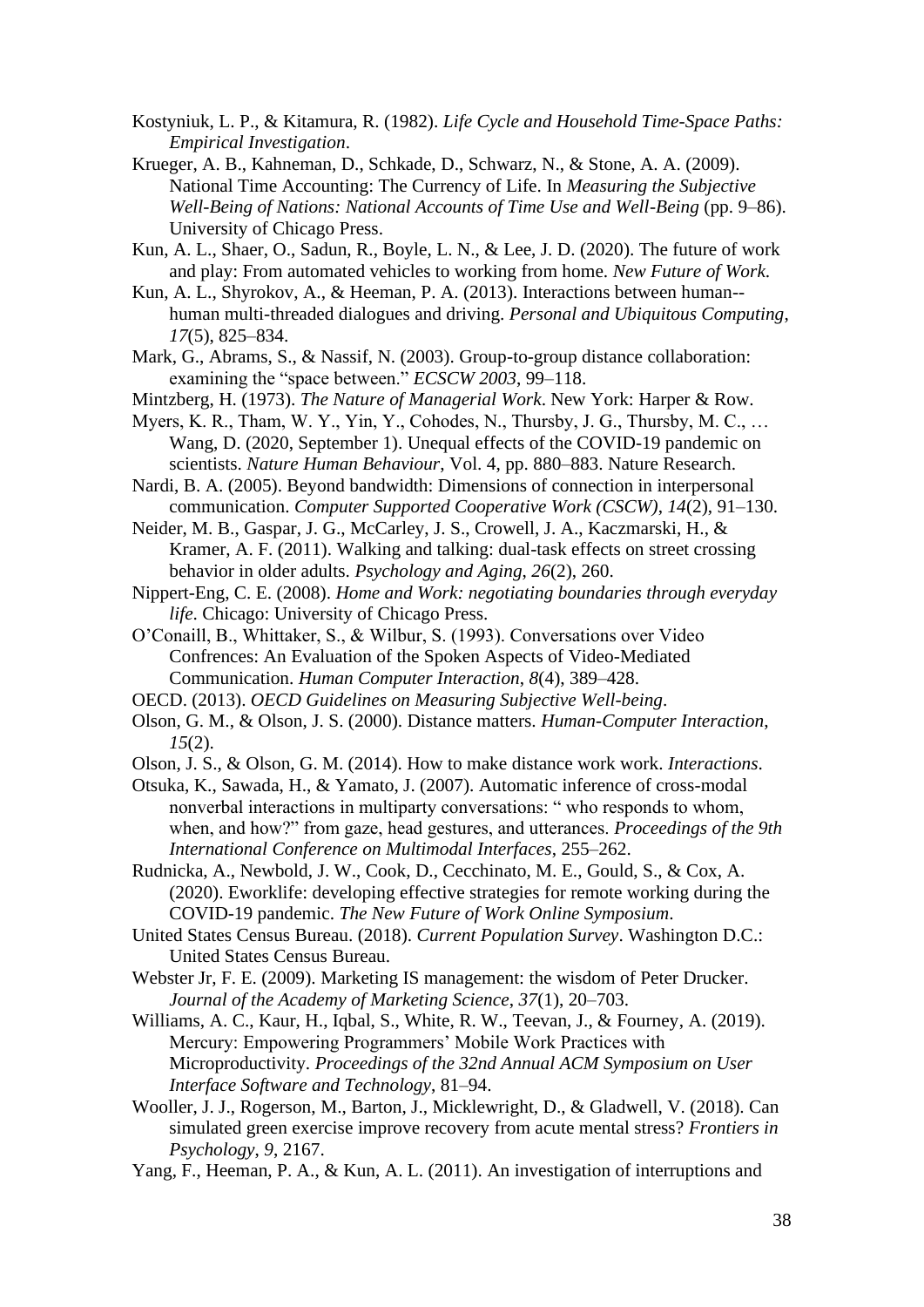- Kostyniuk, L. P., & Kitamura, R. (1982). *Life Cycle and Household Time-Space Paths: Empirical Investigation*.
- Krueger, A. B., Kahneman, D., Schkade, D., Schwarz, N., & Stone, A. A. (2009). National Time Accounting: The Currency of Life. In *Measuring the Subjective Well-Being of Nations: National Accounts of Time Use and Well-Being* (pp. 9–86). University of Chicago Press.
- Kun, A. L., Shaer, O., Sadun, R., Boyle, L. N., & Lee, J. D. (2020). The future of work and play: From automated vehicles to working from home. *New Future of Work*.
- Kun, A. L., Shyrokov, A., & Heeman, P. A. (2013). Interactions between human- human multi-threaded dialogues and driving. *Personal and Ubiquitous Computing*, *17*(5), 825–834.
- Mark, G., Abrams, S., & Nassif, N. (2003). Group-to-group distance collaboration: examining the "space between." *ECSCW 2003*, 99–118.
- Mintzberg, H. (1973). *The Nature of Managerial Work*. New York: Harper & Row.
- Myers, K. R., Tham, W. Y., Yin, Y., Cohodes, N., Thursby, J. G., Thursby, M. C., … Wang, D. (2020, September 1). Unequal effects of the COVID-19 pandemic on scientists. *Nature Human Behaviour*, Vol. 4, pp. 880–883. Nature Research.

Nardi, B. A. (2005). Beyond bandwidth: Dimensions of connection in interpersonal communication. *Computer Supported Cooperative Work (CSCW)*, *14*(2), 91–130.

Neider, M. B., Gaspar, J. G., McCarley, J. S., Crowell, J. A., Kaczmarski, H., & Kramer, A. F. (2011). Walking and talking: dual-task effects on street crossing behavior in older adults. *Psychology and Aging*, *26*(2), 260.

Nippert-Eng, C. E. (2008). *Home and Work: negotiating boundaries through everyday life*. Chicago: University of Chicago Press.

- O'Conaill, B., Whittaker, S., & Wilbur, S. (1993). Conversations over Video Confrences: An Evaluation of the Spoken Aspects of Video-Mediated Communication. *Human Computer Interaction*, *8*(4), 389–428.
- OECD. (2013). *OECD Guidelines on Measuring Subjective Well-being*.
- Olson, G. M., & Olson, J. S. (2000). Distance matters. *Human-Computer Interaction*, *15*(2).
- Olson, J. S., & Olson, G. M. (2014). How to make distance work work. *Interactions*.
- Otsuka, K., Sawada, H., & Yamato, J. (2007). Automatic inference of cross-modal nonverbal interactions in multiparty conversations: " who responds to whom, when, and how?" from gaze, head gestures, and utterances. *Proceedings of the 9th International Conference on Multimodal Interfaces*, 255–262.

Rudnicka, A., Newbold, J. W., Cook, D., Cecchinato, M. E., Gould, S., & Cox, A. (2020). Eworklife: developing effective strategies for remote working during the COVID-19 pandemic. *The New Future of Work Online Symposium*.

United States Census Bureau. (2018). *Current Population Survey*. Washington D.C.: United States Census Bureau.

Webster Jr, F. E. (2009). Marketing IS management: the wisdom of Peter Drucker. *Journal of the Academy of Marketing Science*, *37*(1), 20–703.

- Williams, A. C., Kaur, H., Iqbal, S., White, R. W., Teevan, J., & Fourney, A. (2019). Mercury: Empowering Programmers' Mobile Work Practices with Microproductivity. *Proceedings of the 32nd Annual ACM Symposium on User Interface Software and Technology*, 81–94.
- Wooller, J. J., Rogerson, M., Barton, J., Micklewright, D., & Gladwell, V. (2018). Can simulated green exercise improve recovery from acute mental stress? *Frontiers in Psychology*, *9*, 2167.
- Yang, F., Heeman, P. A., & Kun, A. L. (2011). An investigation of interruptions and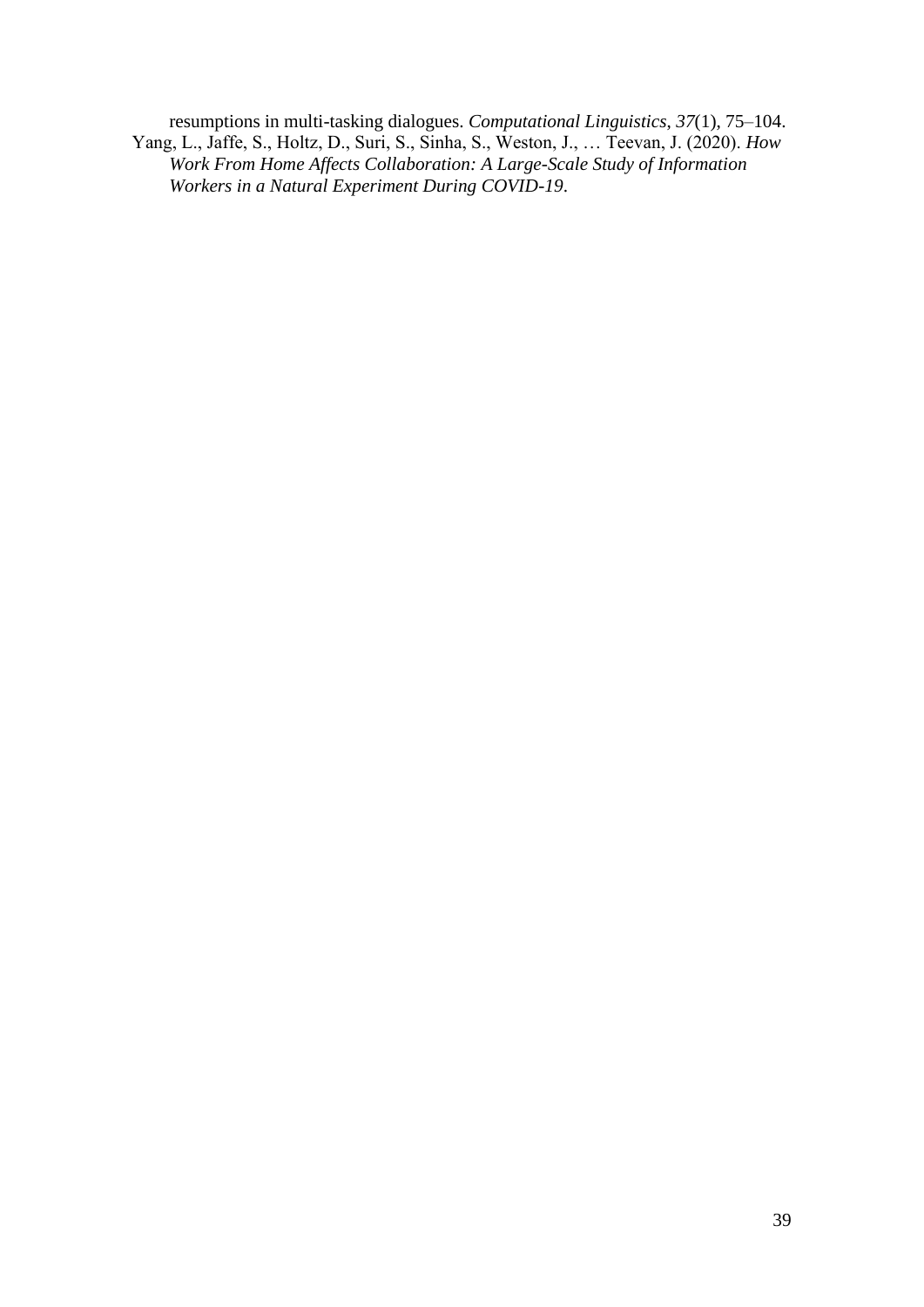resumptions in multi-tasking dialogues. *Computational Linguistics*, *37*(1), 75–104. Yang, L., Jaffe, S., Holtz, D., Suri, S., Sinha, S., Weston, J., … Teevan, J. (2020). *How Work From Home Affects Collaboration: A Large-Scale Study of Information Workers in a Natural Experiment During COVID-19*.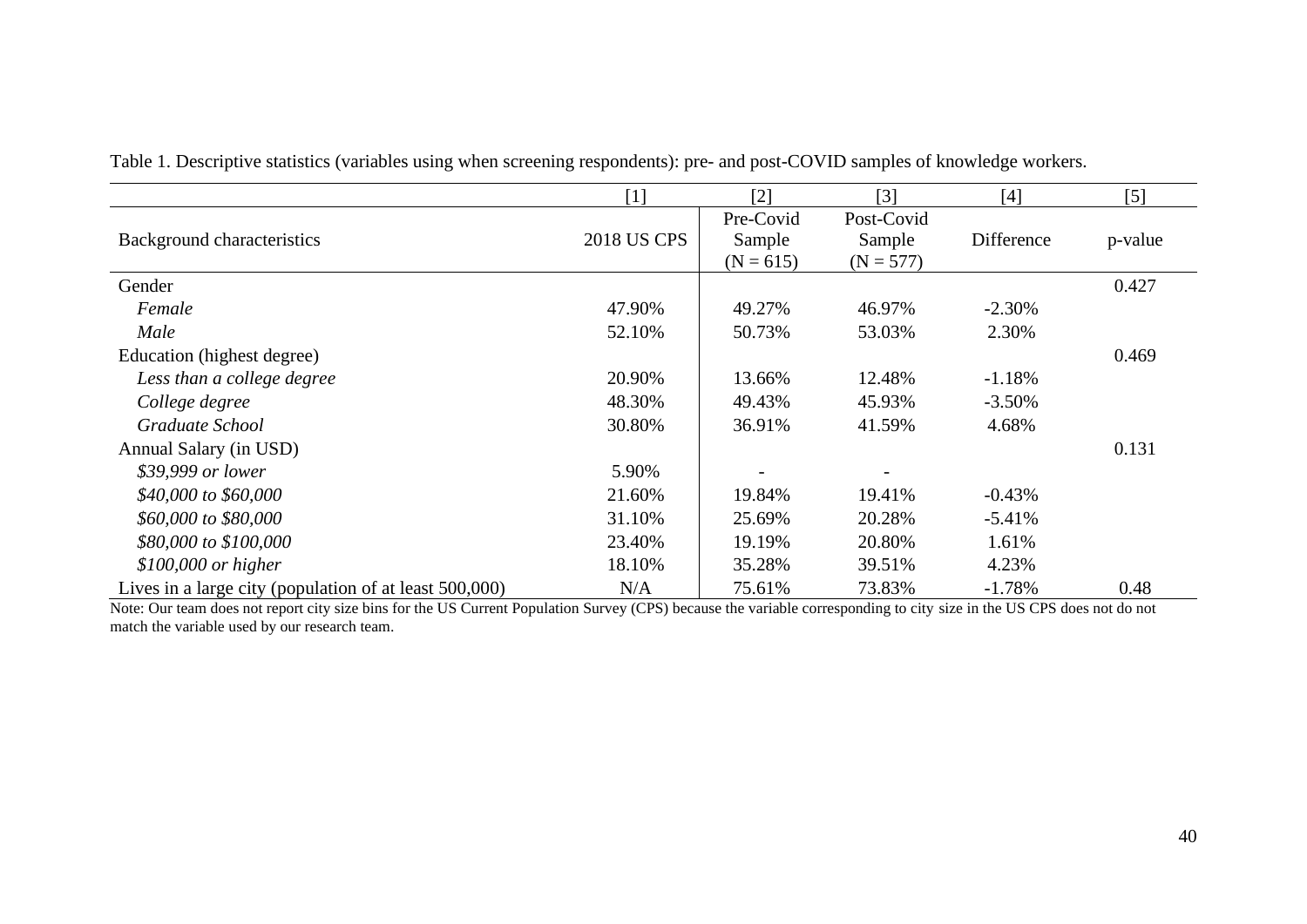|                                                        | $[1]$              | $[2]$                              | $\lceil 3 \rceil$                   | [4]        | $[5]$   |
|--------------------------------------------------------|--------------------|------------------------------------|-------------------------------------|------------|---------|
| Background characteristics                             | <b>2018 US CPS</b> | Pre-Covid<br>Sample<br>$(N = 615)$ | Post-Covid<br>Sample<br>$(N = 577)$ | Difference | p-value |
| Gender                                                 |                    |                                    |                                     |            | 0.427   |
| Female                                                 | 47.90%             | 49.27%                             | 46.97%                              | $-2.30%$   |         |
| Male                                                   | 52.10%             | 50.73%                             | 53.03%                              | 2.30%      |         |
| Education (highest degree)                             |                    |                                    |                                     |            | 0.469   |
| Less than a college degree                             | 20.90%             | 13.66%                             | 12.48%                              | $-1.18%$   |         |
| College degree                                         | 48.30%             | 49.43%                             | 45.93%                              | $-3.50%$   |         |
| Graduate School                                        | 30.80%             | 36.91%                             | 41.59%                              | 4.68%      |         |
| Annual Salary (in USD)                                 |                    |                                    |                                     |            | 0.131   |
| \$39,999 or lower                                      | 5.90%              |                                    |                                     |            |         |
| \$40,000 to \$60,000                                   | 21.60%             | 19.84%                             | 19.41%                              | $-0.43%$   |         |
| \$60,000 to \$80,000                                   | 31.10%             | 25.69%                             | 20.28%                              | $-5.41%$   |         |
| \$80,000 to \$100,000                                  | 23.40%             | 19.19%                             | 20.80%                              | 1.61%      |         |
| $$100,000$ or higher                                   | 18.10%             | 35.28%                             | 39.51%                              | 4.23%      |         |
| Lives in a large city (population of at least 500,000) | N/A                | 75.61%                             | 73.83%                              | $-1.78%$   | 0.48    |

Table 1. Descriptive statistics (variables using when screening respondents): pre- and post-COVID samples of knowledge workers.

Note: Our team does not report city size bins for the US Current Population Survey (CPS) because the variable corresponding to city size in the US CPS does not do not match the variable used by our research team.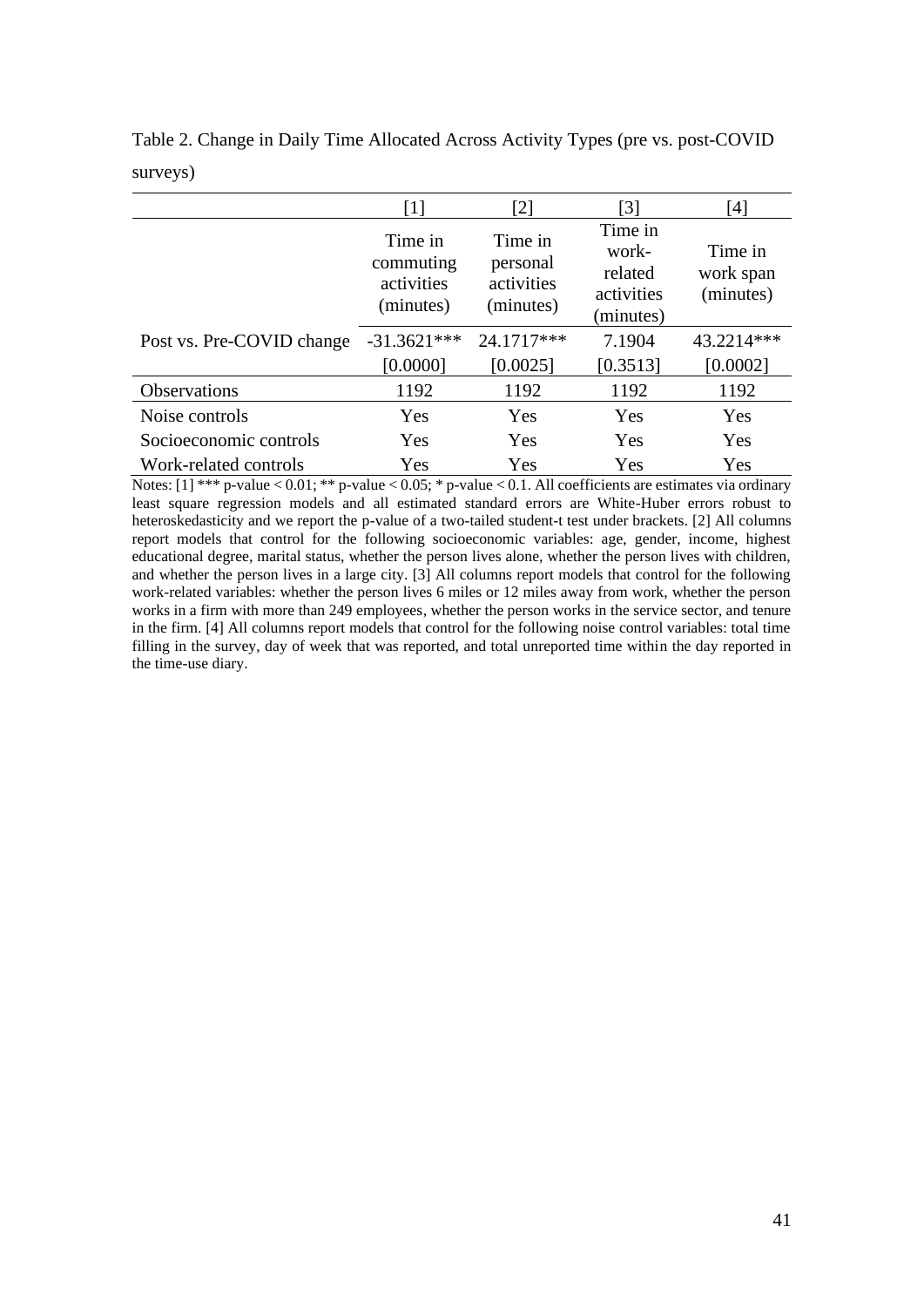|                           | $\lceil 1 \rceil$                               | [2]                                            | $\left[3\right]$                                       | [4]                               |
|---------------------------|-------------------------------------------------|------------------------------------------------|--------------------------------------------------------|-----------------------------------|
|                           | Time in<br>commuting<br>activities<br>(minutes) | Time in<br>personal<br>activities<br>(minutes) | Time in<br>work-<br>related<br>activities<br>(minutes) | Time in<br>work span<br>(minutes) |
| Post vs. Pre-COVID change | $-31.3621***$                                   | 24.1717***                                     | 7.1904                                                 | 43.2214***                        |
|                           | [0.0000]                                        | [0.0025]                                       | [0.3513]                                               | [0.0002]                          |
| <b>Observations</b>       | 1192                                            | 1192                                           | 1192                                                   | 1192                              |
| Noise controls            | Yes                                             | Yes                                            | Yes                                                    | Yes                               |
| Socioeconomic controls    | Yes                                             | Yes                                            | Yes                                                    | Yes                               |
| Work-related controls     | Yes                                             | Yes                                            | Yes                                                    | Yes                               |

Table 2. Change in Daily Time Allocated Across Activity Types (pre vs. post-COVID surveys)

Notes: [1] \*\*\* p-value < 0.01; \*\* p-value < 0.05; \* p-value < 0.1. All coefficients are estimates via ordinary least square regression models and all estimated standard errors are White-Huber errors robust to heteroskedasticity and we report the p-value of a two-tailed student-t test under brackets. [2] All columns report models that control for the following socioeconomic variables: age, gender, income, highest educational degree, marital status, whether the person lives alone, whether the person lives with children, and whether the person lives in a large city. [3] All columns report models that control for the following work-related variables: whether the person lives 6 miles or 12 miles away from work, whether the person works in a firm with more than 249 employees, whether the person works in the service sector, and tenure in the firm. [4] All columns report models that control for the following noise control variables: total time filling in the survey, day of week that was reported, and total unreported time within the day reported in the time-use diary.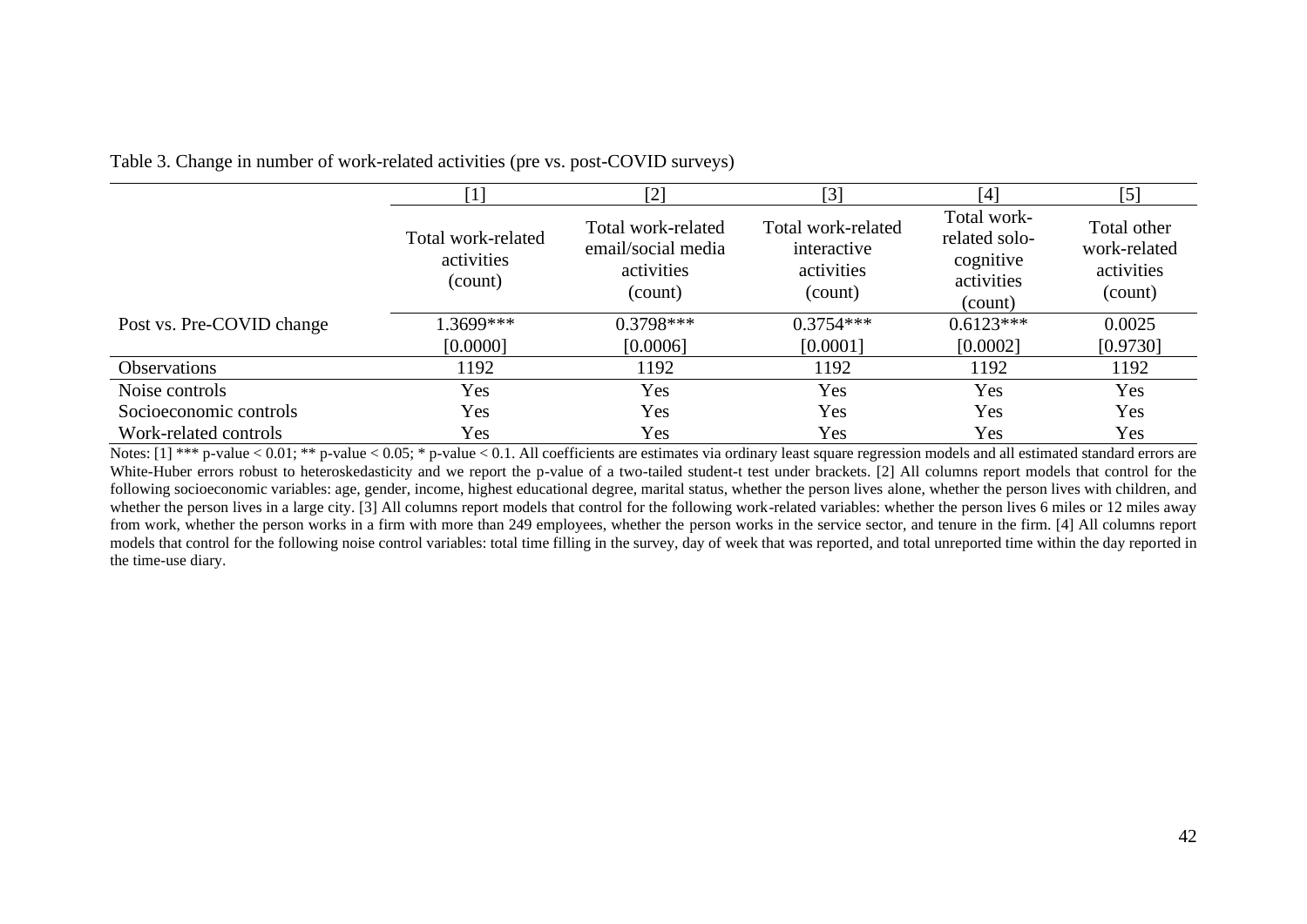|  | Table 3. Change in number of work-related activities (pre vs. post-COVID surveys) |  |  |
|--|-----------------------------------------------------------------------------------|--|--|
|  |                                                                                   |  |  |

|                           | [1]                                                                                                              | $[2]$       | $\lceil 3 \rceil$                                          | $[4]$                                                              | $\left[5\right]$ |
|---------------------------|------------------------------------------------------------------------------------------------------------------|-------------|------------------------------------------------------------|--------------------------------------------------------------------|------------------|
|                           | Total work-related<br>Total work-related<br>email/social media<br>activities<br>activities<br>(count)<br>(count) |             | Total work-related<br>interactive<br>activities<br>(count) | Total work-<br>related solo-<br>cognitive<br>activities<br>(count) |                  |
| Post vs. Pre-COVID change | $1.3699***$                                                                                                      | $0.3798***$ | $0.3754***$                                                | $0.6123***$                                                        | 0.0025           |
|                           | [0.0000]                                                                                                         | [0.0006]    | [0.0001]                                                   | [0.0002]                                                           | [0.9730]         |
| <b>Observations</b>       | 1192                                                                                                             | 1192        | 1192                                                       | 1192                                                               | 1192             |
| Noise controls            | Yes                                                                                                              | Yes         | Yes                                                        | Yes                                                                | Yes              |
| Socioeconomic controls    | Yes                                                                                                              | Yes         | Yes                                                        | Yes                                                                | Yes              |
| Work-related controls     | Yes                                                                                                              | Yes         | Yes                                                        | Yes                                                                | Yes              |

Notes: [1] \*\*\* p-value < 0.01; \*\* p-value < 0.05; \* p-value < 0.1. All coefficients are estimates via ordinary least square regression models and all estimated standard errors are White-Huber errors robust to heteroskedasticity and we report the p-value of a two-tailed student-t test under brackets. [2] All columns report models that control for the following socioeconomic variables: age, gender, income, highest educational degree, marital status, whether the person lives alone, whether the person lives with children, and whether the person lives in a large city. [3] All columns report models that control for the following work-related variables: whether the person lives 6 miles or 12 miles away from work, whether the person works in a firm with more than 249 employees, whether the person works in the service sector, and tenure in the firm. [4] All columns report models that control for the following noise control variables: total time filling in the survey, day of week that was reported, and total unreported time within the day reported in the time-use diary.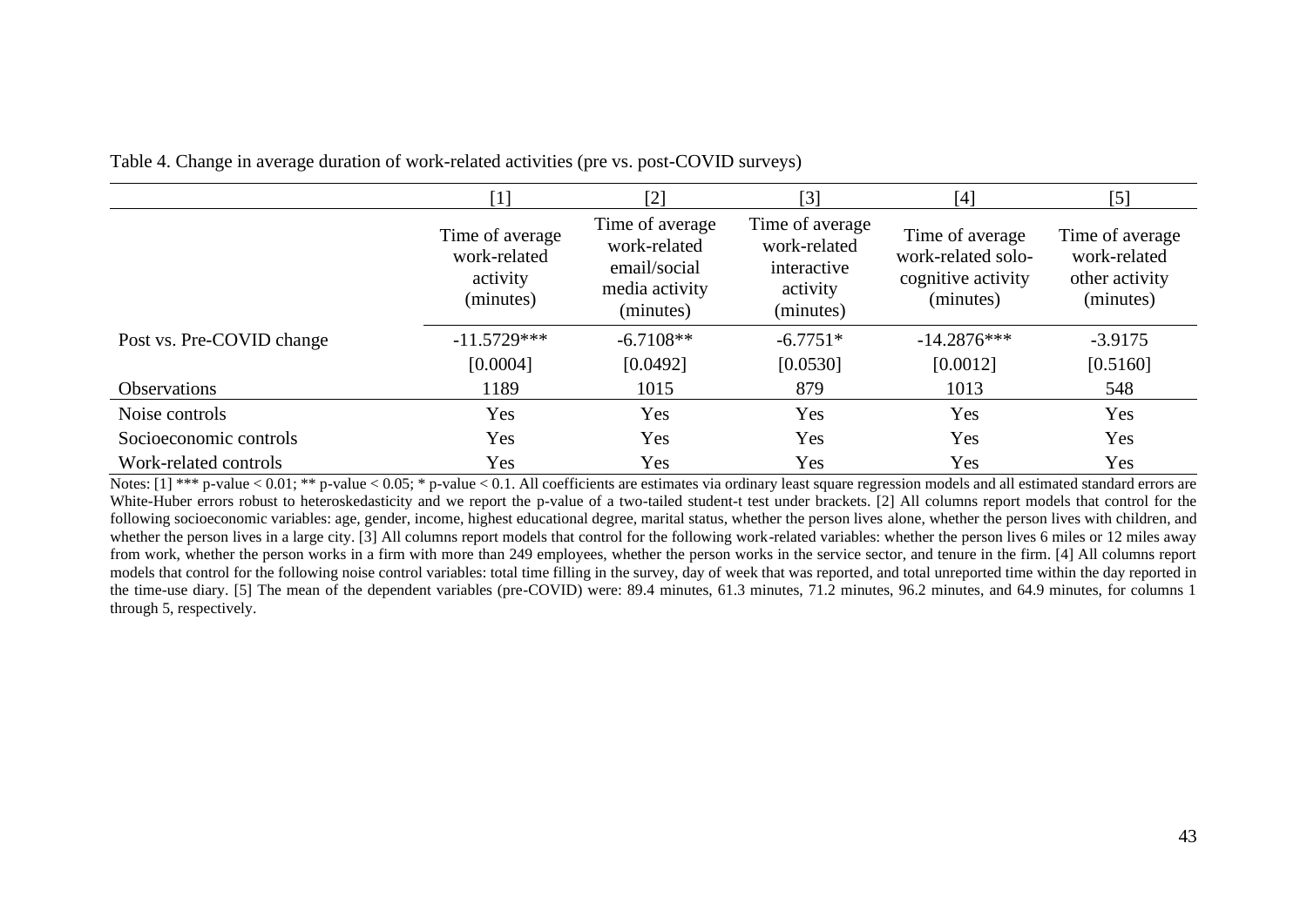Table 4. Change in average duration of work-related activities (pre vs. post-COVID surveys)

|                           | $[2]$<br>$\lceil 1 \rceil$                               |                                                                                | $[3]$<br>[4]                                                            |                                                                          | $[5]$                                                          |
|---------------------------|----------------------------------------------------------|--------------------------------------------------------------------------------|-------------------------------------------------------------------------|--------------------------------------------------------------------------|----------------------------------------------------------------|
|                           | Time of average<br>work-related<br>activity<br>(minutes) | Time of average<br>work-related<br>email/social<br>media activity<br>(minutes) | Time of average<br>work-related<br>interactive<br>activity<br>(minutes) | Time of average<br>work-related solo-<br>cognitive activity<br>(minutes) | Time of average<br>work-related<br>other activity<br>(minutes) |
| Post vs. Pre-COVID change | $-11.5729***$                                            | $-6.7108**$                                                                    | $-6.7751*$                                                              | $-14.2876***$                                                            | $-3.9175$                                                      |
|                           | [0.0004]                                                 | [0.0492]                                                                       | [0.0530]                                                                | [0.0012]                                                                 | [0.5160]                                                       |
| <b>Observations</b>       | 1189                                                     | 1015                                                                           | 879                                                                     | 1013                                                                     | 548                                                            |
| Noise controls            | Yes                                                      | Yes                                                                            | Yes                                                                     | Yes                                                                      | Yes                                                            |
| Socioeconomic controls    | Yes                                                      | Yes                                                                            | Yes                                                                     | Yes                                                                      | Yes                                                            |
| Work-related controls     | Yes                                                      | Yes                                                                            | Yes                                                                     | Yes                                                                      | Yes                                                            |

Notes: [1] \*\*\* p-value < 0.01; \*\* p-value < 0.05; \* p-value < 0.1. All coefficients are estimates via ordinary least square regression models and all estimated standard errors are White-Huber errors robust to heteroskedasticity and we report the p-value of a two-tailed student-t test under brackets. [2] All columns report models that control for the following socioeconomic variables: age, gender, income, highest educational degree, marital status, whether the person lives alone, whether the person lives with children, and whether the person lives in a large city. [3] All columns report models that control for the following work-related variables: whether the person lives 6 miles or 12 miles away from work, whether the person works in a firm with more than 249 employees, whether the person works in the service sector, and tenure in the firm. [4] All columns report models that control for the following noise control variables: total time filling in the survey, day of week that was reported, and total unreported time within the day reported in the time-use diary. [5] The mean of the dependent variables (pre-COVID) were: 89.4 minutes, 61.3 minutes, 71.2 minutes, 96.2 minutes, and 64.9 minutes, for columns 1 through 5, respectively.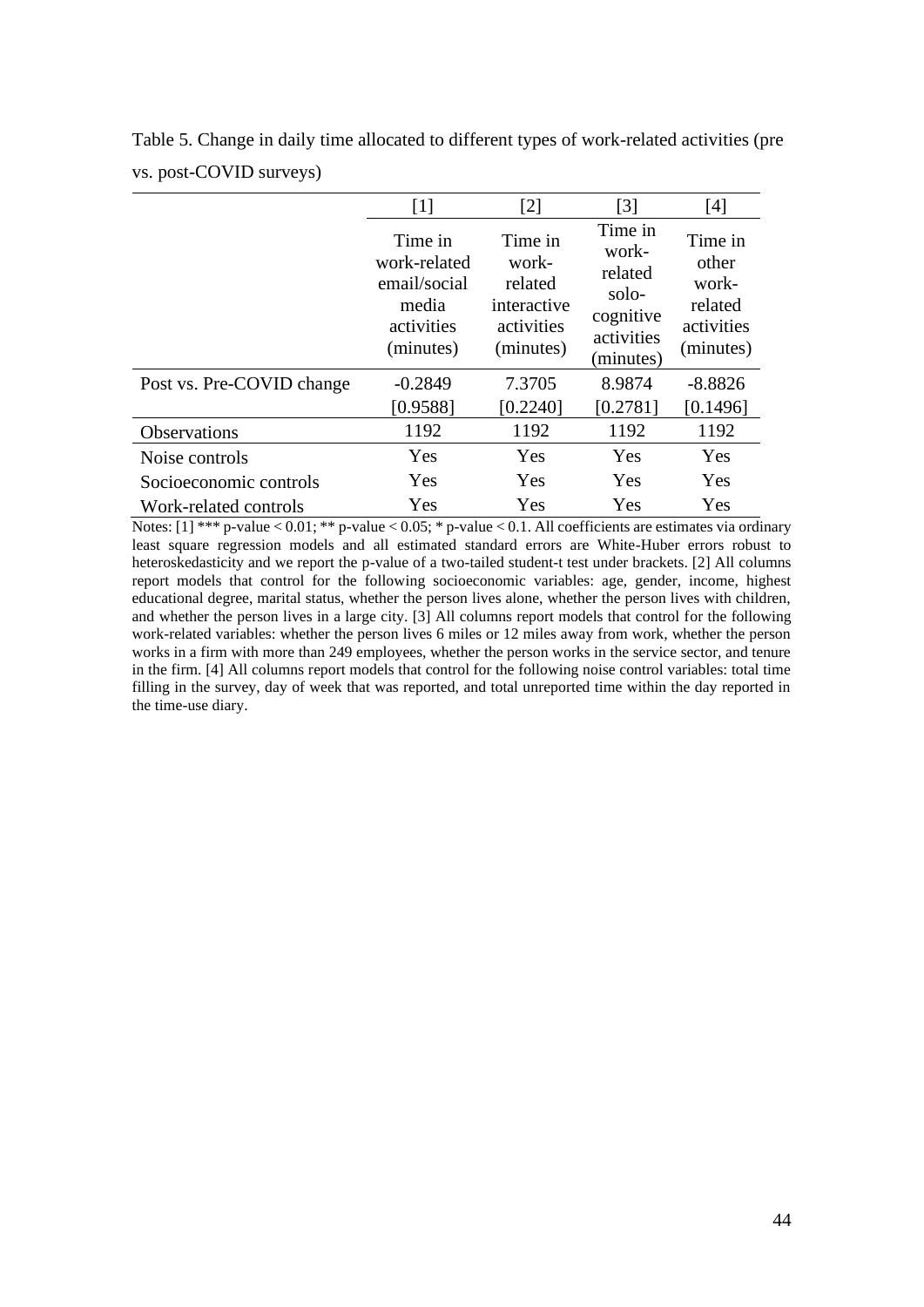|                           | $[1]$                                                                       | [2]                                                                   | [3]                                                                          | [4]                                                             |
|---------------------------|-----------------------------------------------------------------------------|-----------------------------------------------------------------------|------------------------------------------------------------------------------|-----------------------------------------------------------------|
|                           | Time in<br>work-related<br>email/social<br>media<br>activities<br>(minutes) | Time in<br>work-<br>related<br>interactive<br>activities<br>(minutes) | Time in<br>work-<br>related<br>solo-<br>cognitive<br>activities<br>(minutes) | Time in<br>other<br>work-<br>related<br>activities<br>(minutes) |
| Post vs. Pre-COVID change | $-0.2849$                                                                   | 7.3705                                                                | 8.9874                                                                       | $-8.8826$                                                       |
|                           | [0.9588]                                                                    | [0.2240]                                                              | [0.2781]                                                                     | [0.1496]                                                        |
| Observations              | 1192                                                                        | 1192                                                                  | 1192                                                                         | 1192                                                            |
| Noise controls            | Yes                                                                         | Yes                                                                   | Yes                                                                          | Yes                                                             |
| Socioeconomic controls    | Yes                                                                         | Yes                                                                   | Yes                                                                          | Yes                                                             |
| Work-related controls     | Yes                                                                         | Yes                                                                   | Yes                                                                          | Yes                                                             |

Table 5. Change in daily time allocated to different types of work-related activities (pre vs. post-COVID surveys)

Notes: [1] \*\*\* p-value < 0.01; \*\* p-value < 0.05; \* p-value < 0.1. All coefficients are estimates via ordinary least square regression models and all estimated standard errors are White-Huber errors robust to heteroskedasticity and we report the p-value of a two-tailed student-t test under brackets. [2] All columns report models that control for the following socioeconomic variables: age, gender, income, highest educational degree, marital status, whether the person lives alone, whether the person lives with children, and whether the person lives in a large city. [3] All columns report models that control for the following work-related variables: whether the person lives 6 miles or 12 miles away from work, whether the person works in a firm with more than 249 employees, whether the person works in the service sector, and tenure in the firm. [4] All columns report models that control for the following noise control variables: total time filling in the survey, day of week that was reported, and total unreported time within the day reported in the time-use diary.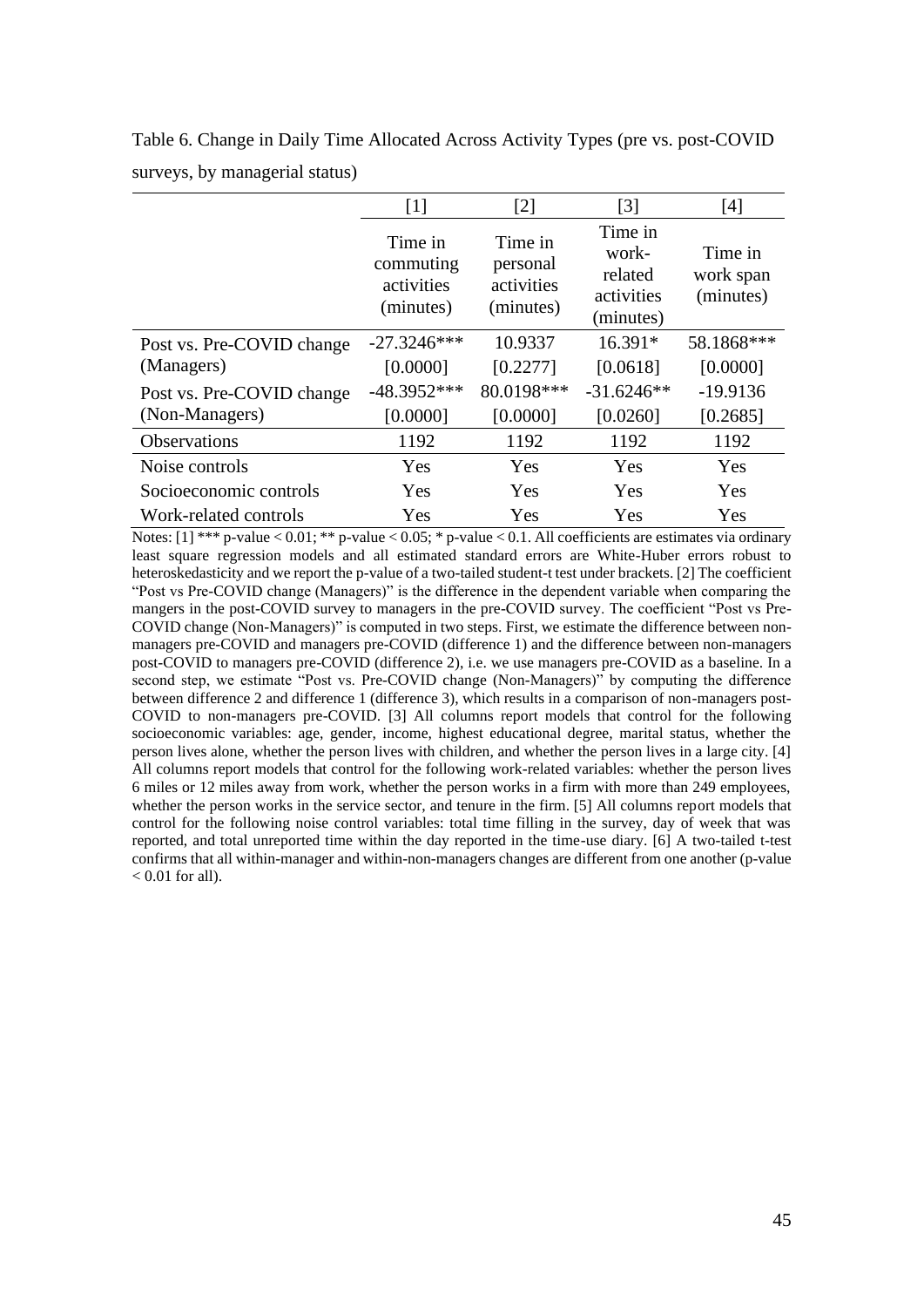|                           | [1]                                             | $\lceil 2 \rceil$                              | $\lceil 3 \rceil$                                      | [4]                               |
|---------------------------|-------------------------------------------------|------------------------------------------------|--------------------------------------------------------|-----------------------------------|
|                           | Time in<br>commuting<br>activities<br>(minutes) | Time in<br>personal<br>activities<br>(minutes) | Time in<br>work-<br>related<br>activities<br>(minutes) | Time in<br>work span<br>(minutes) |
| Post vs. Pre-COVID change | $-27.3246***$                                   | 10.9337                                        | $16.391*$                                              | 58.1868***                        |
| (Managers)                | [0.0000]                                        | [0.2277]                                       | [0.0618]                                               | [0.0000]                          |
| Post vs. Pre-COVID change | $-48.3952***$                                   | 80.0198***                                     | $-31.6246**$                                           | $-19.9136$                        |
| (Non-Managers)            | [0.0000]                                        | [0.0000]                                       | [0.0260]                                               | [0.2685]                          |
| <b>Observations</b>       | 1192                                            | 1192                                           | 1192                                                   | 1192                              |
| Noise controls            | Yes                                             | Yes                                            | Yes                                                    | Yes                               |
| Socioeconomic controls    | Yes                                             | Yes                                            | Yes                                                    | Yes                               |
| Work-related controls     | Yes                                             | Yes                                            | Yes                                                    | Yes                               |

Table 6. Change in Daily Time Allocated Across Activity Types (pre vs. post-COVID surveys, by managerial status)

Notes: [1] \*\*\* p-value < 0.01; \*\* p-value < 0.05; \* p-value < 0.1. All coefficients are estimates via ordinary least square regression models and all estimated standard errors are White-Huber errors robust to heteroskedasticity and we report the p-value of a two-tailed student-t test under brackets. [2] The coefficient "Post vs Pre-COVID change (Managers)" is the difference in the dependent variable when comparing the mangers in the post-COVID survey to managers in the pre-COVID survey. The coefficient "Post vs Pre-COVID change (Non-Managers)" is computed in two steps. First, we estimate the difference between nonmanagers pre-COVID and managers pre-COVID (difference 1) and the difference between non-managers post-COVID to managers pre-COVID (difference 2), i.e. we use managers pre-COVID as a baseline. In a second step, we estimate "Post vs. Pre-COVID change (Non-Managers)" by computing the difference between difference 2 and difference 1 (difference 3), which results in a comparison of non-managers post-COVID to non-managers pre-COVID. [3] All columns report models that control for the following socioeconomic variables: age, gender, income, highest educational degree, marital status, whether the person lives alone, whether the person lives with children, and whether the person lives in a large city. [4] All columns report models that control for the following work-related variables: whether the person lives 6 miles or 12 miles away from work, whether the person works in a firm with more than 249 employees, whether the person works in the service sector, and tenure in the firm. [5] All columns report models that control for the following noise control variables: total time filling in the survey, day of week that was reported, and total unreported time within the day reported in the time-use diary. [6] A two-tailed t-test confirms that all within-manager and within-non-managers changes are different from one another (p-value  $< 0.01$  for all).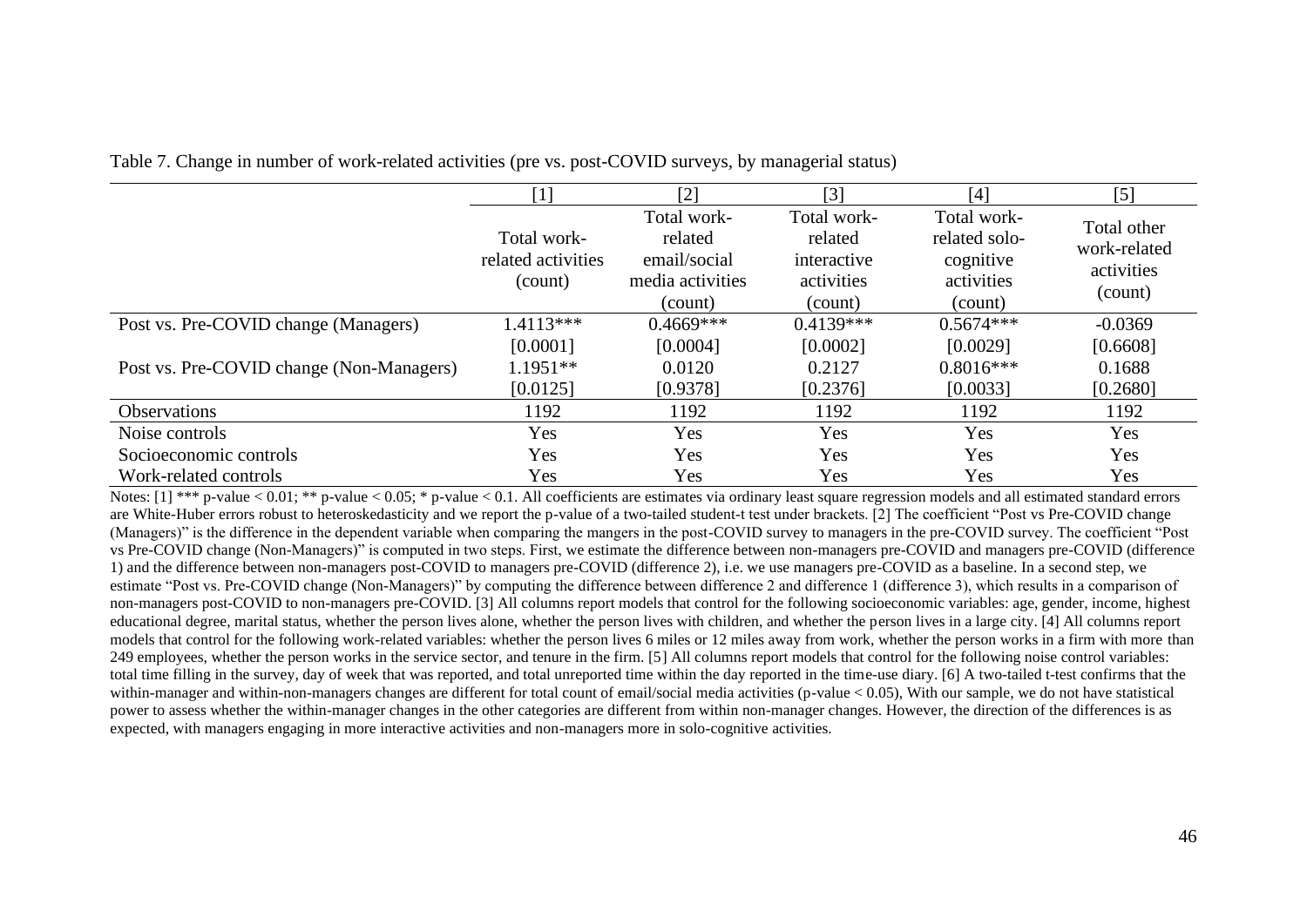|  | Table 7. Change in number of work-related activities (pre vs. post-COVID surveys, by managerial status) |
|--|---------------------------------------------------------------------------------------------------------|
|  |                                                                                                         |

|                                          | [1]                                          | $[2]$                                                                 | $[3]$                                                          | $[4]$                                                              | $[5]$                                                |
|------------------------------------------|----------------------------------------------|-----------------------------------------------------------------------|----------------------------------------------------------------|--------------------------------------------------------------------|------------------------------------------------------|
|                                          | Total work-<br>related activities<br>(count) | Total work-<br>related<br>email/social<br>media activities<br>(count) | Total work-<br>related<br>interactive<br>activities<br>(count) | Total work-<br>related solo-<br>cognitive<br>activities<br>(count) | Total other<br>work-related<br>activities<br>(count) |
| Post vs. Pre-COVID change (Managers)     | $1.4113***$                                  | $0.4669***$                                                           | $0.4139***$                                                    | $0.5674***$                                                        | $-0.0369$                                            |
|                                          | [0.0001]                                     | [0.0004]                                                              | [0.0002]                                                       | [0.0029]                                                           | [0.6608]                                             |
| Post vs. Pre-COVID change (Non-Managers) | $1.1951**$                                   | 0.0120                                                                | 0.2127                                                         | $0.8016***$                                                        | 0.1688                                               |
|                                          | [0.0125]                                     | [0.9378]                                                              | [0.2376]                                                       | [0.0033]                                                           | [0.2680]                                             |
| <b>Observations</b>                      | 1192                                         | 1192                                                                  | 1192                                                           | 1192                                                               | 1192                                                 |
| Noise controls                           | Yes                                          | Yes                                                                   | Yes                                                            | Yes                                                                | Yes                                                  |
| Socioeconomic controls                   | Yes                                          | Yes                                                                   | Yes                                                            | Yes                                                                | Yes                                                  |
| Work-related controls                    | Yes                                          | Yes                                                                   | Yes                                                            | Yes                                                                | Yes                                                  |

Notes:  $[1]$  \*\*\* p-value < 0.01; \*\* p-value < 0.05; \* p-value < 0.1. All coefficients are estimates via ordinary least square regression models and all estimated standard errors are White-Huber errors robust to heteroskedasticity and we report the p-value of a two-tailed student-t test under brackets. [2] The coefficient "Post vs Pre-COVID change (Managers)" is the difference in the dependent variable when comparing the mangers in the post-COVID survey to managers in the pre-COVID survey. The coefficient "Post vs Pre-COVID change (Non-Managers)" is computed in two steps. First, we estimate the difference between non-managers pre-COVID and managers pre-COVID (difference 1) and the difference between non-managers post-COVID to managers pre-COVID (difference 2), i.e. we use managers pre-COVID as a baseline. In a second step, we estimate "Post vs. Pre-COVID change (Non-Managers)" by computing the difference between difference 2 and difference 1 (difference 3), which results in a comparison of non-managers post-COVID to non-managers pre-COVID. [3] All columns report models that control for the following socioeconomic variables: age, gender, income, highest educational degree, marital status, whether the person lives alone, whether the person lives with children, and whether the person lives in a large city. [4] All columns report models that control for the following work-related variables: whether the person lives 6 miles or 12 miles away from work, whether the person works in a firm with more than 249 employees, whether the person works in the service sector, and tenure in the firm. [5] All columns report models that control for the following noise control variables: total time filling in the survey, day of week that was reported, and total unreported time within the day reported in the time-use diary. [6] A two-tailed t-test confirms that the within-manager and within-non-managers changes are different for total count of email/social media activities (p-value < 0.05), With our sample, we do not have statistical power to assess whether the within-manager changes in the other categories are different from within non-manager changes. However, the direction of the differences is as expected, with managers engaging in more interactive activities and non-managers more in solo-cognitive activities.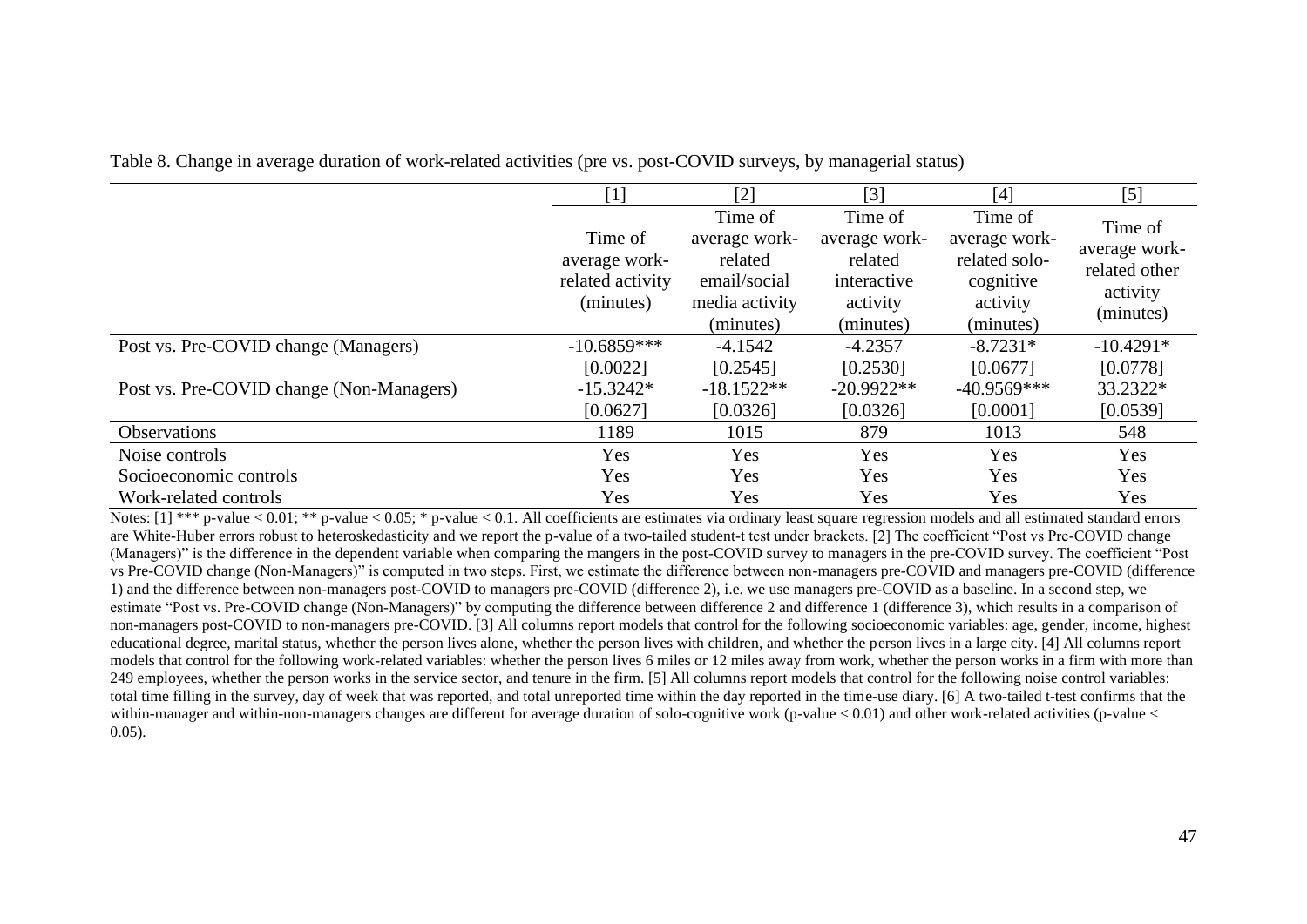|                                          | $[1] % \includegraphics[width=0.9\columnwidth]{figures/fig_10.pdf} \caption{The graph $\mathcal{N}_1$ is a function of the number of~\textit{N}_1$ (left) and the number of~\textit{N}_2$ (right) are shown in \cite{N}_1$ (right) and the number of~\textit{N}_1$ (right) and the number of~\textit{N}_2$ (right).} \label{fig:1}$ | $[2]$                                                                              | [3]                                                                         | [4]                                                                             | $[5]$                                                              |
|------------------------------------------|-------------------------------------------------------------------------------------------------------------------------------------------------------------------------------------------------------------------------------------------------------------------------------------------------------------------------------------|------------------------------------------------------------------------------------|-----------------------------------------------------------------------------|---------------------------------------------------------------------------------|--------------------------------------------------------------------|
|                                          | Time of<br>average work-<br>related activity<br>(minutes)                                                                                                                                                                                                                                                                           | Time of<br>average work-<br>related<br>email/social<br>media activity<br>(minutes) | Time of<br>average work-<br>related<br>interactive<br>activity<br>(minutes) | Time of<br>average work-<br>related solo-<br>cognitive<br>activity<br>(minutes) | Time of<br>average work-<br>related other<br>activity<br>(minutes) |
| Post vs. Pre-COVID change (Managers)     | $-10.6859***$                                                                                                                                                                                                                                                                                                                       | $-4.1542$                                                                          | $-4.2357$                                                                   | $-8.7231*$                                                                      | $-10.4291*$                                                        |
|                                          | [0.0022]                                                                                                                                                                                                                                                                                                                            | [0.2545]                                                                           | [0.2530]                                                                    | [0.0677]                                                                        | [0.0778]                                                           |
| Post vs. Pre-COVID change (Non-Managers) | $-15.3242*$                                                                                                                                                                                                                                                                                                                         | $-18.1522**$                                                                       | $-20.9922**$                                                                | $-40.9569***$                                                                   | 33.2322*                                                           |
|                                          | [0.0627]                                                                                                                                                                                                                                                                                                                            | [0.0326]                                                                           | [0.0326]                                                                    | [0.0001]                                                                        | [0.0539]                                                           |
| <b>Observations</b>                      | 1189                                                                                                                                                                                                                                                                                                                                | 1015                                                                               | 879                                                                         | 1013                                                                            | 548                                                                |
| Noise controls                           | Yes                                                                                                                                                                                                                                                                                                                                 | Yes                                                                                | Yes                                                                         | Yes                                                                             | Yes                                                                |
| Socioeconomic controls                   | Yes                                                                                                                                                                                                                                                                                                                                 | Yes                                                                                | Yes                                                                         | Yes                                                                             | Yes                                                                |
| Work-related controls                    | Yes                                                                                                                                                                                                                                                                                                                                 | Yes                                                                                | Yes                                                                         | Yes                                                                             | Yes                                                                |

Table 8. Change in average duration of work-related activities (pre vs. post-COVID surveys, by managerial status)

Notes:  $[1]$  \*\*\* p-value < 0.01; \*\* p-value < 0.05; \* p-value < 0.1. All coefficients are estimates via ordinary least square regression models and all estimated standard errors are White-Huber errors robust to heteroskedasticity and we report the p-value of a two-tailed student-t test under brackets. [2] The coefficient "Post vs Pre-COVID change (Managers)" is the difference in the dependent variable when comparing the mangers in the post-COVID survey to managers in the pre-COVID survey. The coefficient "Post vs Pre-COVID change (Non-Managers)" is computed in two steps. First, we estimate the difference between non-managers pre-COVID and managers pre-COVID (difference 1) and the difference between non-managers post-COVID to managers pre-COVID (difference 2), i.e. we use managers pre-COVID as a baseline. In a second step, we estimate "Post vs. Pre-COVID change (Non-Managers)" by computing the difference between difference 2 and difference 1 (difference 3), which results in a comparison of non-managers post-COVID to non-managers pre-COVID. [3] All columns report models that control for the following socioeconomic variables: age, gender, income, highest educational degree, marital status, whether the person lives alone, whether the person lives with children, and whether the person lives in a large city. [4] All columns report models that control for the following work-related variables: whether the person lives 6 miles or 12 miles away from work, whether the person works in a firm with more than 249 employees, whether the person works in the service sector, and tenure in the firm. [5] All columns report models that control for the following noise control variables: total time filling in the survey, day of week that was reported, and total unreported time within the day reported in the time-use diary. [6] A two-tailed t-test confirms that the within-manager and within-non-managers changes are different for average duration of solo-cognitive work (p-value < 0.01) and other work-related activities (p-value < 0.05).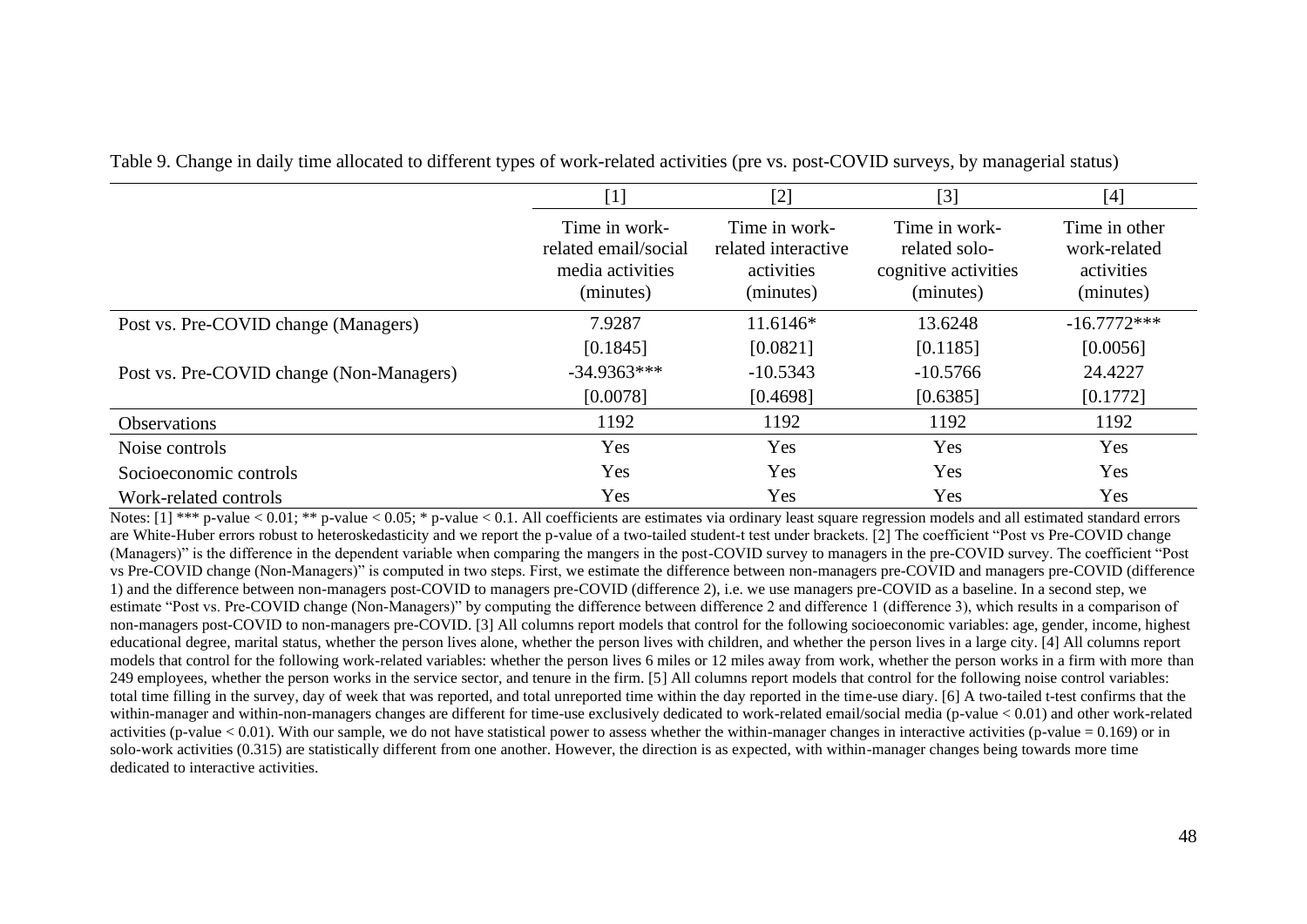|                                          | $[1] % \includegraphics[width=0.9\columnwidth]{figures/fig_10.pdf} \caption{The graph $\mathcal{N}_1$ is a function of the number of~\textit{N}_1$ (left) and the number of~\textit{N}_2$ (right) are shown in \cite{N}_1$ (right) and the number of~\textit{N}_1$ (right) and the number of~\textit{N}_2$ (right).} \label{fig:1}$ | [2]                                                             | $[3]$                                                               | [4]                                                      |  |
|------------------------------------------|-------------------------------------------------------------------------------------------------------------------------------------------------------------------------------------------------------------------------------------------------------------------------------------------------------------------------------------|-----------------------------------------------------------------|---------------------------------------------------------------------|----------------------------------------------------------|--|
|                                          | Time in work-<br>related email/social<br>media activities<br>(minutes)                                                                                                                                                                                                                                                              | Time in work-<br>related interactive<br>activities<br>(minutes) | Time in work-<br>related solo-<br>cognitive activities<br>(minutes) | Time in other<br>work-related<br>activities<br>(minutes) |  |
| Post vs. Pre-COVID change (Managers)     | 7.9287                                                                                                                                                                                                                                                                                                                              | $11.6146*$                                                      | 13.6248                                                             | $-16.7772***$                                            |  |
|                                          | [0.1845]                                                                                                                                                                                                                                                                                                                            | [0.0821]                                                        | [0.1185]                                                            | [0.0056]                                                 |  |
| Post vs. Pre-COVID change (Non-Managers) | $-34.9363***$                                                                                                                                                                                                                                                                                                                       | $-10.5343$                                                      | $-10.5766$                                                          | 24.4227                                                  |  |
|                                          | [0.0078]                                                                                                                                                                                                                                                                                                                            | [0.4698]                                                        | [0.6385]                                                            | [0.1772]                                                 |  |
| <b>Observations</b>                      | 1192                                                                                                                                                                                                                                                                                                                                | 1192                                                            | 1192                                                                | 1192                                                     |  |
| Noise controls                           | Yes                                                                                                                                                                                                                                                                                                                                 | Yes                                                             | Yes                                                                 | Yes                                                      |  |
| Socioeconomic controls                   | Yes                                                                                                                                                                                                                                                                                                                                 | Yes                                                             | Yes                                                                 | Yes                                                      |  |
| Work-related controls                    | Yes                                                                                                                                                                                                                                                                                                                                 | Yes                                                             | Yes                                                                 | Yes                                                      |  |

Table 9. Change in daily time allocated to different types of work-related activities (pre vs. post-COVID surveys, by managerial status)

Notes:  $[1]$  \*\*\* p-value < 0.01; \*\* p-value < 0.05; \* p-value < 0.1. All coefficients are estimates via ordinary least square regression models and all estimated standard errors are White-Huber errors robust to heteroskedasticity and we report the p-value of a two-tailed student-t test under brackets. [2] The coefficient "Post vs Pre-COVID change (Managers)" is the difference in the dependent variable when comparing the mangers in the post-COVID survey to managers in the pre-COVID survey. The coefficient "Post vs Pre-COVID change (Non-Managers)" is computed in two steps. First, we estimate the difference between non-managers pre-COVID and managers pre-COVID (difference 1) and the difference between non-managers post-COVID to managers pre-COVID (difference 2), i.e. we use managers pre-COVID as a baseline. In a second step, we estimate "Post vs. Pre-COVID change (Non-Managers)" by computing the difference between difference 2 and difference 1 (difference 3), which results in a comparison of non-managers post-COVID to non-managers pre-COVID. [3] All columns report models that control for the following socioeconomic variables: age, gender, income, highest educational degree, marital status, whether the person lives alone, whether the person lives with children, and whether the person lives in a large city. [4] All columns report models that control for the following work-related variables: whether the person lives 6 miles or 12 miles away from work, whether the person works in a firm with more than 249 employees, whether the person works in the service sector, and tenure in the firm. [5] All columns report models that control for the following noise control variables: total time filling in the survey, day of week that was reported, and total unreported time within the day reported in the time-use diary. [6] A two-tailed t-test confirms that the within-manager and within-non-managers changes are different for time-use exclusively dedicated to work-related email/social media (p-value < 0.01) and other work-related activities (p-value  $< 0.01$ ). With our sample, we do not have statistical power to assess whether the within-manager changes in interactive activities (p-value  $= 0.169$ ) or in solo-work activities (0.315) are statistically different from one another. However, the direction is as expected, with within-manager changes being towards more time dedicated to interactive activities.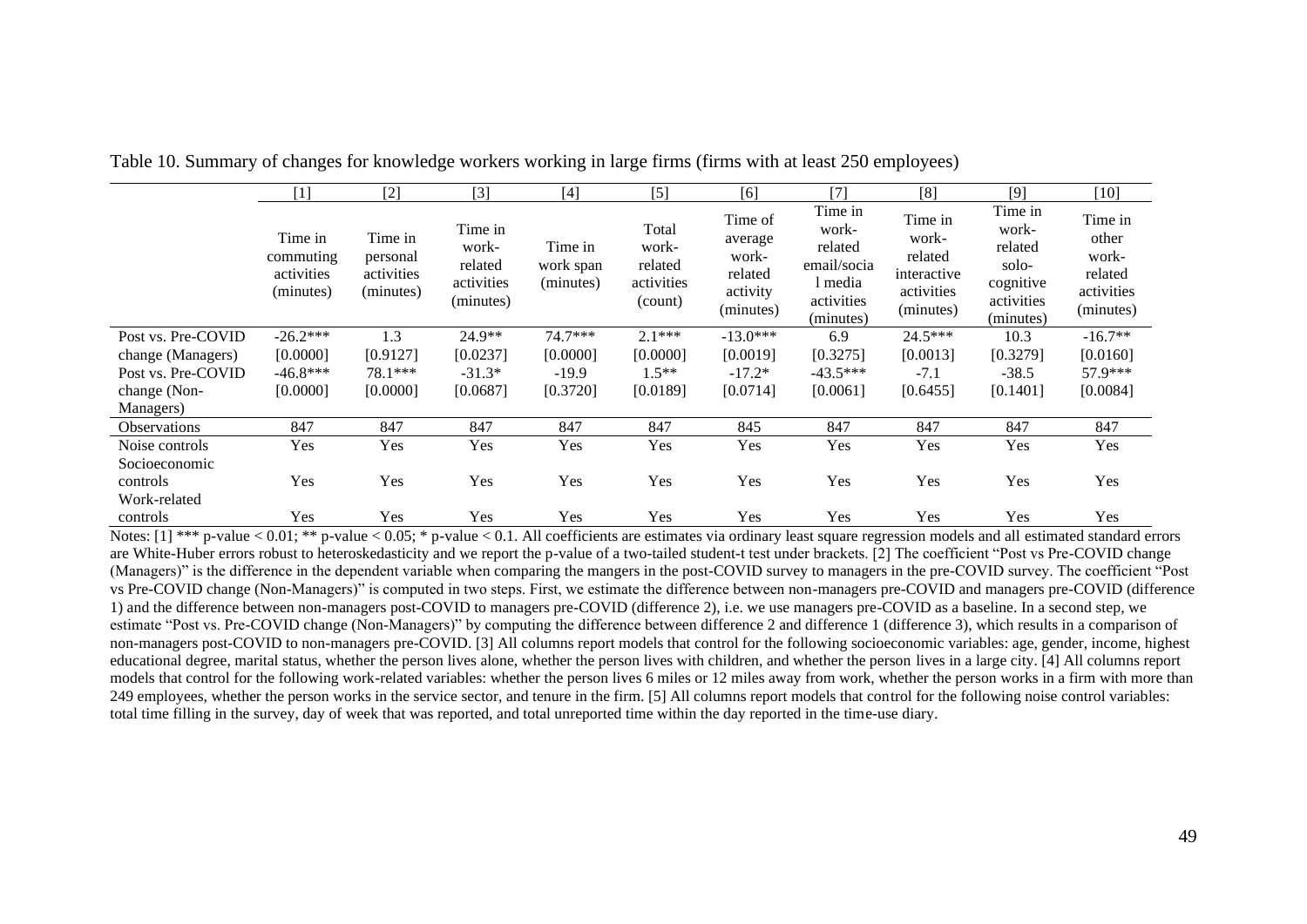|                                           | $[1]$                                           | $[2]$                                          | $[3]$                                                  | $[4]$                             | $[5]$                                              | [6]                                                             | $[7]$                                                                            | [8]                                                                   | $[9]$                                                                        | $[10]$                                                          |
|-------------------------------------------|-------------------------------------------------|------------------------------------------------|--------------------------------------------------------|-----------------------------------|----------------------------------------------------|-----------------------------------------------------------------|----------------------------------------------------------------------------------|-----------------------------------------------------------------------|------------------------------------------------------------------------------|-----------------------------------------------------------------|
|                                           | Time in<br>commuting<br>activities<br>(minutes) | Time in<br>personal<br>activities<br>(minutes) | Time in<br>work-<br>related<br>activities<br>(minutes) | Time in<br>work span<br>(minutes) | Total<br>work-<br>related<br>activities<br>(count) | Time of<br>average<br>work-<br>related<br>activity<br>(minutes) | Time in<br>work-<br>related<br>email/socia<br>1 media<br>activities<br>(minutes) | Time in<br>work-<br>related<br>interactive<br>activities<br>(minutes) | Time in<br>work-<br>related<br>solo-<br>cognitive<br>activities<br>(minutes) | Time in<br>other<br>work-<br>related<br>activities<br>(minutes) |
| Post vs. Pre-COVID                        | $-26.2***$                                      | 1.3                                            | 24.9**                                                 | 74.7***                           | $2.1***$                                           | $-13.0***$                                                      | 6.9                                                                              | $24.5***$                                                             | 10.3                                                                         | $-16.7**$                                                       |
| change (Managers)                         | [0.0000]                                        | [0.9127]                                       | [0.0237]                                               | [0.0000]                          | [0.0000]                                           | [0.0019]                                                        | [0.3275]                                                                         | [0.0013]                                                              | [0.3279]                                                                     | [0.0160]                                                        |
| Post vs. Pre-COVID                        | $-46.8***$                                      | 78.1***                                        | $-31.3*$                                               | $-19.9$                           | $1.5**$                                            | $-17.2*$                                                        | $-43.5***$                                                                       | $-7.1$                                                                | $-38.5$                                                                      | 57.9***                                                         |
| change (Non-                              | [0.0000]                                        | [0.0000]                                       | [0.0687]                                               | [0.3720]                          | [0.0189]                                           | [0.0714]                                                        | [0.0061]                                                                         | [0.6455]                                                              | [0.1401]                                                                     | [0.0084]                                                        |
| Managers)                                 |                                                 |                                                |                                                        |                                   |                                                    |                                                                 |                                                                                  |                                                                       |                                                                              |                                                                 |
| <b>Observations</b>                       | 847                                             | 847                                            | 847                                                    | 847                               | 847                                                | 845                                                             | 847                                                                              | 847                                                                   | 847                                                                          | 847                                                             |
| Noise controls                            | Yes                                             | Yes                                            | Yes                                                    | Yes                               | Yes                                                | Yes                                                             | Yes                                                                              | Yes                                                                   | Yes                                                                          | Yes                                                             |
| Socioeconomic<br>controls<br>Work-related | Yes                                             | Yes                                            | Yes                                                    | Yes                               | Yes                                                | Yes                                                             | Yes                                                                              | Yes                                                                   | Yes                                                                          | Yes                                                             |
| controls                                  | Yes                                             | Yes                                            | Yes                                                    | Yes                               | Yes                                                | Yes                                                             | Yes                                                                              | Yes                                                                   | Yes                                                                          | Yes                                                             |

Table 10. Summary of changes for knowledge workers working in large firms (firms with at least 250 employees)

Notes: [1] \*\*\* p-value < 0.01; \*\* p-value < 0.05; \* p-value < 0.1. All coefficients are estimates via ordinary least square regression models and all estimated standard errors are White-Huber errors robust to heteroskedasticity and we report the p-value of a two-tailed student-t test under brackets. [2] The coefficient "Post vs Pre-COVID change (Managers)" is the difference in the dependent variable when comparing the mangers in the post-COVID survey to managers in the pre-COVID survey. The coefficient "Post vs Pre-COVID change (Non-Managers)" is computed in two steps. First, we estimate the difference between non-managers pre-COVID and managers pre-COVID (difference 1) and the difference between non-managers post-COVID to managers pre-COVID (difference 2), i.e. we use managers pre-COVID as a baseline. In a second step, we estimate "Post vs. Pre-COVID change (Non-Managers)" by computing the difference between difference 2 and difference 1 (difference 3), which results in a comparison of non-managers post-COVID to non-managers pre-COVID. [3] All columns report models that control for the following socioeconomic variables: age, gender, income, highest educational degree, marital status, whether the person lives alone, whether the person lives with children, and whether the person lives in a large city. [4] All columns report models that control for the following work-related variables: whether the person lives 6 miles or 12 miles away from work, whether the person works in a firm with more than 249 employees, whether the person works in the service sector, and tenure in the firm. [5] All columns report models that control for the following noise control variables: total time filling in the survey, day of week that was reported, and total unreported time within the day reported in the time-use diary.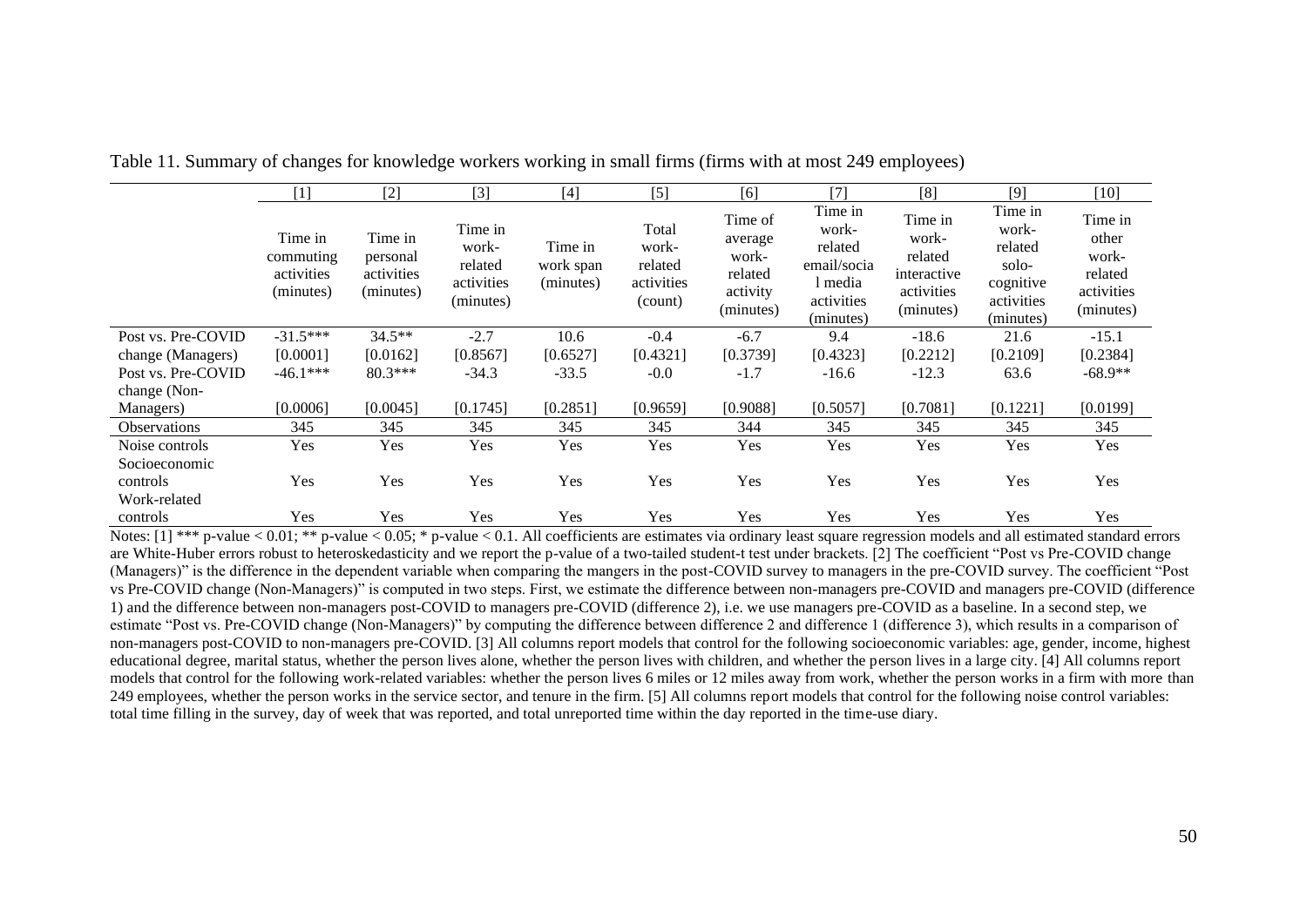|                                           | $[1]$                                           | $[2]$                                          | $[3]$                                                  | $[4]$                             | $[5]$                                              | [6]                                                             | $[7]$                                                                            | [8]                                                                   | $[9]$                                                                        | $[10]$                                                          |
|-------------------------------------------|-------------------------------------------------|------------------------------------------------|--------------------------------------------------------|-----------------------------------|----------------------------------------------------|-----------------------------------------------------------------|----------------------------------------------------------------------------------|-----------------------------------------------------------------------|------------------------------------------------------------------------------|-----------------------------------------------------------------|
|                                           | Time in<br>commuting<br>activities<br>(minutes) | Time in<br>personal<br>activities<br>(minutes) | Time in<br>work-<br>related<br>activities<br>(minutes) | Time in<br>work span<br>(minutes) | Total<br>work-<br>related<br>activities<br>(count) | Time of<br>average<br>work-<br>related<br>activity<br>(minutes) | Time in<br>work-<br>related<br>email/socia<br>l media<br>activities<br>(minutes) | Time in<br>work-<br>related<br>interactive<br>activities<br>(minutes) | Time in<br>work-<br>related<br>solo-<br>cognitive<br>activities<br>(minutes) | Time in<br>other<br>work-<br>related<br>activities<br>(minutes) |
| Post vs. Pre-COVID                        | $-31.5***$                                      | $34.5**$                                       | $-2.7$                                                 | 10.6                              | $-0.4$                                             | $-6.7$                                                          | 9.4                                                                              | $-18.6$                                                               | 21.6                                                                         | $-15.1$                                                         |
| change (Managers)                         | [0.0001]                                        | [0.0162]                                       | [0.8567]                                               | [0.6527]                          | [0.4321]                                           | [0.3739]                                                        | [0.4323]                                                                         | [0.2212]                                                              | [0.2109]                                                                     | [0.2384]                                                        |
| Post vs. Pre-COVID                        | $-46.1***$                                      | $80.3***$                                      | $-34.3$                                                | $-33.5$                           | $-0.0$                                             | $-1.7$                                                          | $-16.6$                                                                          | $-12.3$                                                               | 63.6                                                                         | $-68.9**$                                                       |
| change (Non-                              |                                                 |                                                |                                                        |                                   |                                                    |                                                                 |                                                                                  |                                                                       |                                                                              |                                                                 |
| Managers)                                 | [0.0006]                                        | [0.0045]                                       | [0.1745]                                               | [0.2851]                          | [0.9659]                                           | [0.9088]                                                        | [0.5057]                                                                         | [0.7081]                                                              | [0.1221]                                                                     | [0.0199]                                                        |
| <b>Observations</b>                       | 345                                             | 345                                            | 345                                                    | 345                               | 345                                                | 344                                                             | 345                                                                              | 345                                                                   | 345                                                                          | 345                                                             |
| Noise controls                            | Yes                                             | Yes                                            | Yes                                                    | Yes                               | Yes                                                | Yes                                                             | Yes                                                                              | Yes                                                                   | Yes                                                                          | Yes                                                             |
| Socioeconomic<br>controls<br>Work-related | Yes                                             | Yes                                            | Yes                                                    | Yes                               | Yes                                                | Yes                                                             | Yes                                                                              | Yes                                                                   | Yes                                                                          | Yes                                                             |
| controls                                  | Yes                                             | Yes                                            | Yes                                                    | Yes                               | Yes                                                | Yes                                                             | Yes                                                                              | Yes                                                                   | Yes                                                                          | Yes                                                             |

Table 11. Summary of changes for knowledge workers working in small firms (firms with at most 249 employees)

Notes:  $[1]$  \*\*\* p-value < 0.01; \*\* p-value < 0.05; \* p-value < 0.1. All coefficients are estimates via ordinary least square regression models and all estimated standard errors are White-Huber errors robust to heteroskedasticity and we report the p-value of a two-tailed student-t test under brackets. [2] The coefficient "Post vs Pre-COVID change (Managers)" is the difference in the dependent variable when comparing the mangers in the post-COVID survey to managers in the pre-COVID survey. The coefficient "Post vs Pre-COVID change (Non-Managers)" is computed in two steps. First, we estimate the difference between non-managers pre-COVID and managers pre-COVID (difference 1) and the difference between non-managers post-COVID to managers pre-COVID (difference 2), i.e. we use managers pre-COVID as a baseline. In a second step, we estimate "Post vs. Pre-COVID change (Non-Managers)" by computing the difference between difference 2 and difference 1 (difference 3), which results in a comparison of non-managers post-COVID to non-managers pre-COVID. [3] All columns report models that control for the following socioeconomic variables: age, gender, income, highest educational degree, marital status, whether the person lives alone, whether the person lives with children, and whether the person lives in a large city. [4] All columns report models that control for the following work-related variables: whether the person lives 6 miles or 12 miles away from work, whether the person works in a firm with more than 249 employees, whether the person works in the service sector, and tenure in the firm. [5] All columns report models that control for the following noise control variables: total time filling in the survey, day of week that was reported, and total unreported time within the day reported in the time-use diary.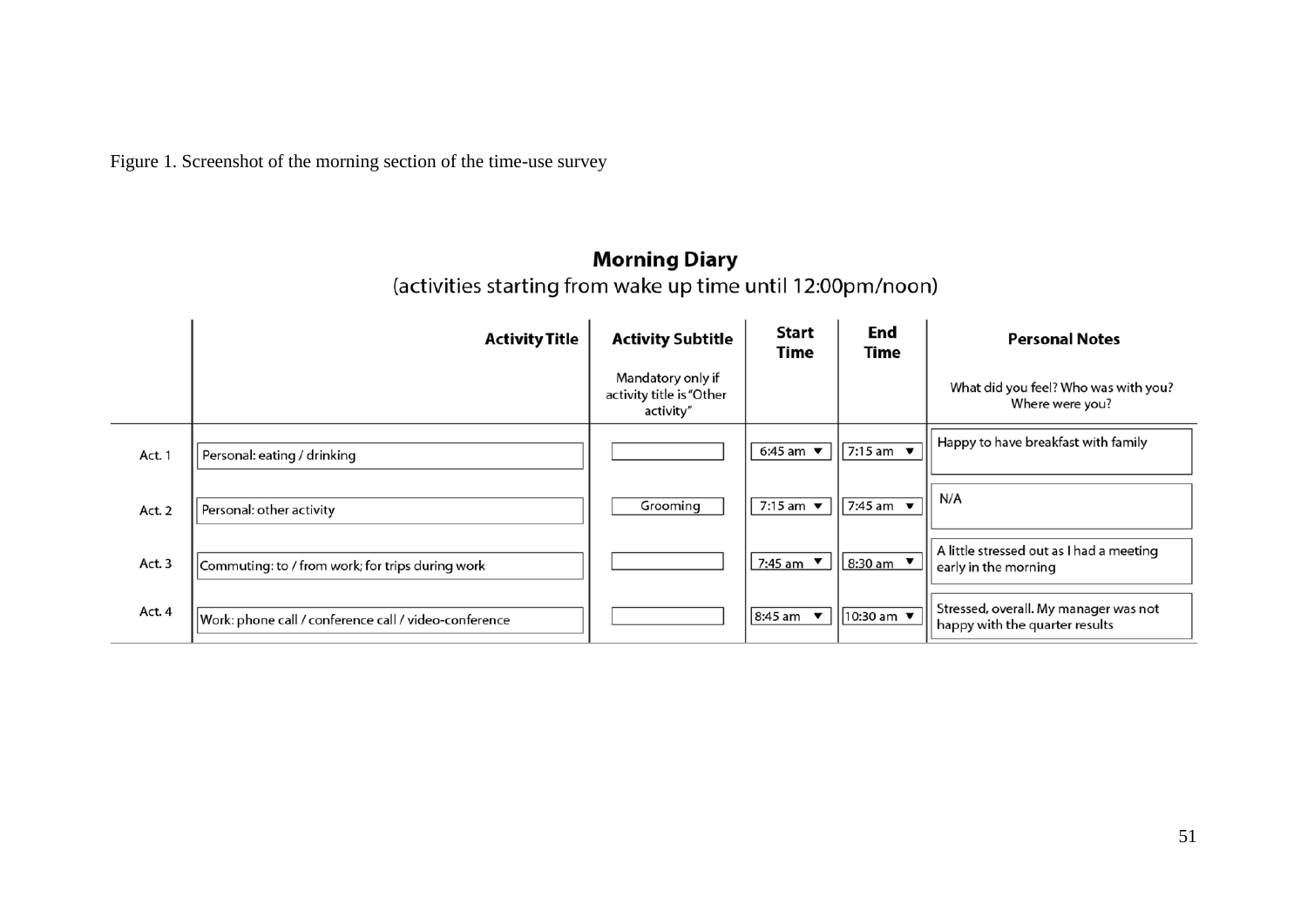Figure 1. Screenshot of the morning section of the time-use survey

# Morning Diary<br>(activities starting from wake up time until 12:00pm/noon)

|        | <b>Activity Title</b>                                 | <b>Activity Subtitle</b>                                   | Start<br>Time                   | End<br>Time                     | <b>Personal Notes</b>                                                   |
|--------|-------------------------------------------------------|------------------------------------------------------------|---------------------------------|---------------------------------|-------------------------------------------------------------------------|
|        |                                                       | Mandatory only if<br>activity title is "Other<br>activity" |                                 |                                 | What did you feel? Who was with you?<br>Where were you?                 |
| Act. 1 | Personal: eating / drinking                           |                                                            | 6:45 am $\blacktriangledown$    | 7:15 am $\blacktriangledown$    | Happy to have breakfast with family                                     |
| Act. 2 | Personal: other activity                              | Grooming                                                   | 7:15 am $\overline{\mathbf{v}}$ | 7:45 am $\overline{\mathbf{v}}$ | N/A                                                                     |
| Act. 3 | Commuting: to / from work; for trips during work      |                                                            | 7:45 am $\blacktriangledown$    | 8:30 am ▼                       | A little stressed out as I had a meeting<br>early in the morning        |
| Act. 4 | Work: phone call / conference call / video-conference |                                                            | $8:45$ am $\bullet$             | 10:30 am ▼                      | Stressed, overall. My manager was not<br>happy with the quarter results |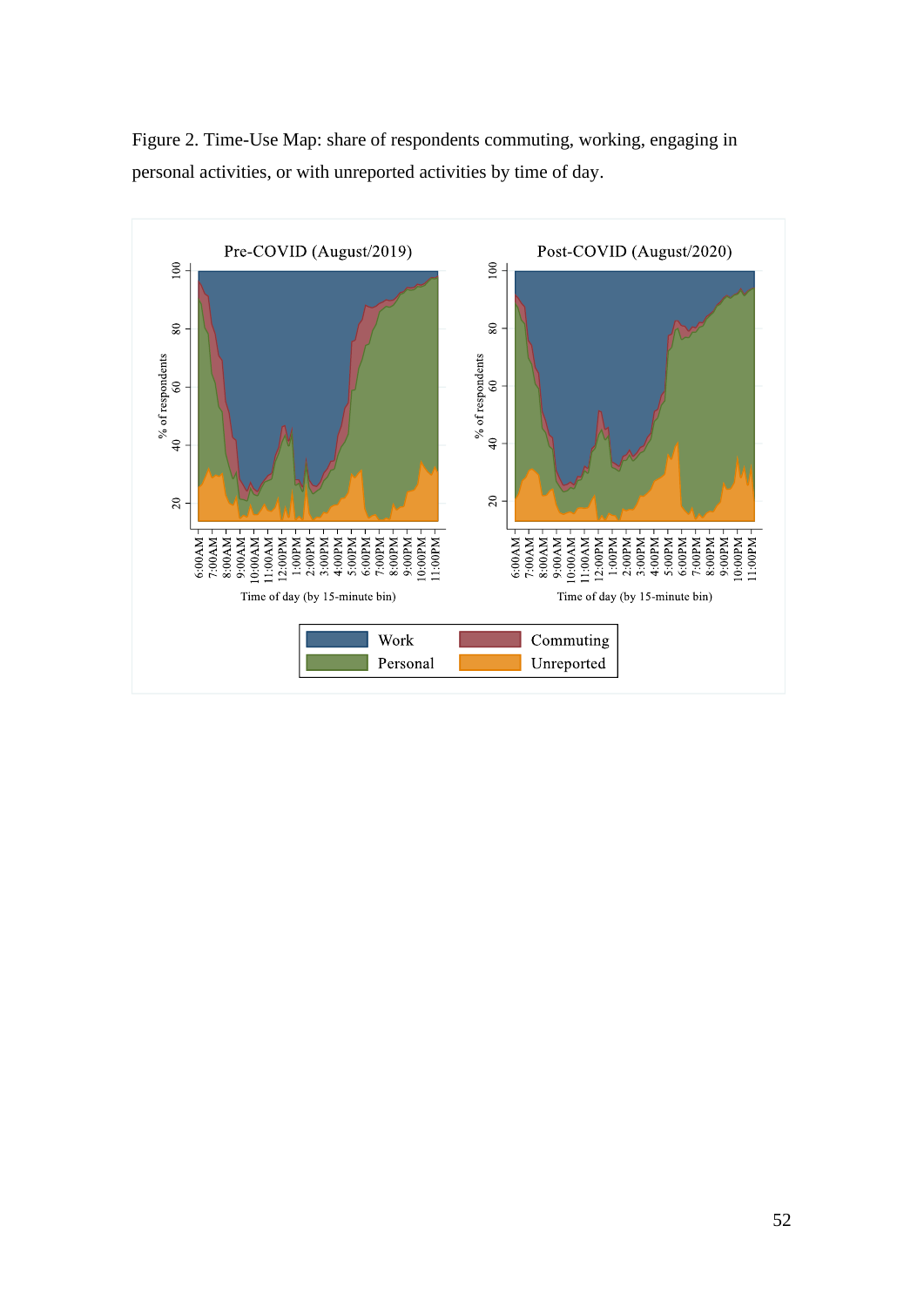

Figure 2. Time-Use Map: share of respondents commuting, working, engaging in personal activities, or with unreported activities by time of day.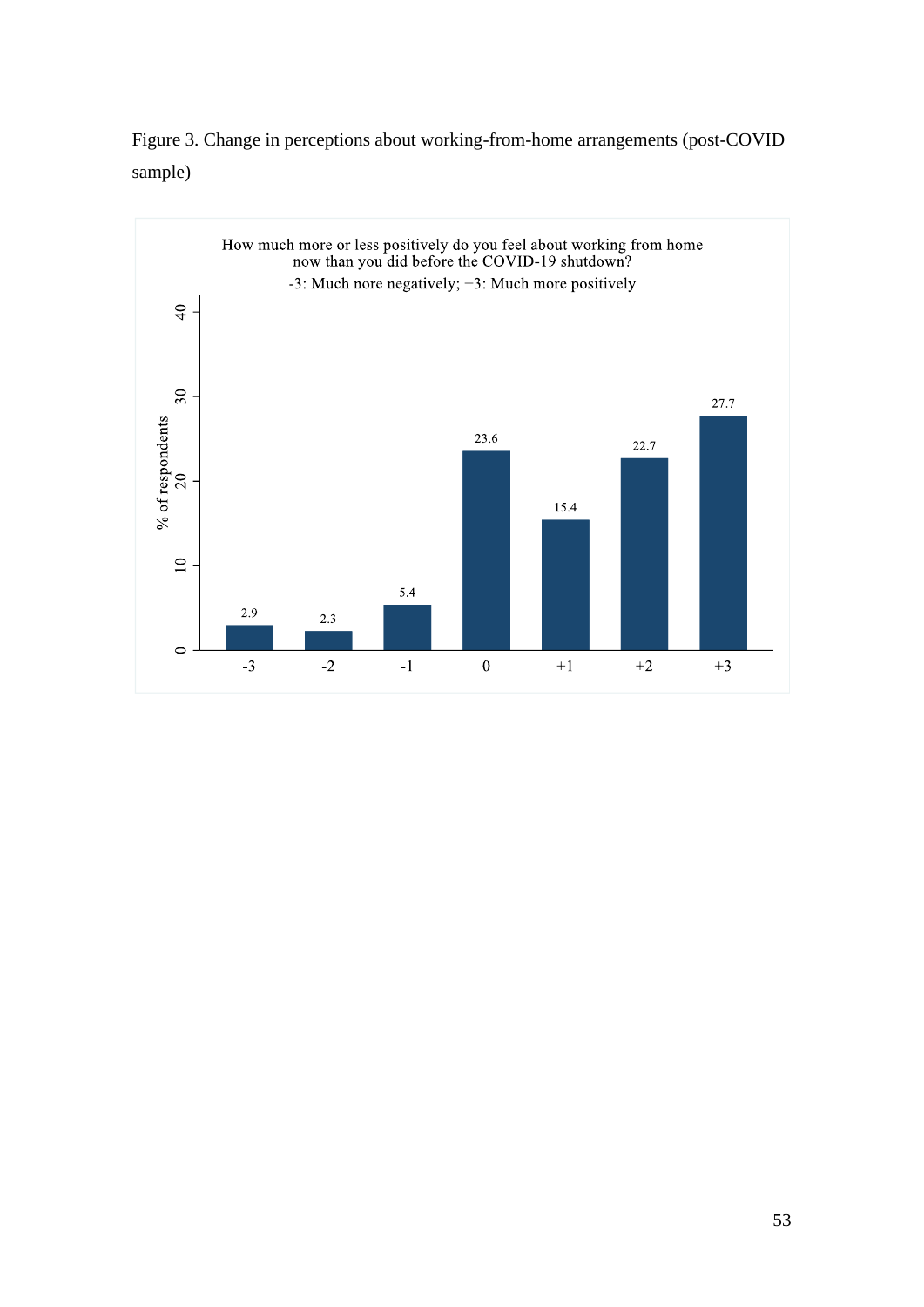

Figure 3. Change in perceptions about working-from-home arrangements (post-COVID sample)